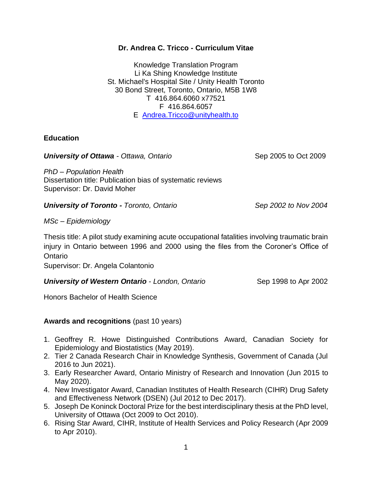## **Dr. Andrea C. Tricco - Curriculum Vitae**

Knowledge Translation Program Li Ka Shing Knowledge Institute St. Michael's Hospital Site / Unity Health Toronto 30 Bond Street, Toronto, Ontario, M5B 1W8 T 416.864.6060 x77521 F 416.864.6057 E [Andrea.Tricco@unityhealth.to](mailto:Andrea.Tricco@unityhealth.to)

## **Education**

## **University of Ottawa** - Ottawa, Ontario Sep 2005 to Oct 2009

*PhD – Population Health* Dissertation title: Publication bias of systematic reviews Supervisor: Dr. David Moher

*University of Toronto - Toronto, Ontario Sep 2002 to Nov 2004*

*MSc – Epidemiology*

Thesis title: A pilot study examining acute occupational fatalities involving traumatic brain injury in Ontario between 1996 and 2000 using the files from the Coroner's Office of Ontario

Supervisor: Dr. Angela Colantonio

*University of Western Ontario* - *London, Ontario* Sep 1998 to Apr 2002

Honors Bachelor of Health Science

# **Awards and recognitions** (past 10 years)

- 1. Geoffrey R. Howe Distinguished Contributions Award, Canadian Society for Epidemiology and Biostatistics (May 2019).
- 2. Tier 2 Canada Research Chair in Knowledge Synthesis, Government of Canada (Jul 2016 to Jun 2021).
- 3. Early Researcher Award, Ontario Ministry of Research and Innovation (Jun 2015 to May 2020).
- 4. New Investigator Award, Canadian Institutes of Health Research (CIHR) Drug Safety and Effectiveness Network (DSEN) (Jul 2012 to Dec 2017).
- 5. Joseph De Koninck Doctoral Prize for the best interdisciplinary thesis at the PhD level, University of Ottawa (Oct 2009 to Oct 2010).
- 6. Rising Star Award, CIHR, Institute of Health Services and Policy Research (Apr 2009 to Apr 2010).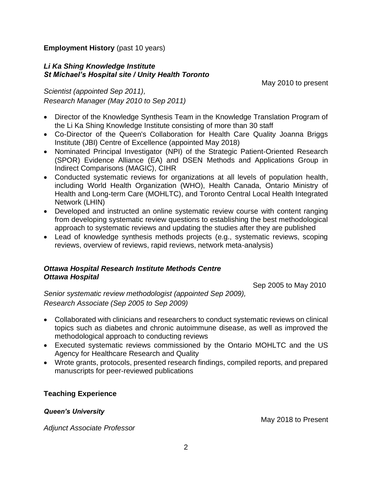**Employment History** (past 10 years)

# *Li Ka Shing Knowledge Institute St Michael's Hospital site / Unity Health Toronto*

May 2010 to present

*Scientist (appointed Sep 2011), Research Manager (May 2010 to Sep 2011)*

- Director of the Knowledge Synthesis Team in the Knowledge Translation Program of the Li Ka Shing Knowledge Institute consisting of more than 30 staff
- Co-Director of the Queen's Collaboration for Health Care Quality Joanna Briggs Institute (JBI) Centre of Excellence (appointed May 2018)
- Nominated Principal Investigator (NPI) of the Strategic Patient-Oriented Research (SPOR) Evidence Alliance (EA) and DSEN Methods and Applications Group in Indirect Comparisons (MAGIC), CIHR
- Conducted systematic reviews for organizations at all levels of population health, including World Health Organization (WHO), Health Canada, Ontario Ministry of Health and Long-term Care (MOHLTC), and Toronto Central Local Health Integrated Network (LHIN)
- Developed and instructed an online systematic review course with content ranging from developing systematic review questions to establishing the best methodological approach to systematic reviews and updating the studies after they are published
- Lead of knowledge synthesis methods projects (e.g., systematic reviews, scoping reviews, overview of reviews, rapid reviews, network meta-analysis)

## *Ottawa Hospital Research Institute Methods Centre Ottawa Hospital*

Sep 2005 to May 2010

*Senior systematic review methodologist (appointed Sep 2009), Research Associate (Sep 2005 to Sep 2009)*

- Collaborated with clinicians and researchers to conduct systematic reviews on clinical topics such as diabetes and chronic autoimmune disease, as well as improved the methodological approach to conducting reviews
- Executed systematic reviews commissioned by the Ontario MOHLTC and the US Agency for Healthcare Research and Quality
- Wrote grants, protocols, presented research findings, compiled reports, and prepared manuscripts for peer-reviewed publications

# **Teaching Experience**

*Queen's University* 

*Adjunct Associate Professor* 

May 2018 to Present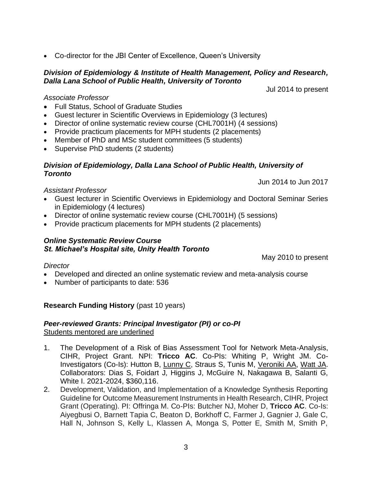• Co-director for the JBI Center of Excellence, Queen's University

## *Division of Epidemiology & Institute of Health Management, Policy and Research, Dalla Lana School of Public Health, University of Toronto*

Jul 2014 to present

#### *Associate Professor*

- Full Status, School of Graduate Studies
- Guest lecturer in Scientific Overviews in Epidemiology (3 lectures)
- Director of online systematic review course (CHL7001H) (4 sessions)
- Provide practicum placements for MPH students (2 placements)
- Member of PhD and MSc student committees (5 students)
- Supervise PhD students (2 students)

# *Division of Epidemiology, Dalla Lana School of Public Health, University of Toronto*

Jun 2014 to Jun 2017

#### *Assistant Professor*

- Guest lecturer in Scientific Overviews in Epidemiology and Doctoral Seminar Series in Epidemiology (4 lectures)
- Director of online systematic review course (CHL7001H) (5 sessions)
- Provide practicum placements for MPH students (2 placements)

#### *Online Systematic Review Course St. Michael's Hospital site, Unity Health Toronto*

May 2010 to present

## *Director*

- Developed and directed an online systematic review and meta-analysis course
- Number of participants to date: 536

# **Research Funding History** (past 10 years)

## *Peer-reviewed Grants: Principal Investigator (PI) or co-PI* Students mentored are underlined

- 1. The Development of a Risk of Bias Assessment Tool for Network Meta-Analysis, CIHR, Project Grant. NPI: **Tricco AC**. Co-PIs: Whiting P, Wright JM. Co-Investigators (Co-Is): Hutton B, Lunny C, Straus S, Tunis M, Veroniki AA, Watt JA. Collaborators: Dias S, Foidart J, Higgins J, McGuire N, Nakagawa B, Salanti G, White I. 2021-2024, \$360,116.
- 2. Development, Validation, and Implementation of a Knowledge Synthesis Reporting Guideline for Outcome Measurement Instruments in Health Research, CIHR, Project Grant (Operating). PI: Offringa M. Co-PIs: Butcher NJ, Moher D, **Tricco AC**. Co-Is: Aiyegbusi O, Barnett Tapia C, Beaton D, Borkhoff C, Farmer J, Gagnier J, Gale C, Hall N, Johnson S, Kelly L, Klassen A, Monga S, Potter E, Smith M, Smith P,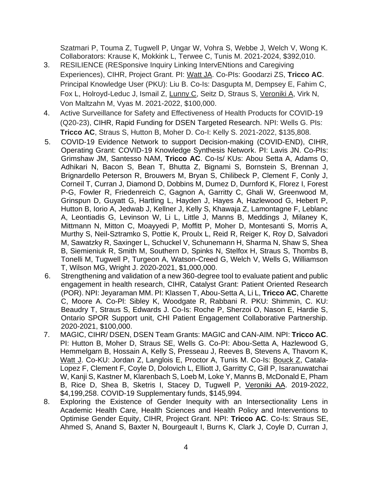Szatmari P, Touma Z, Tugwell P, Ungar W, Vohra S, Webbe J, Welch V, Wong K. Collaborators: Krause K, Mokkink L, Terwee C, Tunis M. 2021-2024, \$392,010.

- 3. RESILIENCE (RESponsive Inquiry Linking IntervENtions and Caregiving Experiences), CIHR, Project Grant. PI: Watt JA. Co-PIs: Goodarzi ZS, **Tricco AC**. Principal Knowledge User (PKU): Liu B. Co-Is: Dasgupta M, Dempsey E, Fahim C, Fox L, Holroyd-Leduc J, Ismail Z, Lunny C, Seitz D, Straus S, Veroniki A, Virk N, Von Maltzahn M, Vyas M. 2021-2022, \$100,000.
- 4. Active Surveillance for Safety and Effectiveness of Health Products for COVID-19 (Q20-23), CIHR, Rapid Funding for DSEN Targeted Research. NPI: Wells G. PIs: **Tricco AC**, Straus S, Hutton B, Moher D. Co-I: Kelly S. 2021-2022, \$135,808.
- 5. COVID-19 Evidence Network to support Decision-making (COVID-END), CIHR, Operating Grant: COVID-19 Knowledge Synthesis Network. PI: Lavis JN. Co-PIs: Grimshaw JM, Santesso NAM, **Tricco AC**. Co-Is/ KUs: Abou Setta A, Adams O, Adhikari N, Bacon S, Bean T, Bhutta Z, Bignami S, Bornstein S, Brennan J, Brignardello Peterson R, Brouwers M, Bryan S, Chilibeck P, Clement F, Conly J, Corneil T, Curran J, Diamond D, Dobbins M, Dumez D, Durnford K, Florez I, Forest P-G, Fowler R, Friedenreich C, Gagnon A, Garritty C, Ghali W, Greenwood M, Grinspun D, Guyatt G, Hartling L, Hayden J, Hayes A, Hazlewood G, Hebert P, Hutton B, Iorio A, Jedwab J, Kellner J, Kelly S, Khawaja Z, Lamontagne F, Leblanc A, Leontiadis G, Levinson W, Li L, Little J, Manns B, Meddings J, Milaney K, Mittmann N, Mitton C, Moayyedi P, Moffitt P, Moher D, Montesanti S, Morris A, Murthy S, Neil-Sztramko S, Pottie K, Proulx L, Reid R, Reiger K, Roy D, Salvadori M, Sawatzky R, Saxinger L, Schuckel V, Schunemann H, Sharma N, Shaw S, Shea B, Siemieniuk R, Smith M, Southern D, Spinks N, Stelfox H, Straus S, Thombs B, Tonelli M, Tugwell P, Turgeon A, Watson-Creed G, Welch V, Wells G, Williamson T, Wilson MG, Wright J. 2020-2021, \$1,000,000.
- 6. Strengthening and validation of a new 360-degree tool to evaluate patient and public engagement in health research, CIHR, Catalyst Grant: Patient Oriented Research (POR). NPI: Jeyaraman MM. PI: Klassen T, Abou-Setta A, Li L, **Tricco AC**, Charette C, Moore A. Co-Pl: Sibley K, Woodgate R, Rabbani R. PKU: Shimmin, C. KU: Beaudry T, Straus S, Edwards J. Co-Is: Roche P, Sherzoi O, Nason E, Hardie S, Ontario SPOR Support unit, CHI Patient Engagement Collaborative Partnership. 2020-2021, \$100,000.
- 7. MAGIC, CIHR/ DSEN, DSEN Team Grants: MAGIC and CAN-AIM. NPI: **Tricco AC**. PI: Hutton B, Moher D, Straus SE, Wells G. Co-PI: Abou-Setta A, Hazlewood G, Hemmelgarn B, Hossain A, Kelly S, Presseau J, Reeves B, Stevens A, Thavorn K, Watt J. Co-KU: Jordan Z, Langlois E, Proctor A, Tunis M. Co-Is: Bouck Z, Catala-Lopez F, Clement F, Coyle D, Dolovich L, Elliott J, Garritty C, Gill P, Isaranuwatchai W, Kanji S, Kastner M, Klarenbach S, Loeb M, Loke Y, Manns B, McDonald E, Pham B, Rice D, Shea B, Sketris I, Stacey D, Tugwell P, Veroniki AA. 2019-2022, \$4,199,258. COVID-19 Supplementary funds, \$145,994.
- 8. Exploring the Existence of Gender Inequity with an Intersectionality Lens in Academic Health Care, Health Sciences and Health Policy and Interventions to Optimise Gender Equity, CIHR, Project Grant. NPI: **Tricco AC**. Co-Is: Straus SE, Ahmed S, Anand S, Baxter N, Bourgeault I, Burns K, Clark J, Coyle D, Curran J,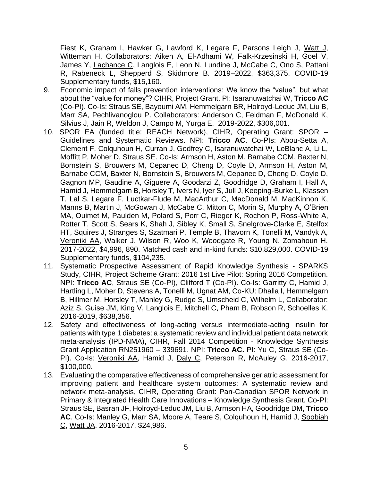Fiest K, Graham I, Hawker G, Lawford K, Legare F, Parsons Leigh J, Watt J, Witteman H. Collaborators: Aiken A, El-Adhami W, Falk-Krzesinski H, Goel V, James Y, Lachance C, Langlois E, Leon N, Lundine J, McCabe C, Ono S, Pattani R, Rabeneck L, Shepperd S, Skidmore B. 2019–2022, \$363,375. COVID-19 Supplementary funds, \$15,160.

- 9. Economic impact of falls prevention interventions: We know the "value", but what about the "value for money"? CIHR, Project Grant. PI: Isaranuwatchai W, **Tricco AC** (Co-PI). Co-Is: Straus SE, Bayoumi AM, Hemmelgarn BR, Holroyd-Leduc JM, Liu B, Marr SA, Pechlivanoglou P. Collaborators: Anderson C, Feldman F, McDonald K, Silvius J, Jain R, Weldon J, Campo M, Yurga E. 2019-2022, \$306,001.
- 10. SPOR EA (funded title: REACH Network), CIHR, Operating Grant: SPOR Guidelines and Systematic Reviews. NPI: **Tricco AC**. Co-PIs: Abou-Setta A, Clement F, Colquhoun H, Curran J, Godfrey C, Isaranuwatchai W, LeBlanc A, Li L, Moffitt P, Moher D, Straus SE. Co-Is: Armson H, Aston M, Barnabe CCM, Baxter N, Bornstein S, Brouwers M, Cepanec D, Cheng D, Coyle D, Armson H, Aston M, Barnabe CCM, Baxter N, Bornstein S, Brouwers M, Cepanec D, Cheng D, Coyle D, Gagnon MP, Gaudine A, Giguere A, Goodarzi Z, Goodridge D, Graham I, Hall A, Hamid J, Hemmelgarn B, Horsley T, Ivers N, Iyer S, Jull J, Keeping-Burke L, Klassen T, Lal S, Legare F, Luctkar-Flude M, MacArthur C, MacDonald M, MacKinnon K, Manns B, Martin J, McGowan J, McCabe C, Mitton C, Morin S, Murphy A, O'Brien MA, Ouimet M, Paulden M, Polard S, Porr C, Rieger K, Rochon P, Ross-White A, Rotter T, Scott S, Sears K, Shah J, Sibley K, Small S, Snelgrove-Clarke E, Stelfox HT, Squires J, Stranges S, Szatmari P, Temple B, Thavorn K, Tonelli M, Vandyk A, Veroniki AA, Walker J, Wilson R, Woo K, Woodgate R, Young N, Zomahoun H. 2017-2022, \$4,996, 890. Matched cash and in-kind funds: \$10,829,000. COVID-19 Supplementary funds, \$104,235.
- 11. Systematic Prospective Assessment of Rapid Knowledge Synthesis SPARKS Study, CIHR, Project Scheme Grant: 2016 1st Live Pilot: Spring 2016 Competition. NPI: **Tricco AC**, Straus SE (Co-PI), Clifford T (Co-PI). Co-Is: Garritty C, Hamid J, Hartling L, Moher D, Stevens A, Tonelli M, Ugnat AM, Co-KU: Dhalla I, Hemmelgarn B, Hillmer M, Horsley T, Manley G, Rudge S, Umscheid C, Wilhelm L, Collaborator: Aziz S, Guise JM, King V, Langlois E, Mitchell C, Pham B, Robson R, Schoelles K. 2016-2019, \$638,356.
- 12. Safety and effectiveness of long-acting versus intermediate-acting insulin for patients with type 1 diabetes: a systematic review and individual patient data network meta-analysis (IPD-NMA), CIHR, Fall 2014 Competition - Knowledge Synthesis Grant Application RN251960 – 339691. NPI: **Tricco AC.** PI: Yu C, Straus SE (Co-PI). Co-Is: Veroniki AA, Hamid J, Daly C, Peterson R, McAuley G. 2016-2017, \$100,000.
- 13. Evaluating the comparative effectiveness of comprehensive geriatric assessment for improving patient and healthcare system outcomes: A systematic review and network meta-analysis, CIHR, Operating Grant: Pan-Canadian SPOR Network in Primary & Integrated Health Care Innovations – Knowledge Synthesis Grant. Co-PI: Straus SE, Basran JF, Holroyd-Leduc JM, Liu B, Armson HA, Goodridge DM, **Tricco AC**. Co-Is: Manley G, Marr SA, Moore A, Teare S, Colquhoun H, Hamid J, Soobiah C, Watt JA. 2016-2017, \$24,986.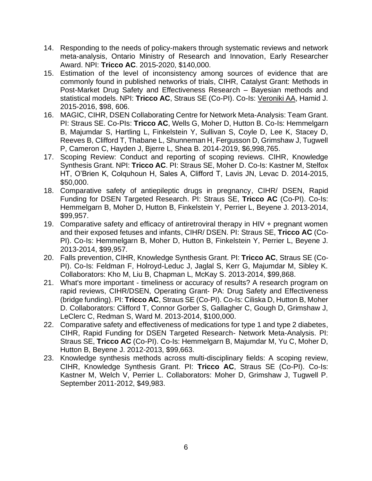- 14. Responding to the needs of policy-makers through systematic reviews and network meta-analysis, Ontario Ministry of Research and Innovation, Early Researcher Award. NPI: **Tricco AC**. 2015-2020, \$140,000.
- 15. Estimation of the level of inconsistency among sources of evidence that are commonly found in published networks of trials, CIHR, Catalyst Grant: Methods in Post-Market Drug Safety and Effectiveness Research – Bayesian methods and statistical models. NPI: **Tricco AC**, Straus SE (Co-PI). Co-Is: Veroniki AA, Hamid J. 2015-2016, \$98, 606.
- 16. MAGIC, CIHR, DSEN Collaborating Centre for Network Meta-Analysis: Team Grant. PI: Straus SE. Co-PIs: **Tricco AC**, Wells G, Moher D, Hutton B. Co-Is: Hemmelgarn B, Majumdar S, Hartling L, Finkelstein Y, Sullivan S, Coyle D, Lee K, Stacey D, Reeves B, Clifford T, Thabane L, Shunneman H, Fergusson D, Grimshaw J, Tugwell P, Cameron C, Hayden J, Bjerre L, Shea B. 2014-2019, \$6,998,765.
- 17. Scoping Review: Conduct and reporting of scoping reviews. CIHR, Knowledge Synthesis Grant. NPI: **Tricco AC**. PI: Straus SE, Moher D. Co-Is: Kastner M, Stelfox HT, O'Brien K, Colquhoun H, Sales A, Clifford T, Lavis JN, Levac D. 2014-2015, \$50,000.
- 18. Comparative safety of antiepileptic drugs in pregnancy, CIHR/ DSEN, Rapid Funding for DSEN Targeted Research. PI: Straus SE, **Tricco AC** (Co-PI). Co-Is: Hemmelgarn B, Moher D, Hutton B, Finkelstein Y, Perrier L, Beyene J. 2013-2014, \$99,957.
- 19. Comparative safety and efficacy of antiretroviral therapy in HIV + pregnant women and their exposed fetuses and infants, CIHR/ DSEN. PI: Straus SE, **Tricco AC** (Co-PI). Co-Is: Hemmelgarn B, Moher D, Hutton B, Finkelstein Y, Perrier L, Beyene J. 2013-2014, \$99,957.
- 20. Falls prevention, CIHR, Knowledge Synthesis Grant. PI: **Tricco AC**, Straus SE (Co-PI). Co-Is: Feldman F, Holroyd-Leduc J, Jaglal S, Kerr G, Majumdar M, Sibley K. Collaborators: Kho M, Liu B, Chapman L, McKay S. 2013-2014, \$99,868.
- 21. What's more important timeliness or accuracy of results? A research program on rapid reviews, CIHR/DSEN, Operating Grant- PA: Drug Safety and Effectiveness (bridge funding). PI: **Tricco AC**, Straus SE (Co-PI). Co-Is: Ciliska D, Hutton B, Moher D. Collaborators: Clifford T, Connor Gorber S, Gallagher C, Gough D, Grimshaw J, LeClerc C, Redman S, Ward M. 2013-2014, \$100,000.
- 22. Comparative safety and effectiveness of medications for type 1 and type 2 diabetes, CIHR, Rapid Funding for DSEN Targeted Research- Network Meta-Analysis. PI: Straus SE, **Tricco AC** (Co-PI). Co-Is: Hemmelgarn B, Majumdar M, Yu C, Moher D, Hutton B, Beyene J. 2012-2013, \$99,663.
- 23. Knowledge synthesis methods across multi-disciplinary fields: A scoping review, CIHR, Knowledge Synthesis Grant. PI: **Tricco AC**, Straus SE (Co-PI). Co-Is: Kastner M, Welch V, Perrier L. Collaborators: Moher D, Grimshaw J, Tugwell P. September 2011-2012, \$49,983.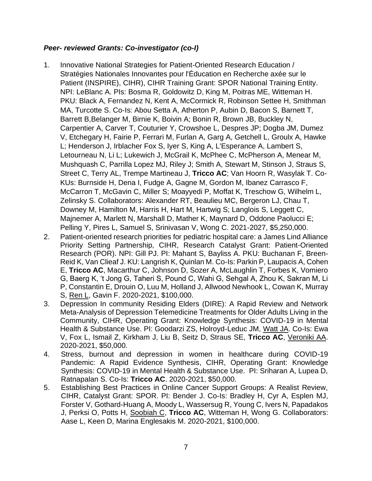# *Peer- reviewed Grants: Co-investigator (co-I)*

- 1. Innovative National Strategies for Patient-Oriented Research Education / Stratégies Nationales Innovantes pour l'Éducation en Recherche axée sur le Patient (INSPIRE), CIHR), CIHR Training Grant: SPOR National Training Entity. NPI: LeBlanc A. PIs: Bosma R, Goldowitz D, King M, Poitras ME, Witteman H. PKU: Black A, Fernandez N, Kent A, McCormick R, Robinson Settee H, Smithman MA, Turcotte S. Co-Is: Abou Setta A, Atherton P, Aubin D, Bacon S, Barnett T, Barrett B,Belanger M, Birnie K, Boivin A; Bonin R, Brown JB, Buckley N, Carpentier A, Carver T, Couturier Y, Crowshoe L, Despres JP; Dogba JM, Dumez V, Etchegary H, Fairie P, Ferrari M, Furlan A, Garg A, Getchell L, Groulx A, Hawke L; Henderson J, Irblacher Fox S, Iyer S, King A, L'Esperance A, Lambert S, Letourneau N, Li L; Lukewich J, McGrail K, McPhee C, McPherson A, Menear M, Mushquash C, Parrilla Lopez MJ, Riley J; Smith A, Stewart M, Stinson J, Straus S, Street C, Terry AL, Trempe Martineau J, **Tricco AC**; Van Hoorn R, Wasylak T. Co-KUs: Burnside H, Dena I, Fudge A, Gagne M, Gordon M, Ibanez Carrasco F, McCarron T, McGavin C, Miller S; Moayyedi P, Moffat K, Treschow G, Wilhelm L, Zelinsky S. Collaborators: Alexander RT, Beaulieu MC, Bergeron LJ, Chau T, Downey M, Hamilton M, Harris H, Hart M, Hartwig S; Langlois S, Leggett C, Majnemer A, Marlett N, Marshall D, Mather K, Maynard D, Oddone Paolucci E; Pelling Y, Pires L, Samuel S, Srinivasan V, Wong C. 2021-2027, \$5,250,000.
- 2. Patient-oriented research priorities for pediatric hospital care: a James Lind Alliance Priority Setting Partnership, CIHR, Research Catalyst Grant: Patient-Oriented Research (POR). NPI: Gill PJ. PI: Mahant S, Bayliss A. PKU: Buchanan F, Breen-Reid K, Van Clieaf J. KU: Langrish K, Quinlan M. Co-Is: Parkin P, Laupacis A, Cohen E, **Tricco AC**, Macarthur C, Johnson D, Sozer A, McLaughlin T, Forbes K, Vomiero G, Baerg K, 't Jong G, Taheri S, Pound C, Wahi G, Sehgal A, Zhou K, Sakran M, Li P, Constantin E, Drouin O, Luu M, Holland J, Allwood Newhook L, Cowan K, Murray S, Ren L, Gavin F. 2020-2021, \$100,000.
- 3. Depression In community Residing Elders (DIRE): A Rapid Review and Network Meta-Analysis of Depression Telemedicine Treatments for Older Adults Living in the Community, CIHR, Operating Grant: Knowledge Synthesis: COVID-19 in Mental Health & Substance Use. PI: Goodarzi ZS, Holroyd-Leduc JM, Watt JA. Co-Is: Ewa V, Fox L, Ismail Z, Kirkham J, Liu B, Seitz D, Straus SE, **Tricco AC**, Veroniki AA. 2020-2021, \$50,000.
- 4. Stress, burnout and depression in women in healthcare during COVID-19 Pandemic: A Rapid Evidence Synthesis, CIHR, Operating Grant: Knowledge Synthesis: COVID-19 in Mental Health & Substance Use. PI: Sriharan A, Lupea D, Ratnapalan S. Co-Is: **Tricco AC**. 2020-2021, \$50,000.
- 5. Establishing Best Practices in Online Cancer Support Groups: A Realist Review, CIHR, Catalyst Grant: SPOR. PI: Bender J. Co-Is: Bradley H, Cyr A, Esplen MJ, Forster V, Gothard-Huang A, Moody L, Wassersug R, Young C, Ivers N, Papadakos J, Perksi O, Potts H, Soobiah C, **Tricco AC**, Witteman H, Wong G. Collaborators: Aase L, Keen D, Marina Englesakis M. 2020-2021, \$100,000.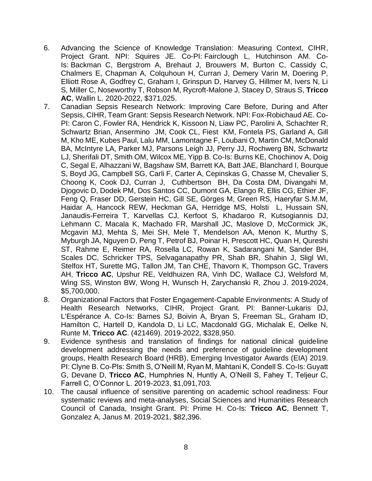- 6. Advancing the Science of Knowledge Translation: Measuring Context, CIHR, Project Grant. NPI: Squires JE. Co-PI: Fairclough L, Hutchinson AM. Co-Is: Backman C, Bergstrom A, Brehaut J, Brouwers M, Burton C, Cassidy C, Chalmers E, Chapman A, Colquhoun H, Curran J, Demery Varin M, Doering P, Elliott Rose A, Godfrey C, Graham I, Grinspun D, Harvey G, Hillmer M, Ivers N, Li S, Miller C, Noseworthy T, Robson M, Rycroft-Malone J, Stacey D, Straus S, **Tricco AC**, Wallin L. 2020-2022, \$371,025.
- 7. Canadian Sepsis Research Network: Improving Care Before, During and After Sepsis, CIHR, Team Grant: Sepsis Research Network. NPI: Fox-Robichaud AE. Co-PI: Caron C, Fowler RA, Hendrick K, Kissoon N, Liaw PC, Parolini A, Schachter R, Schwartz Brian, Ansermino JM, Cook CL, Fiest KM, Fontela PS, Garland A, Gill M, Kho ME, Kubes Paul, Lalu MM, Lamontagne F, Loubani O, Martin CM, McDonald BA, McIntyre LA, Parker MJ, Parsons Leigh JJ, Perry JJ, Rochwerg BN, Schwartz LJ, Sherifali DT, Smith OM, Wilcox ME, Yipp B. Co-Is: Burns KE, Chochinov A, Doig C, Segal E, Alhazzani W, Bagshaw SM, Barrett KA, Batt JAE, Blanchard I, Bourque S, Boyd JG, Campbell SG, Carli F, Carter A, Cepinskas G, Chasse M, Chevalier S, Choong K, Cook DJ, Curran J, Cuthbertson BH, Da Costa DM, Divangahi M, Djogovic D, Dodek PM, Dos Santos CC, Dumont GA, Elango R, Ellis CG, Ethier JF, Feng Q, Fraser DD, Gerstein HC, Gill SE, Görges M, Green RS, Haeryfar S.M.M, Haidar A, Hancock REW, Heckman GA, Herridge MS, Holsti L, Hussain SN, Janaudis-Ferreira T, Karvellas CJ, Kerfoot S, Khadaroo R, Kutsogiannis DJ, Lehmann C, Macala K, Machado FR, Marshall JC, Maslove D, McCormick JK, Mcgavin MJ, Mehta S, Mei SH, Mele T, Mendelson AA, Menon K, Murthy S, Myburgh JA, Nguyen D, Peng T, Petrof BJ, Poinar H, Prescott HC, Quan H, Qureshi ST, Rahme E, Reimer RA, Rosella LC, Rowan K, Sadarangani M, Sander BH, Scales DC, Schricker TPS, Selvaganapathy PR, Shah BR, Shahin J, Sligl WI, Stelfox HT, Surette MG, Tallon JM, Tan CHE, Thavorn K, Thompson GC, Travers AH, **Tricco AC**, Upshur RE, Veldhuizen RA, Vinh DC, Wallace CJ, Welsford M, Wing SS, Winston BW, Wong H, Wunsch H, Zarychanski R, Zhou J. 2019-2024, \$5,700,000.
- 8. Organizational Factors that Foster Engagement-Capable Environments: A Study of Health Research Networks, CIHR, Project Grant. PI: Banner-Lukaris DJ, L'Espérance A. Co-Is: Barnes SJ, Boivin A, Bryan S, Freeman SL, Graham ID, Hamilton C, Hartell D, Kandola D, Li LC, Macdonald GG, Michalak E, Oelke N, Runte M, **Tricco AC**. (421469). 2019-2022, \$328,950.
- 9. Evidence synthesis and translation of findings for national clinical guideline development addressing the needs and preference of guideline development groups, Health Research Board (HRB), Emerging Investigator Awards (EIA) 2019. PI: Clyne B. Co-PIs: Smith S, O'Neill M, Ryan M, Mahtani K, Condell S. Co-Is: Guyatt G, Devane D, **Tricco AC**, Humphries N, Huntly A, O'Neill S, Fahey T, Teljeur C, Farrell C, O'Connor L. 2019-2023, \$1,091,703.
- 10. The causal influence of sensitive parenting on academic school readiness: Four systematic reviews and meta-analyses, Social Sciences and Humanities Research Council of Canada, Insight Grant. PI: Prime H. Co-Is: **Tricco AC**, Bennett T, Gonzalez A, Janus M. 2019-2021, \$82,396.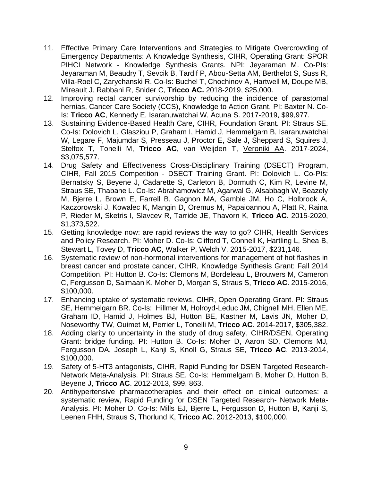- 11. Effective Primary Care Interventions and Strategies to Mitigate Overcrowding of Emergency Departments: A Knowledge Synthesis, CIHR, Operating Grant: SPOR PIHCI Network - Knowledge Synthesis Grants. NPI: Jeyaraman M. Co-PIs: Jeyaraman M, Beaudry T, Sevcik B, Tardif P, Abou-Setta AM, Berthelot S, Suss R, Villa-Roel C, Zarychanski R. Co-Is: Buchel T, Chochinov A, Hartwell M, Doupe MB, Mireault J, Rabbani R, Snider C, **Tricco AC.** 2018-2019, \$25,000.
- 12. Improving rectal cancer survivorship by reducing the incidence of parastomal hernias, Cancer Care Society (CCS), Knowledge to Action Grant. PI: Baxter N. Co-Is: **Tricco AC**, Kennedy E, Isaranuwatchai W, Acuna S. 2017-2019, \$99,977.
- 13. Sustaining Evidence-Based Health Care, CIHR, Foundation Grant. PI: Straus SE. Co-Is: Dolovich L, Glasziou P, Graham I, Hamid J, Hemmelgarn B, Isaranuwatchai W, Legare F, Majumdar S, Presseau J, Proctor E, Sale J, Sheppard S, Squires J, Stelfox T, Tonelli M, **Tricco AC**, van Weijden T, Veroniki AA. 2017-2024, \$3,075,577.
- 14. Drug Safety and Effectiveness Cross-Disciplinary Training (DSECT) Program, CIHR, Fall 2015 Competition - DSECT Training Grant. PI: Dolovich L. Co-PIs: Bernatsky S, Beyene J, Cadarette S, Carleton B, Dormuth C, Kim R, Levine M, Straus SE, Thabane L. Co-Is: Abrahamowicz M, Agarwal G, Alsabbagh W, Beazely M, Bjerre L, Brown E, Farrell B, Gagnon MA, Gamble JM, Ho C, Holbrook A, Kaczorowski J, Kowalec K, Mangin D, Oremus M, Papaioannou A, Platt R, Raina P, Rieder M, Sketris I, Slavcev R, Tarride JE, Thavorn K, **Tricco AC**. 2015-2020, \$1,373,522.
- 15. Getting knowledge now: are rapid reviews the way to go? CIHR, Health Services and Policy Research. PI: Moher D. Co-Is: Clifford T, Connell K, Hartling L, Shea B, Stewart L, Tovey D, **Tricco AC**, Walker P, Welch V. 2015-2017, \$231,146.
- 16. Systematic review of non-hormonal interventions for management of hot flashes in breast cancer and prostate cancer, CIHR, Knowledge Synthesis Grant: Fall 2014 Competition. PI: Hutton B. Co-Is: Clemons M, Bordeleau L, Brouwers M, Cameron C, Fergusson D, Salmaan K, Moher D, Morgan S, Straus S, **Tricco AC**. 2015-2016, \$100,000.
- 17. Enhancing uptake of systematic reviews, CIHR, Open Operating Grant. PI: Straus SE, Hemmelgarn BR. Co-Is: Hillmer M, Holroyd-Leduc JM, Chignell MH, Ellen ME, Graham ID, Hamid J, Holmes BJ, Hutton BE, Kastner M, Lavis JN, Moher D, Noseworthy TW, Ouimet M, Perrier L, Tonelli M, **Tricco AC**. 2014-2017, \$305,382.
- 18. Adding clarity to uncertainty in the study of drug safety, CIHR/DSEN, Operating Grant: bridge funding. PI: Hutton B. Co-Is: Moher D, Aaron SD, Clemons MJ, Fergusson DA, Joseph L, Kanji S, Knoll G, Straus SE, **Tricco AC**. 2013-2014, \$100,000.
- 19. Safety of 5-HT3 antagonists, CIHR, Rapid Funding for DSEN Targeted Research-Network Meta-Analysis. PI: Straus SE. Co-Is: Hemmelgarn B, Moher D, Hutton B, Beyene J, **Tricco AC**. 2012-2013, \$99, 863.
- 20. Antihypertensive pharmacotherapies and their effect on clinical outcomes: a systematic review, Rapid Funding for DSEN Targeted Research- Network Meta-Analysis. PI: Moher D. Co-Is: Mills EJ, Bjerre L, Fergusson D, Hutton B, Kanji S, Leenen FHH, Straus S, Thorlund K, **Tricco AC**. 2012-2013, \$100,000.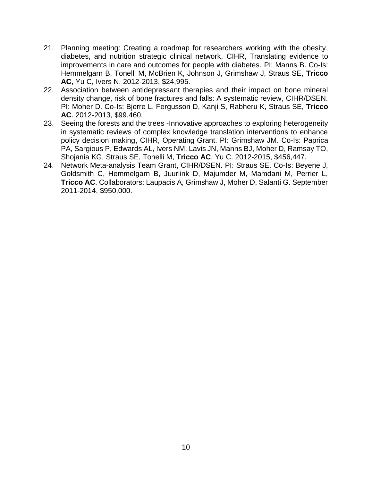- 21. Planning meeting: Creating a roadmap for researchers working with the obesity, diabetes, and nutrition strategic clinical network, CIHR, Translating evidence to improvements in care and outcomes for people with diabetes. PI: Manns B. Co-Is: Hemmelgarn B, Tonelli M, McBrien K, Johnson J, Grimshaw J, Straus SE, **Tricco AC**, Yu C, Ivers N. 2012-2013, \$24,995.
- 22. Association between antidepressant therapies and their impact on bone mineral density change, risk of bone fractures and falls: A systematic review, CIHR/DSEN. PI: Moher D. Co-Is: Bjerre L, Fergusson D, Kanji S, Rabheru K, Straus SE, **Tricco AC**. 2012-2013, \$99,460.
- 23. Seeing the forests and the trees -Innovative approaches to exploring heterogeneity in systematic reviews of complex knowledge translation interventions to enhance policy decision making, CIHR, Operating Grant. PI: Grimshaw JM. Co-Is: Paprica PA, Sargious P, Edwards AL, Ivers NM, Lavis JN, Manns BJ, Moher D, Ramsay TO, Shojania KG, Straus SE, Tonelli M, **Tricco AC**, Yu C. 2012-2015, \$456,447.
- 24. Network Meta-analysis Team Grant, CIHR/DSEN. PI: Straus SE. Co-Is: Beyene J, Goldsmith C, Hemmelgarn B, Juurlink D, Majumder M, Mamdani M, Perrier L, **Tricco AC**. Collaborators: Laupacis A, Grimshaw J, Moher D, Salanti G. September 2011-2014, \$950,000.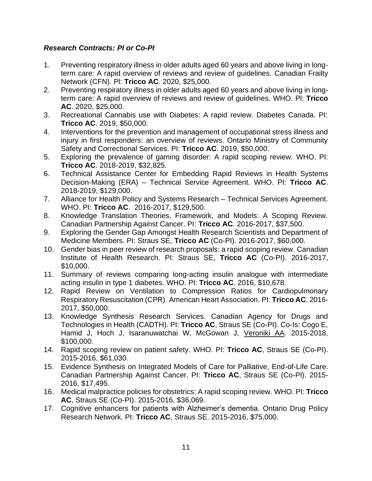# *Research Contracts: PI or Co-PI*

- 1. Preventing respiratory illness in older adults aged 60 years and above living in longterm care: A rapid overview of reviews and review of guidelines. Canadian Frailty Network (CFN). Pl: **Tricco AC**. 2020, \$25,000.
- 2. Preventing respiratory illness in older adults aged 60 years and above living in longterm care: A rapid overview of reviews and review of guidelines. WHO. Pl: **Tricco AC**. 2020, \$25,000.
- 3. Recreational Cannabis use with Diabetes: A rapid review. Diabetes Canada. PI: **Tricco AC**. 2019, \$50,000.
- 4. Interventions for the prevention and management of occupational stress illness and injury in first responders: an overview of reviews. Ontario Ministry of Community Safety and Correctional Services. PI: **Tricco AC**. 2019, \$50,000.
- 5. Exploring the prevalence of gaming disorder: A rapid scoping review. WHO. PI: **Tricco AC**. 2018-2019, \$32,825.
- 6. Technical Assistance Center for Embedding Rapid Reviews in Health Systems Decision-Making (ERA) – Technical Service Agreement. WHO. PI: **Tricco AC**. 2018-2019, \$129,000.
- 7. Alliance for Health Policy and Systems Research Technical Services Agreement. WHO. PI: **Tricco AC**. 2016-2017, \$129,500.
- 8. Knowledge Translation Theories, Framework, and Models: A Scoping Review. Canadian Partnership Against Cancer. PI: **Tricco AC**. 2016-2017, \$37,500.
- 9. Exploring the Gender Gap Amongst Health Research Scientists and Department of Medicine Members. PI: Straus SE, **Tricco AC** (Co-PI). 2016-2017, \$60,000.
- 10. Gender bias in peer review of research proposals: a rapid scoping review. Canadian Institute of Health Research. PI: Straus SE, **Tricco AC** (Co-PI). 2016-2017, \$10,000.
- 11. Summary of reviews comparing long-acting insulin analogue with intermediate acting insulin in type 1 diabetes. WHO. PI: **Tricco AC**. 2016, \$10,678.
- 12. Rapid Review on Ventilation to Compression Ratios for Cardiopulmonary Respiratory Resuscitation (CPR). American Heart Association. PI: **Tricco AC**. 2016- 2017, \$50,000.
- 13. Knowledge Synthesis Research Services. Canadian Agency for Drugs and Technologies in Health (CADTH). PI: **Tricco AC**, Straus SE (Co-PI). Co-Is: Cogo E, Hamid J, Hoch J, Isaranuwatchai W, McGowan J, Veroniki AA. 2015-2018, \$100,000.
- 14. Rapid scoping review on patient safety. WHO. PI: **Tricco AC**, Straus SE (Co-PI). 2015-2016, \$61,030.
- 15. Evidence Synthesis on Integrated Models of Care for Palliative, End-of-Life Care. Canadian Partnership Against Cancer. PI: **Tricco AC**, Straus SE (Co-PI). 2015- 2016, \$17,495.
- 16. Medical malpractice policies for obstetrics: A rapid scoping review. WHO. PI: **Tricco AC**, Straus SE (Co-PI). 2015-2016, \$36,069.
- 17. Cognitive enhancers for patients with Alzheimer's dementia. Ontario Drug Policy Research Network. PI: **Tricco AC**, Straus SE. 2015-2016, \$75,000.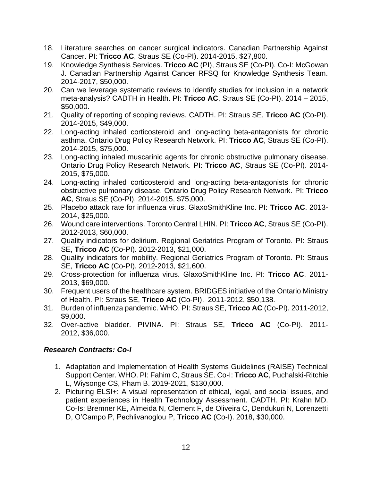- 18. Literature searches on cancer surgical indicators. Canadian Partnership Against Cancer. PI: **Tricco AC**, Straus SE (Co-PI). 2014-2015, \$27,800.
- 19. Knowledge Synthesis Services. **Tricco AC** (PI), Straus SE (Co-PI). Co-I: McGowan J. Canadian Partnership Against Cancer RFSQ for Knowledge Synthesis Team. 2014-2017, \$50,000.
- 20. Can we leverage systematic reviews to identify studies for inclusion in a network meta-analysis? CADTH in Health. PI: **Tricco AC**, Straus SE (Co-PI). 2014 – 2015, \$50,000.
- 21. Quality of reporting of scoping reviews. CADTH. PI: Straus SE, **Tricco AC** (Co-PI). 2014-2015, \$49,000.
- 22. Long-acting inhaled corticosteroid and long-acting beta-antagonists for chronic asthma. Ontario Drug Policy Research Network. PI: **Tricco AC**, Straus SE (Co-PI). 2014-2015, \$75,000.
- 23. Long-acting inhaled muscarinic agents for chronic obstructive pulmonary disease. Ontario Drug Policy Research Network. PI: **Tricco AC**, Straus SE (Co-PI). 2014- 2015, \$75,000.
- 24. Long-acting inhaled corticosteroid and long-acting beta-antagonists for chronic obstructive pulmonary disease. Ontario Drug Policy Research Network. PI: **Tricco AC**, Straus SE (Co-PI). 2014-2015, \$75,000.
- 25. Placebo attack rate for influenza virus. GlaxoSmithKline Inc. PI: **Tricco AC**. 2013- 2014, \$25,000.
- 26. Wound care interventions. Toronto Central LHIN. PI: **Tricco AC**, Straus SE (Co-PI). 2012-2013, \$60,000.
- 27. Quality indicators for delirium. Regional Geriatrics Program of Toronto. PI: Straus SE, **Tricco AC** (Co-PI). 2012-2013, \$21,000.
- 28. Quality indicators for mobility. Regional Geriatrics Program of Toronto. PI: Straus SE, **Tricco AC** (Co-PI). 2012-2013, \$21,600.
- 29. Cross-protection for influenza virus. GlaxoSmithKline Inc. PI: **Tricco AC**. 2011- 2013, \$69,000.
- 30. Frequent users of the healthcare system. BRIDGES initiative of the Ontario Ministry of Health. PI: Straus SE, **Tricco AC** (Co-PI). 2011-2012, \$50,138.
- 31. Burden of influenza pandemic. WHO. PI: Straus SE, **Tricco AC** (Co-PI). 2011-2012, \$9,000.
- 32. Over-active bladder. PIVINA. PI: Straus SE, **Tricco AC** (Co-PI). 2011- 2012, \$36,000.

# *Research Contracts: Co-I*

- 1. Adaptation and Implementation of Health Systems Guidelines (RAISE) Technical Support Center. WHO. PI: Fahim C, Straus SE. Co-I: **Tricco AC**, Puchalski-Ritchie L, Wiysonge CS, Pham B. 2019-2021, \$130,000.
- 2. Picturing ELSI+: A visual representation of ethical, legal, and social issues, and patient experiences in Health Technology Assessment. CADTH. PI: Krahn MD. Co-Is: Bremner KE, Almeida N, Clement F, de Oliveira C, Dendukuri N, Lorenzetti D, O'Campo P, Pechlivanoglou P, **Tricco AC** (Co-I). 2018, \$30,000.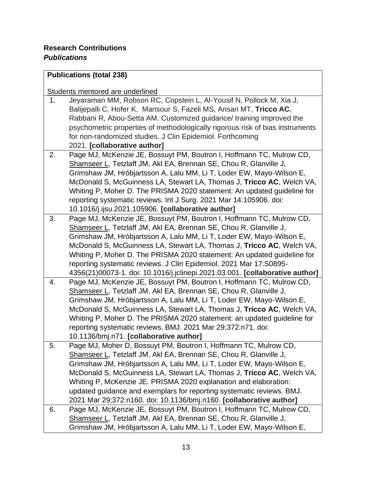# **Publications (total 238)**

# Students mentored are underlined

| 1. | Jeyaraman MM, Robson RC, Copstein L, Al-Yousif N, Pollock M, Xia J,           |
|----|-------------------------------------------------------------------------------|
|    | Balijepalli C, Hofer K, Mansour S, Fazeli MS, Ansari MT, Tricco AC,           |
|    | Rabbani R, Abou-Setta AM. Customized guidance/ training improved the          |
|    | psychometric properties of methodologically rigorous risk of bias instruments |
|    | for non-randomized studies. J Clin Epidemiol. Forthcoming                     |
|    | 2021. [collaborative author]                                                  |
| 2. | Page MJ, McKenzie JE, Bossuyt PM, Boutron I, Hoffmann TC, Mulrow CD,          |
|    | Shamseer L, Tetzlaff JM, Akl EA, Brennan SE, Chou R, Glanville J,             |
|    | Grimshaw JM, Hróbjartsson A, Lalu MM, Li T, Loder EW, Mayo-Wilson E,          |
|    | McDonald S, McGuinness LA, Stewart LA, Thomas J, Tricco AC, Welch VA,         |
|    | Whiting P, Moher D. The PRISMA 2020 statement: An updated guideline for       |
|    | reporting systematic reviews. Int J Surg. 2021 Mar 14:105906. doi:            |
|    | 10.1016/j.ijsu.2021.105906. [collaborative author]                            |
| 3. | Page MJ, McKenzie JE, Bossuyt PM, Boutron I, Hoffmann TC, Mulrow CD,          |
|    | Shamseer L, Tetzlaff JM, Akl EA, Brennan SE, Chou R, Glanville J,             |
|    | Grimshaw JM, Hróbjartsson A, Lalu MM, Li T, Loder EW, Mayo-Wilson E,          |
|    | McDonald S, McGuinness LA, Stewart LA, Thomas J, Tricco AC, Welch VA,         |
|    | Whiting P, Moher D. The PRISMA 2020 statement: An updated guideline for       |
|    | reporting systematic reviews. J Clin Epidemiol. 2021 Mar 17:S0895-            |
|    | 4356(21)00073-1. doi: 10.1016/j.jclinepi.2021.03.001. [collaborative author]  |
| 4. | Page MJ, McKenzie JE, Bossuyt PM, Boutron I, Hoffmann TC, Mulrow CD,          |
|    | Shamseer L, Tetzlaff JM, Akl EA, Brennan SE, Chou R, Glanville J,             |
|    | Grimshaw JM, Hróbjartsson A, Lalu MM, Li T, Loder EW, Mayo-Wilson E,          |
|    | McDonald S, McGuinness LA, Stewart LA, Thomas J, Tricco AC, Welch VA,         |
|    | Whiting P, Moher D. The PRISMA 2020 statement: an updated guideline for       |
|    | reporting systematic reviews. BMJ. 2021 Mar 29;372:n71. doi:                  |
|    | 10.1136/bmj.n71. [collaborative author]                                       |
| 5. | Page MJ, Moher D, Bossuyt PM, Boutron I, Hoffmann TC, Mulrow CD,              |
|    | Shamseer L, Tetzlaff JM, Akl EA, Brennan SE, Chou R, Glanville J,             |
|    | Grimshaw JM, Hróbjartsson A, Lalu MM, Li T, Loder EW, Mayo-Wilson E,          |
|    | McDonald S, McGuinness LA, Stewart LA, Thomas J, Tricco AC, Welch VA,         |
|    | Whiting P, McKenzie JE. PRISMA 2020 explanation and elaboration:              |
|    | updated guidance and exemplars for reporting systematic reviews. BMJ.         |
|    | 2021 Mar 29;372:n160. doi: 10.1136/bmj.n160. [collaborative author]           |
| 6. | Page MJ, McKenzie JE, Bossuyt PM, Boutron I, Hoffmann TC, Mulrow CD,          |
|    | Shamseer L, Tetzlaff JM, Akl EA, Brennan SE, Chou R, Glanville J,             |
|    | Grimshaw JM, Hróbjartsson A, Lalu MM, Li T, Loder EW, Mayo-Wilson E,          |
|    |                                                                               |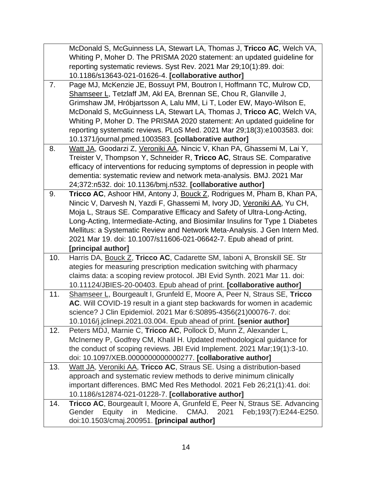|     | McDonald S, McGuinness LA, Stewart LA, Thomas J, Tricco AC, Welch VA,         |
|-----|-------------------------------------------------------------------------------|
|     | Whiting P, Moher D. The PRISMA 2020 statement: an updated guideline for       |
|     | reporting systematic reviews. Syst Rev. 2021 Mar 29;10(1):89. doi:            |
|     | 10.1186/s13643-021-01626-4. [collaborative author]                            |
| 7.  | Page MJ, McKenzie JE, Bossuyt PM, Boutron I, Hoffmann TC, Mulrow CD,          |
|     | Shamseer L, Tetzlaff JM, Akl EA, Brennan SE, Chou R, Glanville J,             |
|     | Grimshaw JM, Hróbjartsson A, Lalu MM, Li T, Loder EW, Mayo-Wilson E,          |
|     | McDonald S, McGuinness LA, Stewart LA, Thomas J, Tricco AC, Welch VA,         |
|     | Whiting P, Moher D. The PRISMA 2020 statement: An updated guideline for       |
|     | reporting systematic reviews. PLoS Med. 2021 Mar 29;18(3):e1003583. doi:      |
|     | 10.1371/journal.pmed.1003583. [collaborative author]                          |
| 8.  | Watt JA, Goodarzi Z, Veroniki AA, Nincic V, Khan PA, Ghassemi M, Lai Y,       |
|     | Treister V, Thompson Y, Schneider R, Tricco AC, Straus SE. Comparative        |
|     | efficacy of interventions for reducing symptoms of depression in people with  |
|     | dementia: systematic review and network meta-analysis. BMJ. 2021 Mar          |
|     | 24;372:n532. doi: 10.1136/bmj.n532. [collaborative author]                    |
| 9.  | Tricco AC, Ashoor HM, Antony J, Bouck Z, Rodrigues M, Pham B, Khan PA,        |
|     | Nincic V, Darvesh N, Yazdi F, Ghassemi M, Ivory JD, Veroniki AA, Yu CH,       |
|     | Moja L, Straus SE. Comparative Efficacy and Safety of Ultra-Long-Acting,      |
|     | Long-Acting, Intermediate-Acting, and Biosimilar Insulins for Type 1 Diabetes |
|     | Mellitus: a Systematic Review and Network Meta-Analysis. J Gen Intern Med.    |
|     | 2021 Mar 19. doi: 10.1007/s11606-021-06642-7. Epub ahead of print.            |
|     | [principal author]                                                            |
| 10. | Harris DA, Bouck Z, Tricco AC, Cadarette SM, Iaboni A, Bronskill SE. Str      |
|     | ategies for measuring prescription medication switching with pharmacy         |
|     | claims data: a scoping review protocol. JBI Evid Synth. 2021 Mar 11. doi:     |
|     | 10.11124/JBIES-20-00403. Epub ahead of print. [collaborative author]          |
| 11. | Shamseer L, Bourgeault I, Grunfeld E, Moore A, Peer N, Straus SE, Tricco      |
|     | AC. Will COVID-19 result in a giant step backwards for women in academic      |
|     | science? J Clin Epidemiol. 2021 Mar 6:S0895-4356(21)00076-7. doi:             |
|     | 10.1016/j.jclinepi.2021.03.004. Epub ahead of print. [senior author]          |
| 12. | Peters MDJ, Marnie C, Tricco AC, Pollock D, Munn Z, Alexander L,              |
|     | McInerney P, Godfrey CM, Khalil H. Updated methodological guidance for        |
|     | the conduct of scoping reviews. JBI Evid Implement. 2021 Mar;19(1):3-10.      |
|     | doi: 10.1097/XEB.0000000000000277. [collaborative author]                     |
| 13. | Watt JA, Veroniki AA, Tricco AC, Straus SE. Using a distribution-based        |
|     | approach and systematic review methods to derive minimum clinically           |
|     | important differences. BMC Med Res Methodol. 2021 Feb 26;21(1):41. doi:       |
|     | 10.1186/s12874-021-01228-7. [collaborative author]                            |
| 14. | Tricco AC, Bourgeault I, Moore A, Grunfeld E, Peer N, Straus SE. Advancing    |
|     | Gender<br>Equity<br>Medicine.<br>CMAJ.<br>Feb;193(7):E244-E250.<br>in<br>2021 |
|     | doi:10.1503/cmaj.200951. [principal author]                                   |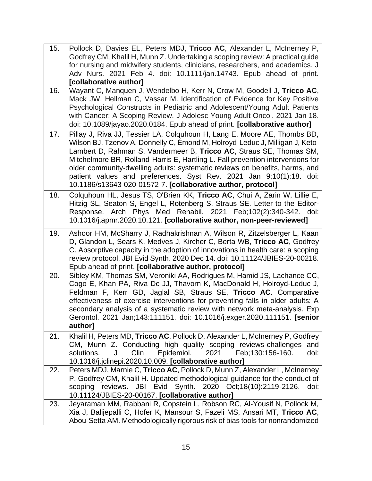| 15. | Pollock D, Davies EL, Peters MDJ, Tricco AC, Alexander L, McInerney P,<br>Godfrey CM, Khalil H, Munn Z. Undertaking a scoping review: A practical guide<br>for nursing and midwifery students, clinicians, researchers, and academics. J |
|-----|------------------------------------------------------------------------------------------------------------------------------------------------------------------------------------------------------------------------------------------|
|     | Adv Nurs. 2021 Feb 4. doi: 10.1111/jan.14743. Epub ahead of print.                                                                                                                                                                       |
|     | [collaborative author]                                                                                                                                                                                                                   |
| 16. | Wayant C, Manquen J, Wendelbo H, Kerr N, Crow M, Goodell J, Tricco AC,                                                                                                                                                                   |
|     | Mack JW, Hellman C, Vassar M. Identification of Evidence for Key Positive                                                                                                                                                                |
|     | Psychological Constructs in Pediatric and Adolescent/Young Adult Patients                                                                                                                                                                |
|     | with Cancer: A Scoping Review. J Adolesc Young Adult Oncol. 2021 Jan 18.                                                                                                                                                                 |
|     | doi: 10.1089/jayao.2020.0184. Epub ahead of print. [collaborative author]                                                                                                                                                                |
| 17. | Pillay J, Riva JJ, Tessier LA, Colquhoun H, Lang E, Moore AE, Thombs BD,<br>Wilson BJ, Tzenov A, Donnelly C, Emond M, Holroyd-Leduc J, Milligan J, Keto-                                                                                 |
|     | Lambert D, Rahman S, Vandermeer B, Tricco AC, Straus SE, Thomas SM,                                                                                                                                                                      |
|     | Mitchelmore BR, Rolland-Harris E, Hartling L. Fall prevention interventions for                                                                                                                                                          |
|     | older community-dwelling adults: systematic reviews on benefits, harms, and                                                                                                                                                              |
|     | patient values and preferences. Syst Rev. 2021 Jan 9;10(1):18. doi:                                                                                                                                                                      |
|     | 10.1186/s13643-020-01572-7. [collaborative author, protocol]                                                                                                                                                                             |
| 18. | Colquhoun HL, Jesus TS, O'Brien KK, Tricco AC, Chui A, Zarin W, Lillie E,<br>Hitzig SL, Seaton S, Engel L, Rotenberg S, Straus SE. Letter to the Editor-                                                                                 |
|     | Response. Arch Phys Med Rehabil. 2021 Feb;102(2):340-342. doi:                                                                                                                                                                           |
|     | 10.1016/j.apmr.2020.10.121. [collaborative author, non-peer-reviewed]                                                                                                                                                                    |
| 19. | Ashoor HM, McSharry J, Radhakrishnan A, Wilson R, Zitzelsberger L, Kaan                                                                                                                                                                  |
|     | D, Glandon L, Sears K, Medves J, Kircher C, Berta WB, Tricco AC, Godfrey                                                                                                                                                                 |
|     | C. Absorptive capacity in the adoption of innovations in health care: a scoping                                                                                                                                                          |
|     | review protocol. JBI Evid Synth. 2020 Dec 14. doi: 10.11124/JBIES-20-00218.                                                                                                                                                              |
|     | Epub ahead of print. [collaborative author, protocol]                                                                                                                                                                                    |
| 20. | Sibley KM, Thomas SM, Veroniki AA, Rodrigues M, Hamid JS, Lachance CC,<br>Cogo E, Khan PA, Riva Dc JJ, Thavorn K, MacDonald H, Holroyd-Leduc J,                                                                                          |
|     | Feldman F, Kerr GD, Jaglal SB, Straus SE, Tricco AC. Comparative                                                                                                                                                                         |
|     | effectiveness of exercise interventions for preventing falls in older adults: A                                                                                                                                                          |
|     | secondary analysis of a systematic review with network meta-analysis. Exp                                                                                                                                                                |
|     | Gerontol. 2021 Jan;143:111151. doi: 10.1016/j.exger.2020.111151. [senior                                                                                                                                                                 |
|     | author]                                                                                                                                                                                                                                  |
| 21. | Khalil H, Peters MD, Tricco AC, Pollock D, Alexander L, McInerney P, Godfrey<br>CM, Munn Z. Conducting high quality scoping reviews-challenges<br>and                                                                                    |
|     | Clin<br>Epidemiol.<br>solutions.<br>J<br>2021<br>Feb;130:156-160.<br>doi:                                                                                                                                                                |
|     | 10.1016/j.jclinepi.2020.10.009. [collaborative author]                                                                                                                                                                                   |
| 22. | Peters MDJ, Marnie C, Tricco AC, Pollock D, Munn Z, Alexander L, McInerney                                                                                                                                                               |
|     | P, Godfrey CM, Khalil H. Updated methodological guidance for the conduct of                                                                                                                                                              |
|     | scoping reviews. JBI Evid Synth. 2020 Oct;18(10):2119-2126.<br>doi:                                                                                                                                                                      |
| 23. | 10.11124/JBIES-20-00167. [collaborative author]<br>Jeyaraman MM, Rabbani R, Copstein L, Robson RC, Al-Yousif N, Pollock M,                                                                                                               |
|     | Xia J, Balijepalli C, Hofer K, Mansour S, Fazeli MS, Ansari MT, Tricco AC,                                                                                                                                                               |
|     | Abou-Setta AM. Methodologically rigorous risk of bias tools for nonrandomized                                                                                                                                                            |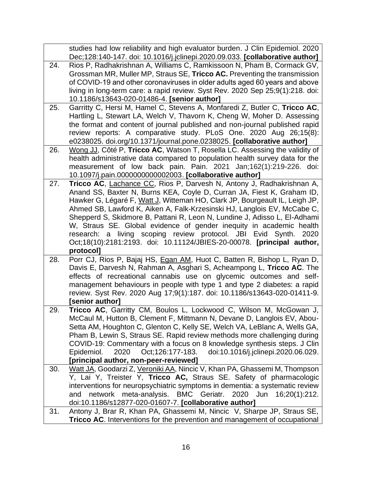|     | studies had low reliability and high evaluator burden. J Clin Epidemiol. 2020                                                                           |
|-----|---------------------------------------------------------------------------------------------------------------------------------------------------------|
|     | Dec;128:140-147. doi: 10.1016/j.jclinepi.2020.09.033. [collaborative author]                                                                            |
| 24. | Rios P, Radhakrishnan A, Williams C, Ramkissoon N, Pham B, Cormack GV,                                                                                  |
|     | Grossman MR, Muller MP, Straus SE, Tricco AC. Preventing the transmission                                                                               |
|     | of COVID-19 and other coronaviruses in older adults aged 60 years and above                                                                             |
|     | living in long-term care: a rapid review. Syst Rev. 2020 Sep 25;9(1):218. doi:                                                                          |
|     | 10.1186/s13643-020-01486-4. [senior author]                                                                                                             |
| 25. | Garritty C, Hersi M, Hamel C, Stevens A, Monfaredi Z, Butler C, Tricco AC,                                                                              |
|     | Hartling L, Stewart LA, Welch V, Thavorn K, Cheng W, Moher D. Assessing                                                                                 |
|     | the format and content of journal published and non-journal published rapid                                                                             |
|     | review reports: A comparative study. PLoS One. 2020 Aug 26;15(8):                                                                                       |
|     | e0238025. doi.org/10.1371/journal.pone.0238025. [collaborative author]                                                                                  |
| 26. | Wong JJ, Côté P, Tricco AC, Watson T, Rosella LC. Assessing the validity of                                                                             |
|     | health administrative data compared to population health survey data for the                                                                            |
|     | measurement of low back pain. Pain. 2021 Jan;162(1):219-226. doi:                                                                                       |
|     | 10.1097/j.pain.0000000000002003. [collaborative author]                                                                                                 |
| 27. | Tricco AC, Lachance CC, Rios P, Darvesh N, Antony J, Radhakrishnan A,                                                                                   |
|     | Anand SS, Baxter N, Burns KEA, Coyle D, Curran JA, Fiest K, Graham ID,                                                                                  |
|     | Hawker G, Légaré F, Watt J, Witteman HO, Clark JP, Bourgeault IL, Leigh JP,<br>Ahmed SB, Lawford K, Aiken A, Falk-Krzesinski HJ, Langlois EV, McCabe C, |
|     | Shepperd S, Skidmore B, Pattani R, Leon N, Lundine J, Adisso L, El-Adhami                                                                               |
|     | W, Straus SE. Global evidence of gender inequity in academic health                                                                                     |
|     | research: a living scoping review protocol. JBI Evid Synth.<br>2020                                                                                     |
|     | Oct;18(10):2181:2193. doi: 10.11124/JBIES-20-00078. [principal author,                                                                                  |
|     | protocol]                                                                                                                                               |
| 28. | Porr CJ, Rios P, Bajaj HS, Egan AM, Huot C, Batten R, Bishop L, Ryan D,                                                                                 |
|     | Davis E, Darvesh N, Rahman A, Asghari S, Acheampong L, Tricco AC. The                                                                                   |
|     | effects of recreational cannabis use on glycemic outcomes and self-                                                                                     |
|     | management behaviours in people with type 1 and type 2 diabetes: a rapid                                                                                |
|     | review. Syst Rev. 2020 Aug 17;9(1):187. doi: 10.1186/s13643-020-01411-9.                                                                                |
|     | [senior author]                                                                                                                                         |
| 29. | Tricco AC, Garritty CM, Boulos L, Lockwood C, Wilson M, McGowan J,                                                                                      |
|     | McCaul M, Hutton B, Clement F, Mittmann N, Devane D, Langlois EV, Abou-                                                                                 |
|     | Setta AM, Houghton C, Glenton C, Kelly SE, Welch VA, LeBlanc A, Wells GA,                                                                               |
|     | Pham B, Lewin S, Straus SE. Rapid review methods more challenging during                                                                                |
|     | COVID-19: Commentary with a focus on 8 knowledge synthesis steps. J Clin                                                                                |
|     | 2020<br>Oct;126:177-183. doi:10.1016/j.jclinepi.2020.06.029.<br>Epidemiol.                                                                              |
|     | [principal author, non-peer-reviewed]                                                                                                                   |
| 30. | Watt JA, Goodarzi Z, Veroniki AA, Nincic V, Khan PA, Ghassemi M, Thompson                                                                               |
|     | Y, Lai Y, Treister Y, Tricco AC, Straus SE. Safety of pharmacologic                                                                                     |
|     | interventions for neuropsychiatric symptoms in dementia: a systematic review<br>meta-analysis. BMC Geriatr. 2020 Jun<br>network<br>16:20(1):212.<br>and |
|     | doi:10.1186/s12877-020-01607-7. [collaborative author]                                                                                                  |
| 31. | Antony J, Brar R, Khan PA, Ghassemi M, Nincic V, Sharpe JP, Straus SE,                                                                                  |
|     |                                                                                                                                                         |
|     | <b>Tricco AC.</b> Interventions for the prevention and management of occupational                                                                       |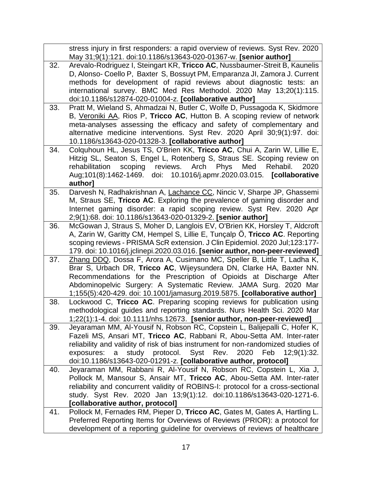|     | stress injury in first responders: a rapid overview of reviews. Syst Rev. 2020                                                                |
|-----|-----------------------------------------------------------------------------------------------------------------------------------------------|
|     | May 31;9(1):121. doi:10.1186/s13643-020-01367-w. [senior author]                                                                              |
| 32. | Arevalo-Rodriguez I, Steingart KR, Tricco AC, Nussbaumer-Streit B, Kaunelis                                                                   |
|     | D, Alonso- Coello P, Baxter S, Bossuyt PM, Emparanza JI, Zamora J. Current                                                                    |
|     | methods for development of rapid reviews about diagnostic tests: an                                                                           |
|     | international survey. BMC Med Res Methodol. 2020 May 13;20(1):115.                                                                            |
|     | doi:10.1186/s12874-020-01004-z. [collaborative author]                                                                                        |
| 33. | Pratt M, Wieland S, Ahmadzai N, Butler C, Wolfe D, Pussagoda K, Skidmore                                                                      |
|     | B, Veroniki AA, Rios P, Tricco AC, Hutton B. A scoping review of network                                                                      |
|     | meta-analyses assessing the efficacy and safety of complementary and                                                                          |
|     | alternative medicine interventions. Syst Rev. 2020 April 30;9(1):97. doi:                                                                     |
|     | 10.1186/s13643-020-01328-3. [collaborative author]                                                                                            |
| 34. | Colquhoun HL, Jesus TS, O'Brien KK, Tricco AC, Chui A, Zarin W, Lillie E,                                                                     |
|     | Hitzig SL, Seaton S, Engel L, Rotenberg S, Straus SE. Scoping review on                                                                       |
|     | Phys<br>Med<br>Rehabil.<br>rehabilitation<br>scoping reviews. Arch<br>2020                                                                    |
|     | Aug;101(8):1462-1469. doi: 10.1016/j.apmr.2020.03.015. [collaborative                                                                         |
| 35. | author]<br>Darvesh N, Radhakrishnan A, Lachance CC, Nincic V, Sharpe JP, Ghassemi                                                             |
|     | M, Straus SE, Tricco AC. Exploring the prevalence of gaming disorder and                                                                      |
|     | Internet gaming disorder: a rapid scoping review. Syst Rev. 2020 Apr                                                                          |
|     | 2;9(1):68. doi: 10.1186/s13643-020-01329-2. [senior author]                                                                                   |
| 36. | McGowan J, Straus S, Moher D, Langlois EV, O'Brien KK, Horsley T, Aldcroft                                                                    |
|     | A, Zarin W, Garitty CM, Hempel S, Lillie E, Tunçalp Ö, Tricco AC. Reporting                                                                   |
|     | scoping reviews - PRISMA ScR extension. J Clin Epidemiol. 2020 Jul;123:177-                                                                   |
|     | 179. doi: 10.1016/j.jclinepi.2020.03.016. [senior author, non-peer-reviewed]                                                                  |
| 37. | Zhang DDQ, Dossa F, Arora A, Cusimano MC, Speller B, Little T, Ladha K,                                                                       |
|     | Brar S, Urbach DR, Tricco AC, Wijeysundera DN, Clarke HA, Baxter NN.                                                                          |
|     | Recommendations for the Prescription of Opioids at Discharge After                                                                            |
|     | Abdominopelvic Surgery: A Systematic Review. JAMA Surg. 2020 Mar                                                                              |
|     | 1;155(5):420-429. doi: 10.1001/jamasurg.2019.5875. [collaborative author]                                                                     |
| 38. | Lockwood C, Tricco AC. Preparing scoping reviews for publication using                                                                        |
|     | methodological guides and reporting standards. Nurs Health Sci. 2020 Mar                                                                      |
|     | 1;22(1):1-4. doi: 10.1111/nhs.12673. [senior author, non-peer-reviewed]                                                                       |
| 39. | Jeyaraman MM, Al-Yousif N, Robson RC, Copstein L, Balijepalli C, Hofer K,                                                                     |
|     | Fazeli MS, Ansari MT, Tricco AC, Rabbani R, Abou-Setta AM. Inter-rater                                                                        |
|     | reliability and validity of risk of bias instrument for non-randomized studies of                                                             |
|     | study protocol.<br>Syst Rev.<br>2020<br>Feb<br>12;9(1):32.<br>exposures:<br>a                                                                 |
|     | doi:10.1186/s13643-020-01291-z. [collaborative author, protocol]                                                                              |
| 40. | Jeyaraman MM, Rabbani R, Al-Yousif N, Robson RC, Copstein L, Xia J,<br>Pollock M, Mansour S, Ansair MT, Tricco AC, Abou-Setta AM. Inter-rater |
|     | reliability and concurrent validity of ROBINS-I: protocol for a cross-sectional                                                               |
|     | study. Syst Rev. 2020 Jan 13;9(1):12. doi:10.1186/s13643-020-1271-6.                                                                          |
|     | [collaborative author, protocol]                                                                                                              |
| 41. | Pollock M, Fernades RM, Pieper D, Tricco AC, Gates M, Gates A, Hartling L.                                                                    |
|     | Preferred Reporting Items for Overviews of Reviews (PRIOR): a protocol for                                                                    |
|     | development of a reporting guideline for overviews of reviews of healthcare                                                                   |
|     |                                                                                                                                               |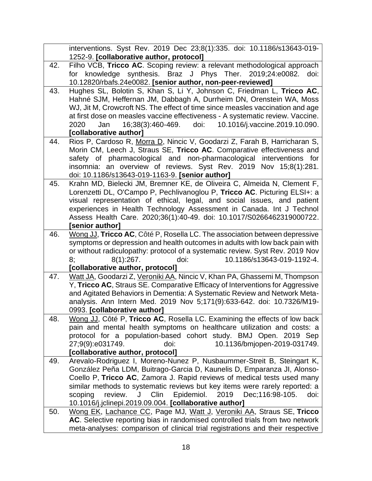|     | interventions. Syst Rev. 2019 Dec 23;8(1):335. doi: 10.1186/s13643-019-                                                    |
|-----|----------------------------------------------------------------------------------------------------------------------------|
|     | 1252-9. [collaborative author, protocol]                                                                                   |
| 42. | Filho VCB, Tricco AC. Scoping review: a relevant methodological approach                                                   |
|     | knowledge synthesis. Braz J Phys Ther. 2019;24:e0082.<br>for<br>doi:                                                       |
|     | 10.12820/rbafs.24e0082. [senior author, non-peer-reviewed]                                                                 |
| 43. | Hughes SL, Bolotin S, Khan S, Li Y, Johnson C, Friedman L, Tricco AC,                                                      |
|     | Hahné SJM, Heffernan JM, Dabbagh A, Durrheim DN, Orenstein WA, Moss                                                        |
|     | WJ, Jit M, Crowcroft NS. The effect of time since measles vaccination and age                                              |
|     | at first dose on measles vaccine effectiveness - A systematic review. Vaccine.                                             |
|     | doi:<br>10.1016/j.vaccine.2019.10.090.<br>Jan<br>16;38(3):460-469.<br>2020                                                 |
|     | [collaborative author]                                                                                                     |
| 44. | Rios P, Cardoso R, Morra D, Nincic V, Goodarzi Z, Farah B, Harricharan S,                                                  |
|     | Morin CM, Leech J, Straus SE, Tricco AC. Comparative effectiveness and                                                     |
|     | safety of pharmacological and non-pharmacological interventions for                                                        |
|     | insomnia: an overview of reviews. Syst Rev. 2019 Nov 15;8(1):281.                                                          |
| 45. | doi: 10.1186/s13643-019-1163-9. [senior author]<br>Krahn MD, Bielecki JM, Bremner KE, de Oliveira C, Almeida N, Clement F, |
|     | Lorenzetti DL, O'Campo P, Pechlivanoglou P, Tricco AC. Picturing ELSI+: a                                                  |
|     | visual representation of ethical, legal, and social issues, and patient                                                    |
|     | experiences in Health Technology Assessment in Canada. Int J Technol                                                       |
|     | Assess Health Care. 2020;36(1):40-49. doi: 10.1017/S0266462319000722.                                                      |
|     | [senior author]                                                                                                            |
| 46. | Wong JJ, Tricco AC, Côté P, Rosella LC. The association between depressive                                                 |
|     | symptoms or depression and health outcomes in adults with low back pain with                                               |
|     | or without radiculopathy: protocol of a systematic review. Syst Rev. 2019 Nov                                              |
|     | 10.1186/s13643-019-1192-4.<br>8(1):267.<br>doi:<br>8;                                                                      |
|     | [collaborative author, protocol]                                                                                           |
| 47. | Watt JA, Goodarzi Z, Veroniki AA, Nincic V, Khan PA, Ghassemi M, Thompson                                                  |
|     | Y, Tricco AC, Straus SE. Comparative Efficacy of Interventions for Aggressive                                              |
|     | and Agitated Behaviors in Dementia: A Systematic Review and Network Meta-                                                  |
|     | analysis. Ann Intern Med. 2019 Nov 5;171(9):633-642. doi: 10.7326/M19-                                                     |
|     | 0993. [collaborative author]                                                                                               |
| 48. | Wong JJ, Côté P, Tricco AC, Rosella LC. Examining the effects of low back                                                  |
|     | pain and mental health symptoms on healthcare utilization and costs: a                                                     |
|     | protocol for a population-based cohort study. BMJ Open. 2019 Sep<br>doi:                                                   |
|     | 10.1136/bmjopen-2019-031749.<br>27;9(9):e031749.<br>[collaborative author, protocol]                                       |
| 49. | Arevalo-Rodriguez I, Moreno-Nunez P, Nusbaummer-Streit B, Steingart K,                                                     |
|     | González Peña LDM, Buitrago-Garcia D, Kaunelis D, Emparanza JI, Alonso-                                                    |
|     | Coello P, Tricco AC, Zamora J. Rapid reviews of medical tests used many                                                    |
|     | similar methods to systematic reviews but key items were rarely reported: a                                                |
|     | Epidemiol. 2019 Dec;116:98-105.<br>review.<br>J Clin<br>scoping<br>doi:                                                    |
|     | 10.1016/j.jclinepi.2019.09.004. [collaborative author]                                                                     |
| 50. | Wong EK, Lachance CC, Page MJ, Watt J, Veroniki AA, Straus SE, Tricco                                                      |
|     | AC. Selective reporting bias in randomised controlled trials from two network                                              |
|     | meta-analyses: comparison of clinical trial registrations and their respective                                             |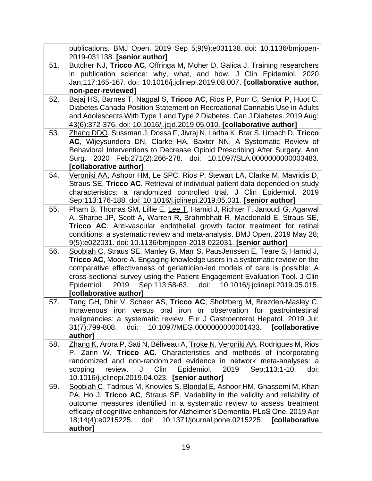|     | publications. BMJ Open. 2019 Sep 5;9(9):e031138. doi: 10.1136/bmjopen-                                                                          |
|-----|-------------------------------------------------------------------------------------------------------------------------------------------------|
|     | 2019-031138. [senior author]                                                                                                                    |
| 51. | Butcher NJ, Tricco AC, Offringa M, Moher D, Galica J. Training researchers                                                                      |
|     | in publication science: why, what, and how. J Clin Epidemiol. 2020                                                                              |
|     | Jan;117:165-167. doi: 10.1016/j.jclinepi.2019.08.007. [collaborative author,                                                                    |
|     | non-peer-reviewed]                                                                                                                              |
| 52. | Bajaj HS, Barnes T, Nagpal S, Tricco AC, Rios P, Porr C, Senior P, Huot C.                                                                      |
|     | Diabetes Canada Position Statement on Recreational Cannabis Use in Adults                                                                       |
|     | and Adolescents With Type 1 and Type 2 Diabetes. Can J Diabetes. 2019 Aug;                                                                      |
|     | 43(6):372-376. doi: 10.1016/j.jcjd.2019.05.010. [collaborative author]                                                                          |
| 53. | Zhang DDQ, Sussman J, Dossa F, Jivraj N, Ladha K, Brar S, Urbach D, Tricco                                                                      |
|     | AC, Wijeysundera DN, Clarke HA, Baxter NN. A Systematic Review of                                                                               |
|     | Behavioral Interventions to Decrease Opioid Prescribing After Surgery. Ann                                                                      |
|     | Surg. 2020 Feb;271(2):266-278. doi: 10.1097/SLA.0000000000003483.                                                                               |
|     | [collaborative author]                                                                                                                          |
| 54. | Veroniki AA, Ashoor HM, Le SPC, Rios P, Stewart LA, Clarke M, Mavridis D,                                                                       |
|     | Straus SE, Tricco AC. Retrieval of individual patient data depended on study                                                                    |
|     | characteristics: a randomized controlled trial. J Clin Epidemiol. 2019<br>Sep;113:176-188. doi: 10.1016/j.jclinepi.2019.05.031. [senior author] |
| 55. | Pham B, Thomas SM, Lillie E, Lee T, Hamid J, Richter T, Janoudi G, Agarwal                                                                      |
|     | A, Sharpe JP, Scott A, Warren R, Brahmbhatt R, Macdonald E, Straus SE,                                                                          |
|     | Tricco AC. Anti-vascular endothelial growth factor treatment for retinal                                                                        |
|     | conditions: a systematic review and meta-analysis. BMJ Open. 2019 May 28;                                                                       |
|     | 9(5):e022031. doi: 10.1136/bmjopen-2018-022031. [senior author]                                                                                 |
| 56. | Soobiah C, Straus SE, Manley G, Marr S, PausJenssen E, Teare S, Hamid J,                                                                        |
|     | Tricco AC, Moore A. Engaging knowledge users in a systematic review on the                                                                      |
|     | comparative effectiveness of geriatrician-led models of care is possible: A                                                                     |
|     | cross-sectional survey using the Patient Engagement Evaluation Tool. J Clin                                                                     |
|     | 2019 Sep;113:58-63. doi: 10.1016/j.jclinepi.2019.05.015.<br>Epidemiol.                                                                          |
|     | [collaborative author]                                                                                                                          |
| 57. | Tang GH, Dhir V, Scheer AS, Tricco AC, Sholzberg M, Brezden-Masley C.                                                                           |
|     | Intravenous iron versus oral iron or observation for gastrointestinal                                                                           |
|     | malignancies: a systematic review. Eur J Gastroenterol Hepatol. 2019 Jul;                                                                       |
|     | 10.1097/MEG.0000000000001433. [collaborative<br>31(7):799-808.<br>doi:                                                                          |
|     | author]                                                                                                                                         |
| 58. | Zhang K, Arora P, Sati N, Béliveau A, Troke N, Veroniki AA, Rodrigues M, Rios                                                                   |
|     | P, Zarin W, Tricco AC. Characteristics and methods of incorporating                                                                             |
|     | randomized and non-randomized evidence in network meta-analyses: a                                                                              |
|     | Epidemiol.<br>Clin<br>2019<br>Sep; 113:1-10.<br>scoping<br>review.<br>doi:<br>J                                                                 |
|     | 10.1016/j.jclinepi.2019.04.023. [senior author]                                                                                                 |
| 59. | Soobiah C, Tadrous M, Knowles S, Blondal E, Ashoor HM, Ghassemi M, Khan                                                                         |
|     | PA, Ho J, Tricco AC, Straus SE. Variability in the validity and reliability of                                                                  |
|     | outcome measures identified in a systematic review to assess treatment                                                                          |
|     | efficacy of cognitive enhancers for Alzheimer's Dementia. PLoS One. 2019 Apr                                                                    |
|     | 10.1371/journal.pone.0215225. [collaborative<br>18;14(4):e0215225.<br>doi:                                                                      |
|     | author]                                                                                                                                         |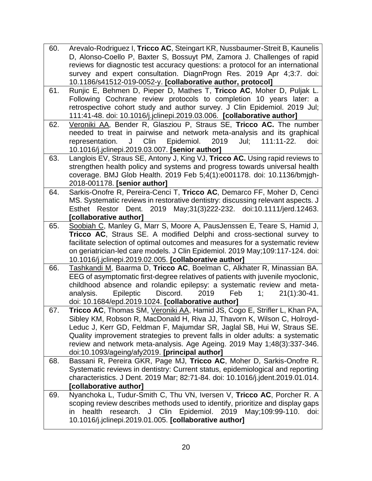| 60. | Arevalo-Rodriguez I, Tricco AC, Steingart KR, Nussbaumer-Streit B, Kaunelis                                                                            |
|-----|--------------------------------------------------------------------------------------------------------------------------------------------------------|
|     | D, Alonso-Coello P, Baxter S, Bossuyt PM, Zamora J. Challenges of rapid                                                                                |
|     | reviews for diagnostic test accuracy questions: a protocol for an international                                                                        |
|     | survey and expert consultation. DiagnProgn Res. 2019 Apr 4;3:7. doi:                                                                                   |
|     | 10.1186/s41512-019-0052-y. [collaborative author, protocol]                                                                                            |
| 61. | Runjic E, Behmen D, Pieper D, Mathes T, Tricco AC, Moher D, Puljak L.                                                                                  |
|     | Following Cochrane review protocols to completion 10 years later: a                                                                                    |
|     | retrospective cohort study and author survey. J Clin Epidemiol. 2019 Jul;                                                                              |
|     | 111:41-48. doi: 10.1016/j.jclinepi.2019.03.006. [collaborative author]                                                                                 |
| 62. | Veroniki AA, Bender R, Glasziou P, Straus SE, Tricco AC. The number                                                                                    |
|     | needed to treat in pairwise and network meta-analysis and its graphical                                                                                |
|     | J Clin<br>Epidemiol.<br>2019<br>111:11-22.<br>representation.<br>Jul;<br>doi:                                                                          |
|     | 10.1016/j.jclinepi.2019.03.007. [senior author]                                                                                                        |
| 63. | Langlois EV, Straus SE, Antony J, King VJ, Tricco AC. Using rapid reviews to                                                                           |
|     | strengthen health policy and systems and progress towards universal health                                                                             |
|     | coverage. BMJ Glob Health. 2019 Feb 5;4(1):e001178. doi: 10.1136/bmjgh-                                                                                |
|     | 2018-001178. [senior author]                                                                                                                           |
| 64. | Sarkis-Onofre R, Pereira-Cenci T, Tricco AC, Demarco FF, Moher D, Cenci                                                                                |
|     | MS. Systematic reviews in restorative dentistry: discussing relevant aspects. J                                                                        |
|     | Esthet Restor Dent. 2019 May;31(3)222-232. doi:10.1111/jerd.12463.                                                                                     |
|     | [collaborative author]                                                                                                                                 |
| 65. | Soobiah C, Manley G, Marr S, Moore A, PausJenssen E, Teare S, Hamid J,                                                                                 |
|     | Tricco AC, Straus SE. A modified Delphi and cross-sectional survey to<br>facilitate selection of optimal outcomes and measures for a systematic review |
|     | on geriatrician-led care models. J Clin Epidemiol. 2019 May;109:117-124. doi:                                                                          |
|     | 10.1016/j.jclinepi.2019.02.005. [collaborative author]                                                                                                 |
| 66. | Tashkandi M, Baarma D, Tricco AC, Boelman C, Alkhater R, Minassian BA.                                                                                 |
|     | EEG of asymptomatic first-degree relatives of patients with juvenile myoclonic,                                                                        |
|     | childhood absence and rolandic epilepsy: a systematic review and meta-                                                                                 |
|     | Discord.<br>analysis.<br>Epileptic<br>2019<br>$21(1):30-41.$<br>Feb<br>1:                                                                              |
|     | doi: 10.1684/epd.2019.1024. [collaborative author]                                                                                                     |
| 67. | Tricco AC, Thomas SM, Veroniki AA, Hamid JS, Cogo E, Strifler L, Khan PA,                                                                              |
|     | Sibley KM, Robson R, MacDonald H, Riva JJ, Thavorn K, Wilson C, Holroyd-                                                                               |
|     | Leduc J, Kerr GD, Feldman F, Majumdar SR, Jaglal SB, Hui W, Straus SE.                                                                                 |
|     | Quality improvement strategies to prevent falls in older adults: a systematic                                                                          |
|     | review and network meta-analysis. Age Ageing. 2019 May 1;48(3):337-346.                                                                                |
|     | doi:10.1093/ageing/afy2019. [principal author]                                                                                                         |
| 68. | Bassani R, Pereira GKR, Page MJ, Tricco AC, Moher D, Sarkis-Onofre R.                                                                                  |
|     | Systematic reviews in dentistry: Current status, epidemiological and reporting                                                                         |
|     | characteristics. J Dent. 2019 Mar; 82:71-84. doi: 10.1016/j.jdent.2019.01.014.                                                                         |
|     | [collaborative author]                                                                                                                                 |
| 69. | Nyanchoka L, Tudur-Smith C, Thu VN, Iversen V, Tricco AC, Porcher R. A                                                                                 |
|     | scoping review describes methods used to identify, prioritize and display gaps                                                                         |
|     | J Clin<br>Epidemiol.<br>2019<br>health<br>research.<br>May:109:99-110.<br>doi:<br>in                                                                   |
|     | 10.1016/j.jclinepi.2019.01.005. [collaborative author]                                                                                                 |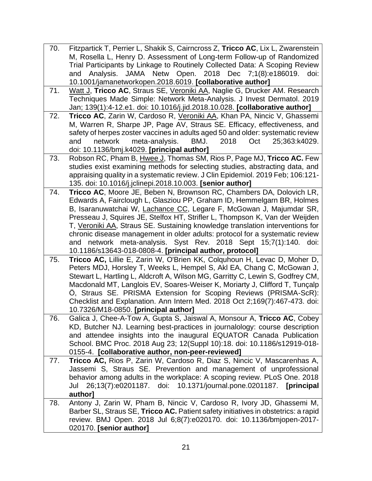- 70. Fitzpartick T, Perrier L, Shakik S, Cairncross Z, **Tricco AC**, Lix L, Zwarenstein M, Rosella L, Henry D. Assessment of Long-term Follow-up of Randomized Trial Participants by Linkage to Routinely Collected Data: A Scoping Review and Analysis. JAMA Netw Open. 2018 Dec 7;1(8):e186019. doi: 10.1001/jamanetworkopen.2018.6019. **[collaborative author]**
- 71. Watt J, **Tricco AC**, Straus SE, Veroniki AA, Naglie G, Drucker AM. Research Techniques Made Simple: Network Meta-Analysis. J Invest Dermatol. 2019 Jan; 139(1):4-12.e1. doi: 10.1016/j.jid.2018.10.028. **[collaborative author]**
- 72. **Tricco AC**, Zarin W, Cardoso R, Veroniki AA, Khan PA, Nincic V, Ghassemi M, Warren R, Sharpe JP, Page AV, Straus SE. Efficacy, effectiveness, and safety of herpes zoster vaccines in adults aged 50 and older: systematic review and network meta-analysis. BMJ. 2018 Oct 25;363:k4029. doi: 10.1136/bmj.k4029. **[principal author]**
- 73. Robson RC, Pham B, Hwee J, Thomas SM, Rios P, Page MJ, **Tricco AC.** Few studies exist examining methods for selecting studies, abstracting data, and appraising quality in a systematic review. J Clin Epidemiol. 2019 Feb; 106:121- 135. doi: 10.1016/j.jclinepi.2018.10.003. **[senior author]**
- 74. **Tricco AC**, Moore JE, Beben N, Brownson RC, Chambers DA, Dolovich LR, Edwards A, Fairclough L, Glasziou PP, Graham ID, Hemmelgarn BR, Holmes B, Isaranuwatchai W, Lachance CC, Legare F, McGowan J, Majumdar SR, Presseau J, Squires JE, Stelfox HT, Strifler L, Thompson K, Van der Weijden T, Veroniki AA, Straus SE. Sustaining knowledge translation interventions for chronic disease management in older adults: protocol for a systematic review and network meta-analysis. Syst Rev. 2018 Sept 15;7(1):140. doi: 10.1186/s13643-018-0808-4. **[principal author, protocol]**
- 75. **Tricco AC,** Lillie E, Zarin W, O'Brien KK, Colquhoun H, Levac D, Moher D, Peters MDJ, Horsley T, Weeks L, Hempel S, Akl EA, Chang C, McGowan J, Stewart L, Hartling L, Aldcroft A, Wilson MG, Garritty C, Lewin S, Godfrey CM, Macdonald MT, Langlois EV, Soares-Weiser K, Moriarty J, Clifford T, Tunçalp Ö, Straus SE. PRISMA Extension for Scoping Reviews (PRISMA-ScR): Checklist and Explanation. Ann Intern Med. 2018 Oct 2;169(7):467-473. doi: 10.7326/M18-0850. **[principal author]**
- 76. Galica J, Chee-A-Tow A, Gupta S, Jaiswal A, Monsour A, **Tricco AC**, Cobey KD, Butcher NJ. Learning best-practices in journalology: course description and attendee insights into the inaugural EQUATOR Canada Publication School. BMC Proc. 2018 Aug 23; 12(Suppl 10):18. doi: 10.1186/s12919-018- 0155-4. **[collaborative author, non-peer-reviewed]**
- 77. **Tricco AC,** Rios P, Zarin W, Cardoso R, Diaz S, Nincic V, Mascarenhas A, Jassemi S, Straus SE. Prevention and management of unprofessional behavior among adults in the workplace: A scoping review. PLoS One. 2018 Jul 26;13(7):e0201187. doi: 10.1371/journal.pone.0201187. **[principal author]**
- 78. Antony J, Zarin W, Pham B, Nincic V, Cardoso R, Ivory JD, Ghassemi M, Barber SL, Straus SE, **Tricco AC.** Patient safety initiatives in obstetrics: a rapid review. BMJ Open. 2018 Jul 6;8(7):e020170. doi: 10.1136/bmjopen-2017- 020170. **[senior author]**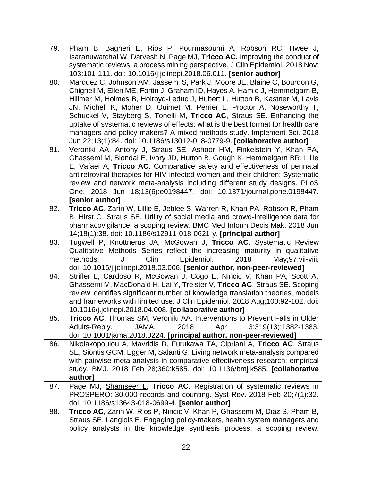| 79. | Pham B, Bagheri E, Rios P, Pourmasoumi A, Robson RC, Hwee J,                                                                                       |
|-----|----------------------------------------------------------------------------------------------------------------------------------------------------|
|     | Isaranuwatchai W, Darvesh N, Page MJ, Tricco AC. Improving the conduct of                                                                          |
|     | systematic reviews: a process mining perspective. J Clin Epidemiol. 2018 Nov;                                                                      |
|     | 103:101-111. doi: 10.1016/j.jclinepi.2018.06.011. [senior author]                                                                                  |
| 80. | Marquez C, Johnson AM, Jassemi S, Park J, Moore JE, Blaine C, Bourdon G,                                                                           |
|     | Chignell M, Ellen ME, Fortin J, Graham ID, Hayes A, Hamid J, Hemmelgarn B,                                                                         |
|     | Hillmer M, Holmes B, Holroyd-Leduc J, Hubert L, Hutton B, Kastner M, Lavis                                                                         |
|     | JN, Michell K, Moher D, Ouimet M, Perrier L, Proctor A, Noseworthy T,                                                                              |
|     | Schuckel V, Stayberg S, Tonelli M, Tricco AC, Straus SE. Enhancing the                                                                             |
|     | uptake of systematic reviews of effects: what is the best format for health care                                                                   |
|     | managers and policy-makers? A mixed-methods study. Implement Sci. 2018                                                                             |
|     | Jun 22;13(1):84. doi: 10.1186/s13012-018-0779-9. [collaborative author]                                                                            |
| 81. | Veroniki AA, Antony J, Straus SE, Ashoor HM, Finkelstein Y, Khan PA,                                                                               |
|     | Ghassemi M, Blondal E, Ivory JD, Hutton B, Gough K, Hemmelgarn BR, Lillie                                                                          |
|     | E, Vafaei A, Tricco AC. Comparative safety and effectiveness of perinatal                                                                          |
|     | antiretroviral therapies for HIV-infected women and their children: Systematic                                                                     |
|     | review and network meta-analysis including different study designs. PLoS                                                                           |
|     | One. 2018 Jun 18;13(6):e0198447. doi: 10.1371/journal.pone.0198447.                                                                                |
|     | [senior author]                                                                                                                                    |
| 82. | Tricco AC, Zarin W, Lillie E, Jeblee S, Warren R, Khan PA, Robson R, Pham                                                                          |
|     | B, Hirst G, Straus SE. Utility of social media and crowd-intelligence data for                                                                     |
|     | pharmacovigilance: a scoping review. BMC Med Inform Decis Mak. 2018 Jun                                                                            |
|     | 14;18(1):38. doi: 10.1186/s12911-018-0621-y. [principal author]                                                                                    |
| 83. | Tugwell P, Knottnerus JA, McGowan J, Tricco AC. Systematic Review                                                                                  |
|     | Qualitative Methods Series reflect the increasing maturity in qualitative                                                                          |
|     | methods.<br>Clin<br>Epidemiol.<br>2018<br>May:97:vii-viii.<br>J                                                                                    |
|     | doi: 10.1016/j.jclinepi.2018.03.006. [senior author, non-peer-reviewed]                                                                            |
| 84. | Strifler L, Cardoso R, McGowan J, Cogo E, Nincic V, Khan PA, Scott A,                                                                              |
|     | Ghassemi M, MacDonald H, Lai Y, Treister V, Tricco AC, Straus SE. Scoping                                                                          |
|     | review identifies significant number of knowledge translation theories, models                                                                     |
|     | and frameworks with limited use. J Clin Epidemiol. 2018 Aug;100:92-102. doi:                                                                       |
|     | 10.1016/j.jclinepi.2018.04.008. [collaborative author]                                                                                             |
| 85. | <b>Tricco AC</b> , Thomas SM, <u>Veroniki AA</u> . Interventions to Prevent Falls in Older                                                         |
|     | Adults-Reply.<br>JAMA.<br>2018<br>3;319(13):1382-1383.<br>Apr                                                                                      |
|     | doi: 10.1001/jama.2018.0224. [principal author, non-peer-reviewed]                                                                                 |
| 86. | Nikolakopoulou A, Mavridis D, Furukawa TA, Cipriani A, Tricco AC, Straus                                                                           |
|     | SE, Siontis GCM, Egger M, Salanti G. Living network meta-analysis compared                                                                         |
|     | with pairwise meta-analysis in comparative effectiveness research: empirical                                                                       |
|     | study. BMJ. 2018 Feb 28;360:k585. doi: 10.1136/bmj.k585. [collaborative                                                                            |
|     | author]                                                                                                                                            |
| 87. | Page MJ, Shamseer L, Tricco AC. Registration of systematic reviews in                                                                              |
|     |                                                                                                                                                    |
|     | PROSPERO: 30,000 records and counting. Syst Rev. 2018 Feb 20;7(1):32.                                                                              |
|     | doi: 10.1186/s13643-018-0699-4. [senior author]                                                                                                    |
| 88. | <b>Tricco AC, Zarin W, Rios P, Nincic V, Khan P, Ghassemi M, Diaz S, Pham B,</b>                                                                   |
|     | Straus SE, Langlois E. Engaging policy-makers, health system managers and<br>policy analysts in the knowledge synthesis process: a scoping review. |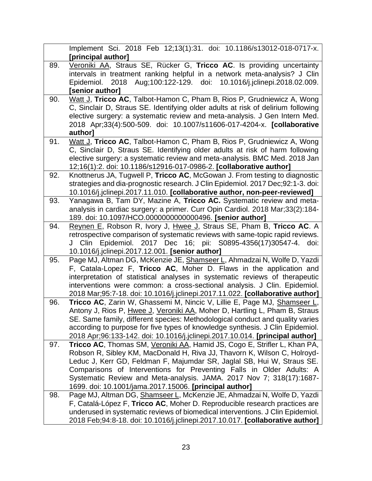|     | Implement Sci. 2018 Feb 12;13(1):31. doi: 10.1186/s13012-018-0717-x.                                                                                   |
|-----|--------------------------------------------------------------------------------------------------------------------------------------------------------|
|     | [principal author]                                                                                                                                     |
| 89. | Veroniki AA, Straus SE, Rücker G, Tricco AC. Is providing uncertainty                                                                                  |
|     | intervals in treatment ranking helpful in a network meta-analysis? J Clin                                                                              |
|     | Aug;100:122-129. doi: 10.1016/j.jclinepi.2018.02.009.<br>2018<br>Epidemiol.                                                                            |
|     | senior author]                                                                                                                                         |
| 90. | Watt J, Tricco AC, Talbot-Hamon C, Pham B, Rios P, Grudniewicz A, Wong                                                                                 |
|     | C, Sinclair D, Straus SE. Identifying older adults at risk of delirium following                                                                       |
|     | elective surgery: a systematic review and meta-analysis. J Gen Intern Med.                                                                             |
|     | 2018 Apr;33(4):500-509. doi: 10.1007/s11606-017-4204-x. [collaborative                                                                                 |
|     | author]                                                                                                                                                |
| 91. | Watt J, Tricco AC, Talbot-Hamon C, Pham B, Rios P, Grudniewicz A, Wong<br>C, Sinclair D, Straus SE. Identifying older adults at risk of harm following |
|     | elective surgery: a systematic review and meta-analysis. BMC Med. 2018 Jan                                                                             |
|     | 12;16(1):2. doi: 10.1186/s12916-017-0986-2. [collaborative author]                                                                                     |
| 92. | Knottnerus JA, Tugwell P, Tricco AC, McGowan J. From testing to diagnostic                                                                             |
|     | strategies and dia-prognostic research. J Clin Epidemiol. 2017 Dec;92:1-3. doi:                                                                        |
|     | 10.1016/j.jclinepi.2017.11.010. [collaborative author, non-peer-reviewed]                                                                              |
| 93. | Yanagawa B, Tam DY, Mazine A, Tricco AC. Systematic review and meta-                                                                                   |
|     | analysis in cardiac surgery: a primer. Curr Opin Cardiol. 2018 Mar;33(2):184-                                                                          |
|     | 189. doi: 10.1097/HCO.0000000000000496. [senior author]                                                                                                |
| 94. | Reynen E, Robson R, Ivory J, Hwee J, Straus SE, Pham B, Tricco AC. A                                                                                   |
|     | retrospective comparison of systematic reviews with same-topic rapid reviews.                                                                          |
|     | J Clin Epidemiol. 2017 Dec 16; pii: S0895-4356(17)30547-4. doi:                                                                                        |
|     | 10.1016/j.jclinepi.2017.12.001. [senior author]                                                                                                        |
| 95. | Page MJ, Altman DG, McKenzie JE, Shamseer L, Ahmadzai N, Wolfe D, Yazdi                                                                                |
|     | F, Catala-Lopez F, Tricco AC, Moher D. Flaws in the application and                                                                                    |
|     | interpretation of statistical analyses in systematic reviews of therapeutic                                                                            |
|     | interventions were common: a cross-sectional analysis. J Clin. Epidemiol.                                                                              |
|     | 2018 Mar;95:7-18. doi: 10.1016/j.jclinepi.2017.11.022. [collaborative author]                                                                          |
| 96. | Tricco AC, Zarin W, Ghassemi M, Nincic V, Lillie E, Page MJ, Shamseer L,<br>Antony J, Rios P, Hwee J, Veroniki AA, Moher D, Hartling L, Pham B, Straus |
|     | SE. Same family, different species: Methodological conduct and quality varies                                                                          |
|     | according to purpose for five types of knowledge synthesis. J Clin Epidemiol.                                                                          |
|     | 2018 Apr;96:133-142. doi: 10.1016/j.jclinepi.2017.10.014. [principal author]                                                                           |
| 97. | Tricco AC, Thomas SM, Veroniki AA, Hamid JS, Cogo E, Strifler L, Khan PA,                                                                              |
|     | Robson R, Sibley KM, MacDonald H, Riva JJ, Thavorn K, Wilson C, Holroyd-                                                                               |
|     | Leduc J, Kerr GD, Feldman F, Majumdar SR, Jaglal SB, Hui W, Straus SE.                                                                                 |
|     | Comparisons of Interventions for Preventing Falls in Older Adults: A                                                                                   |
|     | Systematic Review and Meta-analysis. JAMA. 2017 Nov 7; 318(17):1687-                                                                                   |
|     | 1699. doi: 10.1001/jama.2017.15006. [principal author]                                                                                                 |
| 98. | Page MJ, Altman DG, Shamseer L, McKenzie JE, Ahmadzai N, Wolfe D, Yazdi                                                                                |
|     | F, Catalá-López F, Tricco AC, Moher D. Reproducible research practices are                                                                             |
|     | underused in systematic reviews of biomedical interventions. J Clin Epidemiol.                                                                         |
|     | 2018 Feb; 94: 8-18. doi: 10.1016/j.jclinepi.2017.10.017. [collaborative author]                                                                        |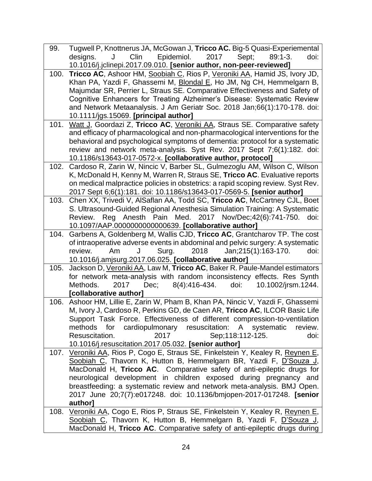| 99.  | Tugwell P, Knottnerus JA, McGowan J, Tricco AC. Big-5 Quasi-Experiemental                                                        |
|------|----------------------------------------------------------------------------------------------------------------------------------|
|      | Epidemiol.<br>2017<br>Clin<br>Sept:<br>$89:1 - 3.$<br>J<br>designs.<br>doi:                                                      |
|      | 10.1016/j.jclinepi.2017.09.010. [senior author, non-peer-reviewed]                                                               |
| 100. | Tricco AC, Ashoor HM, Soobiah C, Rios P, Veroniki AA, Hamid JS, Ivory JD,                                                        |
|      | Khan PA, Yazdi F, Ghassemi M, Blondal E, Ho JM, Ng CH, Hemmelgarn B,                                                             |
|      | Majumdar SR, Perrier L, Straus SE. Comparative Effectiveness and Safety of                                                       |
|      | Cognitive Enhancers for Treating Alzheimer's Disease: Systematic Review                                                          |
|      | and Network Metaanalysis. J Am Geriatr Soc. 2018 Jan;66(1):170-178. doi:                                                         |
|      | 10.1111/jgs.15069. [principal author]                                                                                            |
| 101. | Watt J, Goordazi Z, Tricco AC, Veroniki AA, Straus SE. Comparative safety                                                        |
|      | and efficacy of pharmacological and non-pharmacological interventions for the                                                    |
|      | behavioral and psychological symptoms of dementia: protocol for a systematic                                                     |
|      | review and network meta-analysis. Syst Rev. 2017 Sept 7;6(1):182. doi:                                                           |
|      | 10.1186/s13643-017-0572-x. [collaborative author, protocol]                                                                      |
| 102. | Cardoso R, Zarin W, Nincic V, Barber SL, Gulmezoglu AM, Wilson C, Wilson                                                         |
|      | K, McDonald H, Kenny M, Warren R, Straus SE, Tricco AC. Evaluative reports                                                       |
|      | on medical malpractice policies in obstetrics: a rapid scoping review. Syst Rev.                                                 |
|      | 2017 Sept 6;6(1):181. doi: 10.1186/s13643-017-0569-5. [senior author]                                                            |
| 103. | Chen XX, Trivedi V, AlSaflan AA, Todd SC, Tricco AC, McCartney CJL, Boet                                                         |
|      | S. Ultrasound-Guided Regional Anesthesia Simulation Training: A Systematic                                                       |
|      | Reg Anesth Pain Med. 2017 Nov/Dec; 42(6): 741-750.<br>Review.<br>doi:                                                            |
| 104. | 10.1097/AAP.0000000000000639. [collaborative author]<br>Garbens A, Goldenberg M, Wallis CJD, Tricco AC, Grantcharov TP. The cost |
|      | of intraoperative adverse events in abdominal and pelvic surgery: A systematic                                                   |
|      | 2018<br>Surg.<br>Jan; 215(1): 163-170.<br>doi:<br>review.<br>Am<br>J                                                             |
|      | 10.1016/j.amjsurg.2017.06.025. [collaborative author]                                                                            |
| 105. | Jackson D, Veroniki AA, Law M, Tricco AC, Baker R. Paule-Mandel estimators                                                       |
|      | for network meta-analysis with random inconsistency effects. Res Synth                                                           |
|      | 10.1002/jrsm.1244.<br>Methods.<br>2017<br>Dec;<br>8(4):416-434.<br>doi:                                                          |
|      | [collaborative author]                                                                                                           |
| 106. | Ashoor HM, Lillie E, Zarin W, Pham B, Khan PA, Nincic V, Yazdi F, Ghassemi                                                       |
|      | M, Ivory J, Cardoso R, Perkins GD, de Caen AR, Tricco AC, ILCOR Basic Life                                                       |
|      | Support Task Force. Effectiveness of different compression-to-ventilation                                                        |
|      | for<br>cardiopulmonary resuscitation: A systematic<br>methods<br>review.                                                         |
|      | Resuscitation.<br>Sep; 118: 112-125.<br>doi:<br>2017                                                                             |
|      | 10.1016/j.resuscitation.2017.05.032. [senior author]                                                                             |
| 107. | Veroniki AA, Rios P, Cogo E, Straus SE, Finkelstein Y, Kealey R, Reynen E,                                                       |
|      | Soobiah C, Thavorn K, Hutton B, Hemmelgarn BR, Yazdi F, D'Souza J,                                                               |
|      | MacDonald H, Tricco AC. Comparative safety of anti-epileptic drugs for                                                           |
|      | neurological development in children exposed during pregnancy and                                                                |
|      | breastfeeding: a systematic review and network meta-analysis. BMJ Open.                                                          |
|      | 2017 June 20;7(7):e017248. doi: 10.1136/bmjopen-2017-017248. [senior                                                             |
|      | author]                                                                                                                          |
| 108. | Veroniki AA, Cogo E, Rios P, Straus SE, Finkelstein Y, Kealey R, Reynen E,                                                       |
|      | Soobiah C, Thavorn K, Hutton B, Hemmelgarn B, Yazdi F, D'Souza J,                                                                |
|      | MacDonald H, Tricco AC. Comparative safety of anti-epileptic drugs during                                                        |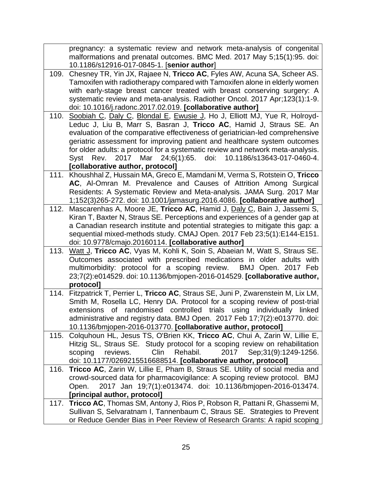|      | pregnancy: a systematic review and network meta-analysis of congenital                                                                     |
|------|--------------------------------------------------------------------------------------------------------------------------------------------|
|      | malformations and prenatal outcomes. BMC Med. 2017 May 5;15(1):95. doi:                                                                    |
|      | 10.1186/s12916-017-0845-1. [senior author]                                                                                                 |
|      | 109. Chesney TR, Yin JX, Rajaee N, Tricco AC, Fyles AW, Acuna SA, Scheer AS.                                                               |
|      | Tamoxifen with radiotherapy compared with Tamoxifen alone in elderly women                                                                 |
|      | with early-stage breast cancer treated with breast conserving surgery: A                                                                   |
|      | systematic review and meta-analysis. Radiother Oncol. 2017 Apr;123(1):1-9.                                                                 |
|      | doi: 10.1016/j.radonc.2017.02.019. [collaborative author]                                                                                  |
| 110. | Soobiah C, Daly C, Blondal E, Ewusie J, Ho J, Elliott MJ, Yue R, Holroyd-                                                                  |
|      | Leduc J, Liu B, Marr S, Basran J, Tricco AC, Hamid J, Straus SE. An                                                                        |
|      | evaluation of the comparative effectiveness of geriatrician-led comprehensive                                                              |
|      | geriatric assessment for improving patient and healthcare system outcomes                                                                  |
|      | for older adults: a protocol for a systematic review and network meta-analysis.                                                            |
|      | Syst Rev. 2017 Mar 24;6(1):65. doi:<br>10.1186/s13643-017-0460-4.                                                                          |
|      | [collaborative author, protocol]<br>Khoushhal Z, Hussain MA, Greco E, Mamdani M, Verma S, Rotstein O, Tricco                               |
| 111. | AC, Al-Omran M. Prevalence and Causes of Attrition Among Surgical                                                                          |
|      | Residents: A Systematic Review and Meta-analysis. JAMA Surg. 2017 Mar                                                                      |
|      | 1;152(3)265-272. doi: 10.1001/jamasurg.2016.4086. [collaborative author]                                                                   |
| 112. | Mascarenhas A, Moore JE, Tricco AC, Hamid J, Daly C, Bain J, Jassemi S,                                                                    |
|      | Kiran T, Baxter N, Straus SE. Perceptions and experiences of a gender gap at                                                               |
|      | a Canadian research institute and potential strategies to mitigate this gap: a                                                             |
|      | sequential mixed-methods study. CMAJ Open. 2017 Feb 23;5(1):E144-E151.                                                                     |
|      | doi: 10.9778/cmajo.20160114. [collaborative author]                                                                                        |
| 113. | Watt J, Tricco AC, Vyas M, Kohli K, Soin S, Abaeian M, Watt S, Straus SE.                                                                  |
|      | Outcomes associated with prescribed medications in older adults with                                                                       |
|      | multimorbidity: protocol for a scoping review. BMJ Open. 2017 Feb                                                                          |
|      | 23;7(2):e014529. doi: 10.1136/bmjopen-2016-014529. [collaborative author,                                                                  |
|      | protocol]                                                                                                                                  |
| 114. | Fitzpatrick T, Perrier L, Tricco AC, Straus SE, Juni P, Zwarenstein M, Lix LM,                                                             |
|      | Smith M, Rosella LC, Henry DA. Protocol for a scoping review of post-trial                                                                 |
|      | extensions of randomised controlled trials using individually linked                                                                       |
|      | administrative and registry data. BMJ Open. 2017 Feb 17;7(2):e013770. doi:                                                                 |
|      | 10.1136/bmjopen-2016-013770. [collaborative author, protocol]<br>Colquhoun HL, Jesus TS, O'Brien KK, Tricco AC, Chui A, Zarin W, Lillie E, |
| 115. | Hitzig SL, Straus SE. Study protocol for a scoping review on rehabilitation                                                                |
|      | Clin<br>Rehabil.<br>2017<br>Sep; 31(9): 1249-1256.<br>scoping<br>reviews.                                                                  |
|      | doi: 10.1177/0269215516688514. [collaborative author, protocol]                                                                            |
| 116. | Tricco AC, Zarin W, Lillie E, Pham B, Straus SE. Utility of social media and                                                               |
|      | crowd-sourced data for pharmacovigilance: A scoping review protocol. BMJ                                                                   |
|      | 2017 Jan 19;7(1):e013474. doi: 10.1136/bmjopen-2016-013474.<br>Open.                                                                       |
|      | [principal author, protocol]                                                                                                               |
| 117. | Tricco AC, Thomas SM, Antony J, Rios P, Robson R, Pattani R, Ghassemi M,                                                                   |
|      | Sullivan S, Selvaratnam I, Tannenbaum C, Straus SE. Strategies to Prevent                                                                  |
|      | or Reduce Gender Bias in Peer Review of Research Grants: A rapid scoping                                                                   |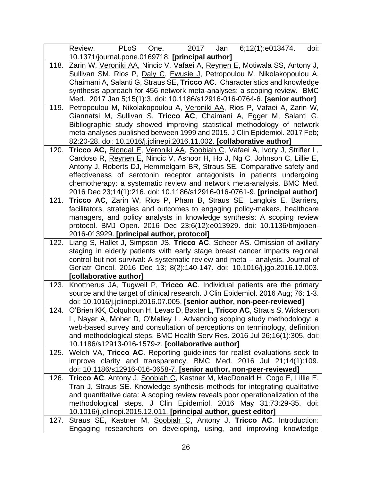|      | PLoS<br>2017<br>Jan<br>6:12(1):e013474.<br>Review.<br>One.<br>doi:                                                                                       |
|------|----------------------------------------------------------------------------------------------------------------------------------------------------------|
|      | 10.1371/journal.pone.0169718. [principal author]                                                                                                         |
| 118. | Zarin W, Veroniki AA, Nincic V, Vafaei A, Reynen E, Motiwala SS, Antony J,                                                                               |
|      | Sullivan SM, Rios P, Daly C, Ewusie J, Petropoulou M, Nikolakopoulou A,                                                                                  |
|      | Chaimani A, Salanti G, Straus SE, Tricco AC. Characteristics and knowledge                                                                               |
|      | synthesis approach for 456 network meta-analyses: a scoping review. BMC                                                                                  |
|      | Med. 2017 Jan 5;15(1):3. doi: 10.1186/s12916-016-0764-6. [senior author]                                                                                 |
| 119. | Petropoulou M, Nikolakopoulou A, Veroniki AA, Rios P, Vafaei A, Zarin W,                                                                                 |
|      | Giannatsi M, Sullivan S, Tricco AC, Chaimani A, Egger M, Salanti G.                                                                                      |
|      | Bibliographic study showed improving statistical methodology of network                                                                                  |
|      | meta-analyses published between 1999 and 2015. J Clin Epidemiol. 2017 Feb;                                                                               |
|      | 82:20-28. doi: 10.1016/j.jclinepi.2016.11.002. [collaborative author]                                                                                    |
| 120. | Tricco AC, Blondal E, Veroniki AA, Soobiah C, Vafaei A, Ivory J, Strifler L,                                                                             |
|      | Cardoso R, Reynen E, Nincic V, Ashoor H, Ho J, Ng C, Johnson C, Lillie E,                                                                                |
|      | Antony J, Roberts DJ, Hemmelgarn BR, Straus SE. Comparative safety and                                                                                   |
|      | effectiveness of serotonin receptor antagonists in patients undergoing                                                                                   |
|      | chemotherapy: a systematic review and network meta-analysis. BMC Med.                                                                                    |
|      | 2016 Dec 23;14(1):216. doi: 10.1186/s12916-016-0761-9. [principal author]                                                                                |
| 121. | Tricco AC, Zarin W, Rios P, Pham B, Straus SE, Langlois E. Barriers,                                                                                     |
|      | facilitators, strategies and outcomes to engaging policy-makers, healthcare                                                                              |
|      | managers, and policy analysts in knowledge synthesis: A scoping review                                                                                   |
|      | protocol. BMJ Open. 2016 Dec 23;6(12):e013929. doi: 10.1136/bmjopen-                                                                                     |
|      | 2016-013929. [principal author, protocol]                                                                                                                |
| 122. | Liang S, Hallet J, Simpson JS, Tricco AC, Scheer AS. Omission of axillary<br>staging in elderly patients with early stage breast cancer impacts regional |
|      | control but not survival: A systematic review and meta – analysis. Journal of                                                                            |
|      | Geriatr Oncol. 2016 Dec 13; 8(2):140-147. doi: 10.1016/j.jgo.2016.12.003.                                                                                |
|      | [collaborative author]                                                                                                                                   |
| 123. | Knottnerus JA, Tugwell P, Tricco AC. Individual patients are the primary                                                                                 |
|      | source and the target of clinical research. J Clin Epidemiol. 2016 Aug; 76: 1-3.                                                                         |
|      | doi: 10.1016/j.jclinepi.2016.07.005. [senior author, non-peer-reviewed]                                                                                  |
|      | 124. O'Brien KK, Colquhoun H, Levac D, Baxter L, Tricco AC, Straus S, Wickerson                                                                          |
|      | L, Nayar A, Moher D, O'Malley L. Advancing scoping study methodology: a                                                                                  |
|      | web-based survey and consultation of perceptions on terminology, definition                                                                              |
|      | and methodological steps. BMC Health Serv Res. 2016 Jul 26;16(1):305. doi:                                                                               |
|      | 10.1186/s12913-016-1579-z. [collaborative author]                                                                                                        |
| 125. | Welch VA, Tricco AC. Reporting guidelines for realist evaluations seek to                                                                                |
|      | improve clarity and transparency. BMC Med. 2016 Jul 21;14(1):109.                                                                                        |
|      | doi: 10.1186/s12916-016-0658-7. [senior author, non-peer-reviewed]                                                                                       |
| 126. | Tricco AC, Antony J, Soobiah C, Kastner M, MacDonald H, Cogo E, Lillie E,                                                                                |
|      | Tran J, Straus SE. Knowledge synthesis methods for integrating qualitative                                                                               |
|      | and quantitative data: A scoping review reveals poor operationalization of the                                                                           |
|      | methodological steps. J Clin Epidemiol. 2016 May 31;73:29-35. doi:                                                                                       |
|      | 10.1016/j.jclinepi.2015.12.011. [principal author, guest editor]                                                                                         |
|      | 127. Straus SE, Kastner M, Soobiah C, Antony J, Tricco AC. Introduction:                                                                                 |
|      | Engaging researchers on developing, using, and improving knowledge                                                                                       |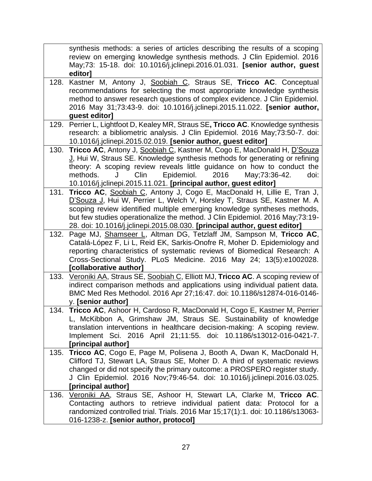|              | synthesis methods: a series of articles describing the results of a scoping                                                                                                                                                                                                                                                                                                                                                                                                                                                                                                                                                                                                                                                                                                                                                                                                                                                                     |
|--------------|-------------------------------------------------------------------------------------------------------------------------------------------------------------------------------------------------------------------------------------------------------------------------------------------------------------------------------------------------------------------------------------------------------------------------------------------------------------------------------------------------------------------------------------------------------------------------------------------------------------------------------------------------------------------------------------------------------------------------------------------------------------------------------------------------------------------------------------------------------------------------------------------------------------------------------------------------|
|              | review on emerging knowledge synthesis methods. J Clin Epidemiol. 2016                                                                                                                                                                                                                                                                                                                                                                                                                                                                                                                                                                                                                                                                                                                                                                                                                                                                          |
|              | May;73: 15-18. doi: 10.1016/j.jclinepi.2016.01.031. [senior author, guest                                                                                                                                                                                                                                                                                                                                                                                                                                                                                                                                                                                                                                                                                                                                                                                                                                                                       |
|              | editor]                                                                                                                                                                                                                                                                                                                                                                                                                                                                                                                                                                                                                                                                                                                                                                                                                                                                                                                                         |
| 128.         | Kastner M, Antony J, Soobiah C, Straus SE, Tricco AC. Conceptual                                                                                                                                                                                                                                                                                                                                                                                                                                                                                                                                                                                                                                                                                                                                                                                                                                                                                |
|              | recommendations for selecting the most appropriate knowledge synthesis                                                                                                                                                                                                                                                                                                                                                                                                                                                                                                                                                                                                                                                                                                                                                                                                                                                                          |
|              | method to answer research questions of complex evidence. J Clin Epidemiol.                                                                                                                                                                                                                                                                                                                                                                                                                                                                                                                                                                                                                                                                                                                                                                                                                                                                      |
|              | 2016 May 31;73:43-9. doi: 10.1016/j.jclinepi.2015.11.022. [senior author,                                                                                                                                                                                                                                                                                                                                                                                                                                                                                                                                                                                                                                                                                                                                                                                                                                                                       |
|              | guest editor]                                                                                                                                                                                                                                                                                                                                                                                                                                                                                                                                                                                                                                                                                                                                                                                                                                                                                                                                   |
| 129.         | Perrier L, Lightfoot D, Kealey MR, Straus SE, Tricco AC. Knowledge synthesis                                                                                                                                                                                                                                                                                                                                                                                                                                                                                                                                                                                                                                                                                                                                                                                                                                                                    |
|              | research: a bibliometric analysis. J Clin Epidemiol. 2016 May;73:50-7. doi:                                                                                                                                                                                                                                                                                                                                                                                                                                                                                                                                                                                                                                                                                                                                                                                                                                                                     |
|              | 10.1016/j.jclinepi.2015.02.019. [senior author, guest editor]                                                                                                                                                                                                                                                                                                                                                                                                                                                                                                                                                                                                                                                                                                                                                                                                                                                                                   |
| 130.         | Tricco AC, Antony J, Soobiah C, Kastner M, Cogo E, MacDonald H, D'Souza                                                                                                                                                                                                                                                                                                                                                                                                                                                                                                                                                                                                                                                                                                                                                                                                                                                                         |
|              | J, Hui W, Straus SE. Knowledge synthesis methods for generating or refining                                                                                                                                                                                                                                                                                                                                                                                                                                                                                                                                                                                                                                                                                                                                                                                                                                                                     |
|              | theory: A scoping review reveals little guidance on how to conduct the                                                                                                                                                                                                                                                                                                                                                                                                                                                                                                                                                                                                                                                                                                                                                                                                                                                                          |
|              | Clin<br>Epidemiol.<br>2016<br>methods.<br>May; 73: 36-42.<br>doi:                                                                                                                                                                                                                                                                                                                                                                                                                                                                                                                                                                                                                                                                                                                                                                                                                                                                               |
|              | 10.1016/j.jclinepi.2015.11.021. [principal author, guest editor]                                                                                                                                                                                                                                                                                                                                                                                                                                                                                                                                                                                                                                                                                                                                                                                                                                                                                |
| 131.         | Tricco AC, Soobiah C, Antony J, Cogo E, MacDonald H, Lillie E, Tran J,                                                                                                                                                                                                                                                                                                                                                                                                                                                                                                                                                                                                                                                                                                                                                                                                                                                                          |
|              | D'Souza J, Hui W, Perrier L, Welch V, Horsley T, Straus SE, Kastner M. A                                                                                                                                                                                                                                                                                                                                                                                                                                                                                                                                                                                                                                                                                                                                                                                                                                                                        |
|              | scoping review identified multiple emerging knowledge syntheses methods,                                                                                                                                                                                                                                                                                                                                                                                                                                                                                                                                                                                                                                                                                                                                                                                                                                                                        |
|              | but few studies operationalize the method. J Clin Epidemiol. 2016 May;73:19-                                                                                                                                                                                                                                                                                                                                                                                                                                                                                                                                                                                                                                                                                                                                                                                                                                                                    |
|              | 28. doi: 10.1016/j.jclinepi.2015.08.030. [principal author, guest editor]                                                                                                                                                                                                                                                                                                                                                                                                                                                                                                                                                                                                                                                                                                                                                                                                                                                                       |
| 132.         | Page MJ, Shamseer L, Altman DG, Tetzlaff JM, Sampson M, Tricco AC,                                                                                                                                                                                                                                                                                                                                                                                                                                                                                                                                                                                                                                                                                                                                                                                                                                                                              |
|              | Catalá-López F, Li L, Reid EK, Sarkis-Onofre R, Moher D. Epidemiology and                                                                                                                                                                                                                                                                                                                                                                                                                                                                                                                                                                                                                                                                                                                                                                                                                                                                       |
|              | reporting characteristics of systematic reviews of Biomedical Research: A                                                                                                                                                                                                                                                                                                                                                                                                                                                                                                                                                                                                                                                                                                                                                                                                                                                                       |
|              | Cross-Sectional Study. PLoS Medicine. 2016 May 24; 13(5):e1002028.                                                                                                                                                                                                                                                                                                                                                                                                                                                                                                                                                                                                                                                                                                                                                                                                                                                                              |
|              | [collaborative author]                                                                                                                                                                                                                                                                                                                                                                                                                                                                                                                                                                                                                                                                                                                                                                                                                                                                                                                          |
| 133.         | Veroniki AA, Straus SE, Soobiah C, Elliott MJ, Tricco AC. A scoping review of                                                                                                                                                                                                                                                                                                                                                                                                                                                                                                                                                                                                                                                                                                                                                                                                                                                                   |
|              | indirect comparison methods and applications using individual patient data.                                                                                                                                                                                                                                                                                                                                                                                                                                                                                                                                                                                                                                                                                                                                                                                                                                                                     |
|              | BMC Med Res Methodol. 2016 Apr 27;16:47. doi: 10.1186/s12874-016-0146-                                                                                                                                                                                                                                                                                                                                                                                                                                                                                                                                                                                                                                                                                                                                                                                                                                                                          |
|              | y. [senior author]                                                                                                                                                                                                                                                                                                                                                                                                                                                                                                                                                                                                                                                                                                                                                                                                                                                                                                                              |
|              |                                                                                                                                                                                                                                                                                                                                                                                                                                                                                                                                                                                                                                                                                                                                                                                                                                                                                                                                                 |
|              |                                                                                                                                                                                                                                                                                                                                                                                                                                                                                                                                                                                                                                                                                                                                                                                                                                                                                                                                                 |
|              |                                                                                                                                                                                                                                                                                                                                                                                                                                                                                                                                                                                                                                                                                                                                                                                                                                                                                                                                                 |
|              |                                                                                                                                                                                                                                                                                                                                                                                                                                                                                                                                                                                                                                                                                                                                                                                                                                                                                                                                                 |
|              |                                                                                                                                                                                                                                                                                                                                                                                                                                                                                                                                                                                                                                                                                                                                                                                                                                                                                                                                                 |
|              |                                                                                                                                                                                                                                                                                                                                                                                                                                                                                                                                                                                                                                                                                                                                                                                                                                                                                                                                                 |
|              |                                                                                                                                                                                                                                                                                                                                                                                                                                                                                                                                                                                                                                                                                                                                                                                                                                                                                                                                                 |
|              |                                                                                                                                                                                                                                                                                                                                                                                                                                                                                                                                                                                                                                                                                                                                                                                                                                                                                                                                                 |
|              |                                                                                                                                                                                                                                                                                                                                                                                                                                                                                                                                                                                                                                                                                                                                                                                                                                                                                                                                                 |
|              |                                                                                                                                                                                                                                                                                                                                                                                                                                                                                                                                                                                                                                                                                                                                                                                                                                                                                                                                                 |
|              |                                                                                                                                                                                                                                                                                                                                                                                                                                                                                                                                                                                                                                                                                                                                                                                                                                                                                                                                                 |
|              |                                                                                                                                                                                                                                                                                                                                                                                                                                                                                                                                                                                                                                                                                                                                                                                                                                                                                                                                                 |
|              |                                                                                                                                                                                                                                                                                                                                                                                                                                                                                                                                                                                                                                                                                                                                                                                                                                                                                                                                                 |
| 135.<br>136. | 134. Tricco AC, Ashoor H, Cardoso R, MacDonald H, Cogo E, Kastner M, Perrier<br>L, McKibbon A, Grimshaw JM, Straus SE. Sustainability of knowledge<br>translation interventions in healthcare decision-making: A scoping review.<br>Implement Sci. 2016 April 21;11:55. doi: 10.1186/s13012-016-0421-7.<br>[principal author]<br>Tricco AC, Cogo E, Page M, Polisena J, Booth A, Dwan K, MacDonald H,<br>Clifford TJ, Stewart LA, Straus SE, Moher D. A third of systematic reviews<br>changed or did not specify the primary outcome: a PROSPERO register study.<br>J Clin Epidemiol. 2016 Nov;79:46-54. doi: 10.1016/j.jclinepi.2016.03.025.<br>[principal author]<br>Veroniki AA, Straus SE, Ashoor H, Stewart LA, Clarke M, Tricco AC.<br>Contacting authors to retrieve individual patient data: Protocol for a<br>randomized controlled trial. Trials. 2016 Mar 15;17(1):1. doi: 10.1186/s13063-<br>016-1238-z. [senior author, protocol] |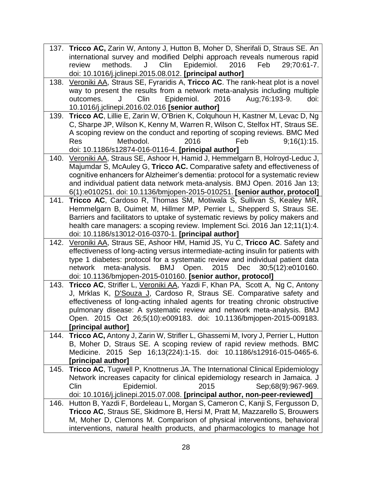137. **Tricco AC,** Zarin W, Antony J, Hutton B, Moher D, Sherifali D, Straus SE. An international survey and modified Delphi approach reveals numerous rapid review methods. J Clin Epidemiol. 2016 Feb 29;70:61-7. doi: 10.1016/j.jclinepi.2015.08.012. **[principal author]** 138. Veroniki AA, Straus SE, Fyraridis A, **Tricco AC**. The rank-heat plot is a novel way to present the results from a network meta-analysis including multiple outcomes. J Clin Epidemiol. 2016 Aug;76:193-9. doi: 10.1016/j.jclinepi.2016.02.016 **[senior author]** 139. **Tricco AC**, Lillie E, Zarin W, O'Brien K, Colquhoun H, Kastner M, Levac D, Ng C, Sharpe JP, Wilson K, Kenny M, Warren R, Wilson C, Stelfox HT, Straus SE. A scoping review on the conduct and reporting of scoping reviews. BMC Med Res Methodol. 2016 Feb 9;16(1):15. doi: 10.1186/s12874-016-0116-4. **[principal author]** 140. Veroniki AA, Straus SE, Ashoor H, Hamid J, Hemmelgarn B, Holroyd-Leduc J, Majumdar S, McAuley G, **Tricco AC.** Comparative safety and effectiveness of cognitive enhancers for Alzheimer's dementia: protocol for a systematic review and individual patient data network meta-analysis. BMJ Open. 2016 Jan 13; 6(1):e010251. doi: 10.1136/bmjopen-2015-010251. **[senior author, protocol]** 141. **Tricco AC**, Cardoso R, Thomas SM, Motiwala S, Sullivan S, Kealey MR, Hemmelgarn B, Ouimet M, Hillmer MP, Perrier L, Shepperd S, Straus SE. Barriers and facilitators to uptake of systematic reviews by policy makers and health care managers: a scoping review. Implement Sci. 2016 Jan 12;11(1):4. doi: 10.1186/s13012-016-0370-1. **[principal author]** 142. Veroniki AA, Straus SE, Ashoor HM, Hamid JS, Yu C, **Tricco AC**. Safety and effectiveness of long-acting versus intermediate-acting insulin for patients with type 1 diabetes: protocol for a systematic review and individual patient data network meta-analysis. BMJ Open. 2015 Dec 30;5(12):e010160. doi: 10.1136/bmjopen-2015-010160. **[senior author, protocol]** 143. **Tricco AC**, Strifler L, Veroniki AA, Yazdi F, Khan PA, Scott A, Ng C, Antony J, Mrklas K, D'Souza J, Cardoso R, Straus SE. Comparative safety and effectiveness of long-acting inhaled agents for treating chronic obstructive pulmonary disease: A systematic review and network meta-analysis. BMJ Open. 2015 Oct 26;5(10):e009183. doi: 10.1136/bmjopen-2015-009183. **[principal author]** 144. **Tricco AC,** Antony J, Zarin W, Strifler L, Ghassemi M, Ivory J, Perrier L, Hutton B, Moher D, Straus SE. A scoping review of rapid review methods. BMC Medicine. 2015 Sep 16;13(224):1-15. doi: 10.1186/s12916-015-0465-6. **[principal author]** 145. **Tricco AC**, Tugwell P, Knottnerus JA. The International Clinical Epidemiology Network increases capacity for clinical epidemiology research in Jamaica. J Clin Epidemiol. 2015 Sep;68(9):967-969. doi: 10.1016/j.jclinepi.2015.07.008. **[principal author, non-peer-reviewed]** 146. Hutton B, Yazdi F, Bordeleau L, Morgan S, Cameron C, Kanji S, Fergusson D, **Tricco AC**, Straus SE, Skidmore B, Hersi M, Pratt M, Mazzarello S, Brouwers M, Moher D, Clemons M. Comparison of physical interventions, behavioral interventions, natural health products, and pharmacologics to manage hot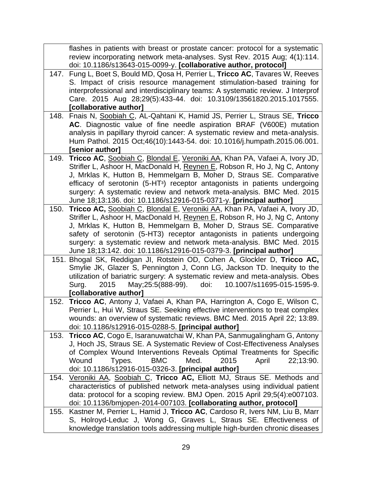|      | flashes in patients with breast or prostate cancer: protocol for a systematic                                                                       |
|------|-----------------------------------------------------------------------------------------------------------------------------------------------------|
|      | review incorporating network meta-analyses. Syst Rev. 2015 Aug; 4(1):114.                                                                           |
|      | doi: 10.1186/s13643-015-0099-y. [collaborative author, protocol]                                                                                    |
| 147. | Fung L, Boet S, Bould MD, Qosa H, Perrier L, Tricco AC, Tavares W, Reeves                                                                           |
|      | S. Impact of crisis resource management stimulation-based training for                                                                              |
|      | interprofessional and interdisciplinary teams: A systematic review. J Interprof                                                                     |
|      | Care. 2015 Aug 28;29(5):433-44. doi: 10.3109/13561820.2015.1017555.<br>[collaborative author]                                                       |
| 148. | Fnais N, Soobiah C, AL-Qahtani K, Hamid JS, Perrier L, Straus SE, Tricco                                                                            |
|      | AC. Diagnostic value of fine needle aspiration BRAF (V600E) mutation                                                                                |
|      | analysis in papillary thyroid cancer: A systematic review and meta-analysis.                                                                        |
|      | Hum Pathol. 2015 Oct;46(10):1443-54. doi: 10.1016/j.humpath.2015.06.001.                                                                            |
|      | [senior author]                                                                                                                                     |
| 149. | Tricco AC, Soobiah C, Blondal E, Veroniki AA, Khan PA, Vafaei A, Ivory JD,                                                                          |
|      | Strifler L, Ashoor H, MacDonald H, Reynen E, Robson R, Ho J, Ng C, Antony                                                                           |
|      | J, Mrklas K, Hutton B, Hemmelgarn B, Moher D, Straus SE. Comparative                                                                                |
|      | efficacy of serotonin (5-HT <sup>3</sup> ) receptor antagonists in patients undergoing                                                              |
|      | surgery: A systematic review and network meta-analysis. BMC Med. 2015                                                                               |
|      | June 18;13:136. doi: 10.1186/s12916-015-0371-y. [principal author]                                                                                  |
| 150. | Tricco AC, Soobiah C, Blondal E, Veroniki AA, Khan PA, Vafaei A, Ivory JD,                                                                          |
|      | Strifler L, Ashoor H, MacDonald H, Reynen E, Robson R, Ho J, Ng C, Antony                                                                           |
|      | J, Mrklas K, Hutton B, Hemmelgarn B, Moher D, Straus SE. Comparative<br>safety of serotonin (5-HT3) receptor antagonists in patients undergoing     |
|      | surgery: a systematic review and network meta-analysis. BMC Med. 2015                                                                               |
|      | June 18;13:142. doi: 10.1186/s12916-015-0379-3. [principal author]                                                                                  |
| 151. | Bhogal SK, Reddigan JI, Rotstein OD, Cohen A, Glockler D, Tricco AC,                                                                                |
|      | Smylie JK, Glazer S, Pennington J, Conn LG, Jackson TD. Inequity to the                                                                             |
|      | utilization of bariatric surgery: A systematic review and meta-analysis. Obes                                                                       |
|      | May; 25:5(888-99).<br>10.1007/s11695-015-1595-9.<br>Surg.<br>2015<br>doi:                                                                           |
|      | [collaborative author]                                                                                                                              |
| 152. | Tricco AC, Antony J, Vafaei A, Khan PA, Harrington A, Cogo E, Wilson C,                                                                             |
|      | Perrier L, Hui W, Straus SE. Seeking effective interventions to treat complex                                                                       |
|      | wounds: an overview of systematic reviews. BMC Med. 2015 April 22; 13:89.                                                                           |
|      | doi: 10.1186/s12916-015-0288-5. [principal author]                                                                                                  |
| 153. | Tricco AC, Cogo E, Isaranuwatchai W, Khan PA, Sanmugalingham G, Antony<br>J, Hoch JS, Straus SE. A Systematic Review of Cost-Effectiveness Analyses |
|      | of Complex Wound Interventions Reveals Optimal Treatments for Specific                                                                              |
|      | <b>BMC</b><br>Wound<br>Med.<br>2015<br>April<br>22;13:90.<br>Types.                                                                                 |
|      | doi: 10.1186/s12916-015-0326-3. [principal author]                                                                                                  |
| 154. | Veroniki AA, Soobiah C, Tricco AC, Elliott MJ, Straus SE. Methods and                                                                               |
|      | characteristics of published network meta-analyses using individual patient                                                                         |
|      | data: protocol for a scoping review. BMJ Open. 2015 April 29;5(4):e007103.                                                                          |
|      | doi: 10.1136/bmjopen-2014-007103. [collaborating author, protocol]                                                                                  |
| 155. | Kastner M, Perrier L, Hamid J, Tricco AC, Cardoso R, Ivers NM, Liu B, Marr                                                                          |
|      | S, Holroyd-Leduc J, Wong G, Graves L, Straus SE. Effectiveness of                                                                                   |
|      | knowledge translation tools addressing multiple high-burden chronic diseases                                                                        |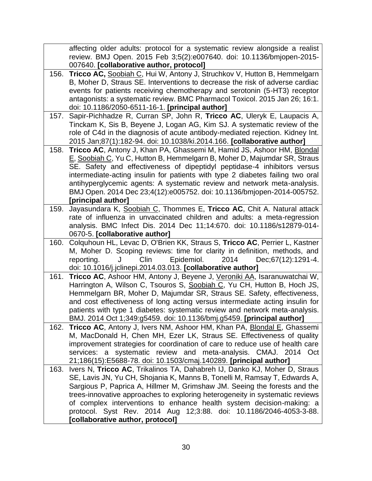|      | affecting older adults: protocol for a systematic review alongside a realist                                                                    |
|------|-------------------------------------------------------------------------------------------------------------------------------------------------|
|      | review. BMJ Open. 2015 Feb 3;5(2):e007640. doi: 10.1136/bmjopen-2015-                                                                           |
|      | 007640. [collaborative author, protocol]                                                                                                        |
| 156. | Tricco AC, Soobiah C, Hui W, Antony J, Struchkov V, Hutton B, Hemmelgarn                                                                        |
|      | B, Moher D, Straus SE. Interventions to decrease the risk of adverse cardiac                                                                    |
|      | events for patients receiving chemotherapy and serotonin (5-HT3) receptor                                                                       |
|      | antagonists: a systematic review. BMC Pharmacol Toxicol. 2015 Jan 26; 16:1.                                                                     |
| 157. | doi: 10.1186/2050-6511-16-1. [principal author]<br>Sapir-Pichhadze R, Curran SP, John R, Tricco AC, Uleryk E, Laupacis A,                       |
|      | Tinckam K, Sis B, Beyene J, Logan AG, Kim SJ. A systematic review of the                                                                        |
|      | role of C4d in the diagnosis of acute antibody-mediated rejection. Kidney Int.                                                                  |
|      | 2015 Jan;87(1):182-94. doi: 10.1038/ki.2014.166. [collaborative author]                                                                         |
| 158. | Tricco AC, Antony J, Khan PA, Ghassemi M, Hamid JS, Ashoor HM, Blondal                                                                          |
|      | E, Soobiah C, Yu C, Hutton B, Hemmelgarn B, Moher D, Majumdar SR, Straus                                                                        |
|      | SE. Safety and effectiveness of dipeptidyl peptidase-4 inhibitors versus                                                                        |
|      | intermediate-acting insulin for patients with type 2 diabetes failing two oral                                                                  |
|      | antihyperglycemic agents: A systematic review and network meta-analysis.                                                                        |
|      | BMJ Open. 2014 Dec 23;4(12):e005752. doi: 10.1136/bmjopen-2014-005752.                                                                          |
|      | [principal author]                                                                                                                              |
| 159. | Jayasundara K, Soobiah C, Thommes E, Tricco AC, Chit A. Natural attack                                                                          |
|      | rate of influenza in unvaccinated children and adults: a meta-regression                                                                        |
|      | analysis. BMC Infect Dis. 2014 Dec 11;14:670. doi: 10.1186/s12879-014-                                                                          |
| 160. | 0670-5. [collaborative author]<br>Colquhoun HL, Levac D, O'Brien KK, Straus S, Tricco AC, Perrier L, Kastner                                    |
|      | M, Moher D. Scoping reviews: time for clarity in definition, methods, and                                                                       |
|      | Epidemiol.<br>2014<br>Clin<br>Dec; 67(12): 1291-4.<br>reporting.<br>J                                                                           |
|      | doi: 10.1016/j.jclinepi.2014.03.013. [collaborative author]                                                                                     |
| 161. | Tricco AC, Ashoor HM, Antony J, Beyene J, Veroniki AA, Isaranuwatchai W,                                                                        |
|      | Harrington A, Wilson C, Tsouros S, Soobiah C, Yu CH, Hutton B, Hoch JS,                                                                         |
|      | Hemmelgarn BR, Moher D, Majumdar SR, Straus SE. Safety, effectiveness,                                                                          |
|      | and cost effectiveness of long acting versus intermediate acting insulin for                                                                    |
|      | patients with type 1 diabetes: systematic review and network meta-analysis.                                                                     |
|      | BMJ. 2014 Oct 1;349:g5459. doi: 10.1136/bmj.g5459. [principal author]                                                                           |
| 162. | Tricco AC, Antony J, Ivers NM, Ashoor HM, Khan PA, Blondal E, Ghassemi<br>M, MacDonald H, Chen MH, Ezer LK, Straus SE. Effectiveness of quality |
|      | improvement strategies for coordination of care to reduce use of health care                                                                    |
|      | services: a systematic review and meta-analysis. CMAJ. 2014 Oct                                                                                 |
|      | 21;186(15):E5688-78. doi: 10.1503/cmaj.140289. [principal author]                                                                               |
| 163. | Ivers N, Tricco AC, Trikalinos TA, Dahabreh IJ, Danko KJ, Moher D, Straus                                                                       |
|      | SE, Lavis JN, Yu CH, Shojania K, Manns B, Tonelli M, Ramsay T, Edwards A,                                                                       |
|      | Sargious P, Paprica A, Hillmer M, Grimshaw JM. Seeing the forests and the                                                                       |
|      | trees-innovative approaches to exploring heterogeneity in systematic reviews                                                                    |
|      | of complex interventions to enhance health system decision-making: a                                                                            |
|      | protocol. Syst Rev. 2014 Aug 12;3:88. doi: 10.1186/2046-4053-3-88.                                                                              |
|      | [collaborative author, protocol]                                                                                                                |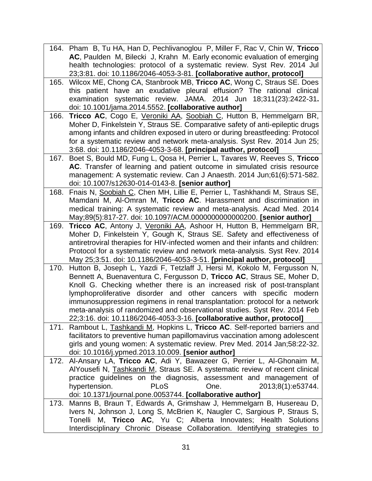164. Pham B, Tu HA, Han D, Pechlivanoglou P, Miller F, Rac V, Chin W, **Tricco AC**, Paulden M, Bilecki J, Krahn M. Early economic evaluation of emerging health technologies: protocol of a systematic review. Syst Rev. 2014 Jul 23;3:81. doi: 10.1186/2046-4053-3-81. **[collaborative author, protocol]** 165. Wilcox ME, Chong CA, Stanbrook MB, **Tricco AC**, Wong C, Straus SE. Does this patient have an exudative pleural effusion? The rational clinical examination systematic review. JAMA. 2014 Jun 18;311(23):2422-31**.**  doi: 10.1001/jama.2014.5552. **[collaborative author]** 166. **Tricco AC**, Cogo E, Veroniki AA, Soobiah C, Hutton B, Hemmelgarn BR, Moher D, Finkelstein Y, Straus SE. Comparative safety of anti-epileptic drugs among infants and children exposed in utero or during breastfeeding: Protocol for a systematic review and network meta-analysis. Syst Rev. 2014 Jun 25; 3:68. doi: 10.1186/2046-4053-3-68. **[principal author, protocol]** 167. Boet S, Bould MD, Fung L, Qosa H, Perrier L, Tavares W, Reeves S, **Tricco AC**. Transfer of learning and patient outcome in simulated crisis resource management: A systematic review. Can J Anaesth. 2014 Jun;61(6):571-582. doi: 10.1007/s12630-014-0143-8. **[senior author]** 168. Fnais N, Soobiah C, Chen MH, Lillie E, Perrier L, Tashkhandi M, Straus SE, Mamdani M, Al-Omran M, **Tricco AC**. Harassment and discrimination in medical training: A systematic review and meta-analysis. Acad Med. 2014 May;89(5):817-27. doi: 10.1097/ACM.0000000000000200. **[senior author]** 169. **Tricco AC**, Antony J, Veroniki AA, Ashoor H, Hutton B, Hemmelgarn BR, Moher D, Finkelstein Y, Gough K, Straus SE. Safety and effectiveness of antiretroviral therapies for HIV-infected women and their infants and children: Protocol for a systematic review and network meta-analysis. Syst Rev. 2014 May 25;3:51. doi: 10.1186/2046-4053-3-51. **[principal author, protocol]** 170. Hutton B, Joseph L, Yazdi F, Tetzlaff J, Hersi M, Kokolo M, Fergusson N, Bennett A, Buenaventura C, Fergusson D, **Tricco AC**, Straus SE, Moher D, Knoll G. Checking whether there is an increased risk of post-transplant lymphoproliferative disorder and other cancers with specific modern immunosuppression regimens in renal transplantation: protocol for a network meta-analysis of randomized and observational studies. Syst Rev. 2014 Feb 22;3:16. doi: 10.1186/2046-4053-3-16. **[collaborative author, protocol]** 171. Rambout L, Tashkandi M, Hopkins L, **Tricco AC**. Self-reported barriers and facilitators to preventive human papillomavirus vaccination among adolescent girls and young women: A systematic review. Prev Med. 2014 Jan;58:22-32. doi: 10.1016/j.ypmed.2013.10.009. **[senior author]** 172. Al-Ansary LA, **Tricco AC**, Adi Y, Bawazeer G, Perrier L, Al-Ghonaim M, AlYousefi N, Tashkandi M, Straus SE. A systematic review of recent clinical practice guidelines on the diagnosis, assessment and management of hypertension. PLoS One. 2013:8(1):e53744. doi: 10.1371/journal.pone.0053744. **[collaborative author]** 173. Manns B, Braun T, Edwards A, Grimshaw J, Hemmelgarn B, Husereau D, Ivers N, Johnson J, Long S, McBrien K, Naugler C, Sargious P, Straus S, Tonelli M, **Tricco AC**, Yu C; Alberta Innovates; Health Solutions Interdisciplinary Chronic Disease Collaboration. Identifying strategies to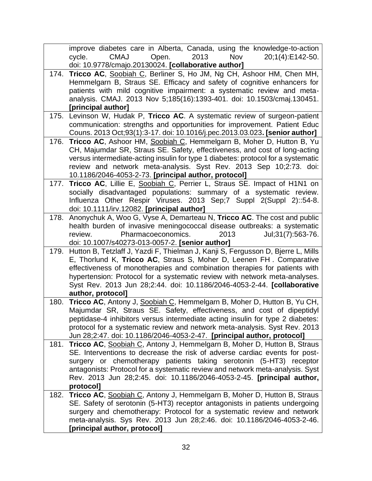|      | improve diabetes care in Alberta, Canada, using the knowledge-to-action                                               |
|------|-----------------------------------------------------------------------------------------------------------------------|
|      | 2013<br><b>CMAJ</b><br>Open.<br><b>Nov</b><br>20;1(4):E142-50.<br>cycle.                                              |
|      | doi: 10.9778/cmajo.20130024. [collaborative author]                                                                   |
|      | 174. Tricco AC, Soobiah C, Berliner S, Ho JM, Ng CH, Ashoor HM, Chen MH,                                              |
|      | Hemmelgarn B, Straus SE. Efficacy and safety of cognitive enhancers for                                               |
|      | patients with mild cognitive impairment: a systematic review and meta-                                                |
|      | analysis. CMAJ. 2013 Nov 5;185(16):1393-401. doi: 10.1503/cmaj.130451.                                                |
|      | [principal author]                                                                                                    |
|      | 175. Levinson W, Hudak P, Tricco AC. A systematic review of surgeon-patient                                           |
|      | communication: strengths and opportunities for improvement. Patient Educ                                              |
|      | Couns. 2013 Oct;93(1):3-17. doi: 10.1016/j.pec.2013.03.023. [senior author]                                           |
| 176. | Tricco AC, Ashoor HM, Soobiah C, Hemmelgarn B, Moher D, Hutton B, Yu                                                  |
|      | CH, Majumdar SR, Straus SE. Safety, effectiveness, and cost of long-acting                                            |
|      | versus intermediate-acting insulin for type 1 diabetes: protocol for a systematic                                     |
|      | review and network meta-analysis. Syst Rev. 2013 Sep 10;2:73. doi:                                                    |
|      | 10.1186/2046-4053-2-73. [principal author, protocol]                                                                  |
|      | 177. Tricco AC, Lillie E, Soobiah C, Perrier L, Straus SE. Impact of H1N1 on                                          |
|      | socially disadvantaged populations: summary of a systematic review.                                                   |
|      | Influenza Other Respir Viruses. 2013 Sep;7 Suppl 2(Suppl 2)::54-8.                                                    |
| 178. | doi: 10.1111/irv.12082. [principal author]<br>Anonychuk A, Woo G, Vyse A, Demarteau N, Tricco AC. The cost and public |
|      | health burden of invasive meningococcal disease outbreaks: a systematic                                               |
|      | Pharmacoeconomics.<br>Jul; 31(7): 563-76.<br>2013<br>review.                                                          |
|      | doi: 10.1007/s40273-013-0057-2. [senior author]                                                                       |
| 179. | Hutton B, Tetzlaff J, Yazdi F, Thielman J, Kanji S, Fergusson D, Bjerre L, Mills                                      |
|      | E, Thorlund K, Tricco AC, Straus S, Moher D, Leenen FH. Comparative                                                   |
|      | effectiveness of monotherapies and combination therapies for patients with                                            |
|      | hypertension: Protocol for a systematic review with network meta-analyses.                                            |
|      | Syst Rev. 2013 Jun 28;2:44. doi: 10.1186/2046-4053-2-44. [collaborative                                               |
|      | author, protocol]                                                                                                     |
| 180. | Tricco AC, Antony J, Soobiah C, Hemmelgarn B, Moher D, Hutton B, Yu CH,                                               |
|      | Majumdar SR, Straus SE. Safety, effectiveness, and cost of dipeptidyl                                                 |
|      | peptidase-4 inhibitors versus intermediate acting insulin for type 2 diabetes:                                        |
|      | protocol for a systematic review and network meta-analysis. Syst Rev. 2013                                            |
|      | Jun 28;2:47. doi: 10.1186/2046-4053-2-47. [principal author, protocol]                                                |
| 181. | Tricco AC, Soobiah C, Antony J, Hemmelgarn B, Moher D, Hutton B, Straus                                               |
|      | SE. Interventions to decrease the risk of adverse cardiac events for post-                                            |
|      | surgery or chemotherapy patients taking serotonin (5-HT3) receptor                                                    |
|      | antagonists: Protocol for a systematic review and network meta-analysis. Syst                                         |
|      | Rev. 2013 Jun 28;2:45. doi: 10.1186/2046-4053-2-45. [principal author,                                                |
|      | protocol]                                                                                                             |
| 182. | Tricco AC, Soobiah C, Antony J, Hemmelgarn B, Moher D, Hutton B, Straus                                               |
|      | SE. Safety of serotonin (5-HT3) receptor antagonists in patients undergoing                                           |
|      | surgery and chemotherapy: Protocol for a systematic review and network                                                |
|      | meta-analysis. Sys Rev. 2013 Jun 28;2:46. doi: 10.1186/2046-4053-2-46.                                                |
|      | [principal author, protocol]                                                                                          |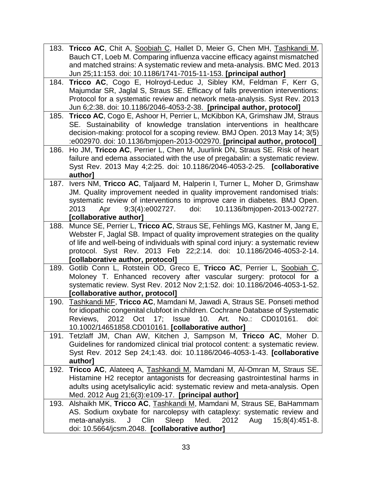| 183. | Tricco AC, Chit A, Soobiah C, Hallet D, Meier G, Chen MH, Tashkandi M,             |
|------|------------------------------------------------------------------------------------|
|      | Bauch CT, Loeb M. Comparing influenza vaccine efficacy against mismatched          |
|      | and matched strains: A systematic review and meta-analysis. BMC Med. 2013          |
|      | Jun 25;11:153. doi: 10.1186/1741-7015-11-153. [principal author]                   |
| 184. | Tricco AC, Cogo E, Holroyd-Leduc J, Sibley KM, Feldman F, Kerr G,                  |
|      | Majumdar SR, Jaglal S, Straus SE. Efficacy of falls prevention interventions:      |
|      | Protocol for a systematic review and network meta-analysis. Syst Rev. 2013         |
|      | Jun 6;2:38. doi: 10.1186/2046-4053-2-38. [principal author, protocol]              |
| 185. | Tricco AC, Cogo E, Ashoor H, Perrier L, McKibbon KA, Grimshaw JM, Straus           |
|      | SE. Sustainability of knowledge translation interventions in healthcare            |
|      | decision-making: protocol for a scoping review. BMJ Open. 2013 May 14; 3(5)        |
|      | :e002970. doi: 10.1136/bmjopen-2013-002970. [principal author, protocol]           |
| 186. | Ho JM, Tricco AC, Perrier L, Chen M, Juurlink DN, Straus SE. Risk of heart         |
|      | failure and edema associated with the use of pregabalin: a systematic review.      |
|      | Syst Rev. 2013 May 4;2:25. doi: 10.1186/2046-4053-2-25. [collaborative             |
|      | author]                                                                            |
| 187. | Ivers NM, Tricco AC, Taljaard M, Halperin I, Turner L, Moher D, Grimshaw           |
|      | JM. Quality improvement needed in quality improvement randomised trials:           |
|      | systematic review of interventions to improve care in diabetes. BMJ Open.          |
|      | Apr<br>$9,3(4):e002727.$ doi:<br>10.1136/bmjopen-2013-002727.<br>2013              |
|      | [collaborative author]                                                             |
| 188. | Munce SE, Perrier L, Tricco AC, Straus SE, Fehlings MG, Kastner M, Jang E,         |
|      | Webster F, Jaglal SB. Impact of quality improvement strategies on the quality      |
|      | of life and well-being of individuals with spinal cord injury: a systematic review |
|      | protocol. Syst Rev. 2013 Feb 22;2:14. doi: 10.1186/2046-4053-2-14.                 |
|      | [collaborative author, protocol]                                                   |
| 189. | Gotlib Conn L, Rotstein OD, Greco E, Tricco AC, Perrier L, Soobiah C,              |
|      | Moloney T. Enhanced recovery after vascular surgery: protocol for a                |
|      | systematic review. Syst Rev. 2012 Nov 2;1:52. doi: 10.1186/2046-4053-1-52.         |
|      | [collaborative author, protocol]                                                   |
| 190. | Tashkandi MF, Tricco AC, Mamdani M, Jawadi A, Straus SE. Ponseti method            |
|      | for idiopathic congenital clubfoot in children. Cochrane Database of Systematic    |
|      | Reviews, 2012 Oct 17; Issue 10. Art. No.: CD010161.<br>doi:                        |
|      | 10.1002/14651858.CD010161. [collaborative author]                                  |
| 191. | Tetzlaff JM, Chan AW, Kitchen J, Sampson M, Tricco AC, Moher D.                    |
|      | Guidelines for randomized clinical trial protocol content: a systematic review.    |
|      | Syst Rev. 2012 Sep 24;1:43. doi: 10.1186/2046-4053-1-43. [collaborative            |
|      | authorl                                                                            |
| 192. | Tricco AC, Alateeq A, Tashkandi M, Mamdani M, Al-Omran M, Straus SE.               |
|      | Histamine H2 receptor antagonists for decreasing gastrointestinal harms in         |
|      | adults using acetylsalicylic acid: systematic review and meta-analysis. Open       |
|      | Med. 2012 Aug 21;6(3):e109-17. [principal author]                                  |
| 193. | Alshaikh MK, Tricco AC, Tashkandi M, Mamdani M, Straus SE, BaHammam                |
|      | AS. Sodium oxybate for narcolepsy with cataplexy: systematic review and            |
|      | Clin<br>Sleep<br>meta-analysis.<br>Med.<br>2012<br>$15;8(4):451-8.$<br>J<br>Aug    |
|      | doi: 10.5664/jcsm.2048. [collaborative author]                                     |
|      |                                                                                    |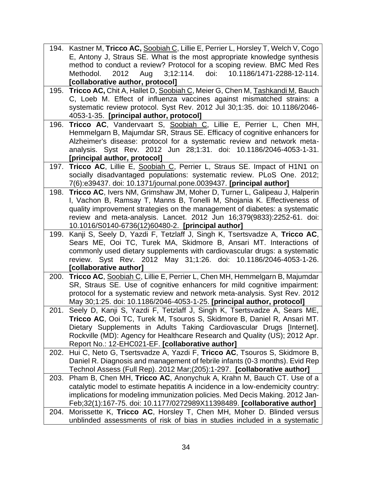|      | 194. Kastner M, Tricco AC, Soobiah C, Lillie E, Perrier L, Horsley T, Welch V, Cogo                                                                      |
|------|----------------------------------------------------------------------------------------------------------------------------------------------------------|
|      | E, Antony J, Straus SE. What is the most appropriate knowledge synthesis                                                                                 |
|      | method to conduct a review? Protocol for a scoping review. BMC Med Res                                                                                   |
|      | 3;12:114.<br>doi:<br>10.1186/1471-2288-12-114.<br>2012 Aug<br>Methodol.                                                                                  |
|      | [collaborative author, protocol]                                                                                                                         |
| 195. | Tricco AC, Chit A, Hallet D, Soobiah C, Meier G, Chen M, Tashkandi M, Bauch                                                                              |
|      | C, Loeb M. Effect of influenza vaccines against mismatched strains: a                                                                                    |
|      | systematic review protocol. Syst Rev. 2012 Jul 30;1:35. doi: 10.1186/2046-                                                                               |
|      | 4053-1-35. [principal author, protocol]                                                                                                                  |
| 196. | Tricco AC, Vandervaart S, Soobiah C, Lillie E, Perrier L, Chen MH,                                                                                       |
|      | Hemmelgarn B, Majumdar SR, Straus SE. Efficacy of cognitive enhancers for                                                                                |
|      | Alzheimer's disease: protocol for a systematic review and network meta-                                                                                  |
|      | analysis. Syst Rev. 2012 Jun 28;1:31. doi: 10.1186/2046-4053-1-31.                                                                                       |
|      | [principal author, protocol]                                                                                                                             |
| 197. | Tricco AC, Lillie E, Soobiah C, Perrier L, Straus SE. Impact of H1N1 on                                                                                  |
|      | socially disadvantaged populations: systematic review. PLoS One. 2012;                                                                                   |
|      | 7(6):e39437. doi: 10.1371/journal.pone.0039437. [principal author]                                                                                       |
| 198. | Tricco AC, Ivers NM, Grimshaw JM, Moher D, Turner L, Galipeau J, Halperin                                                                                |
|      | I, Vachon B, Ramsay T, Manns B, Tonelli M, Shojania K. Effectiveness of                                                                                  |
|      | quality improvement strategies on the management of diabetes: a systematic                                                                               |
|      | review and meta-analysis. Lancet. 2012 Jun 16;379(9833):2252-61. doi:                                                                                    |
|      | 10.1016/S0140-6736(12)60480-2. [principal author]                                                                                                        |
| 199. | Kanji S, Seely D, Yazdi F, Tetzlaff J, Singh K, Tsertsvadze A, Tricco AC,                                                                                |
|      | Sears ME, Ooi TC, Turek MA, Skidmore B, Ansari MT. Interactions of                                                                                       |
|      | commonly used dietary supplements with cardiovascular drugs: a systematic                                                                                |
|      | review. Syst Rev. 2012 May 31;1:26. doi: 10.1186/2046-4053-1-26.                                                                                         |
|      | [collaborative author]                                                                                                                                   |
| 200. | Tricco AC, Soobiah C, Lillie E, Perrier L, Chen MH, Hemmelgarn B, Majumdar                                                                               |
|      | SR, Straus SE. Use of cognitive enhancers for mild cognitive impairment:                                                                                 |
|      | protocol for a systematic review and network meta-analysis. Syst Rev. 2012                                                                               |
|      | May 30;1:25. doi: 10.1186/2046-4053-1-25. [principal author, protocol]                                                                                   |
| 201. | Seely D, Kanji S, Yazdi F, Tetzlaff J, Singh K, Tsertsvadze A, Sears ME,                                                                                 |
|      | <b>Tricco AC</b> , Ooi TC, Turek M, Tsouros S, Skidmore B, Daniel R, Ansari MT.<br>Dietary Supplements in Adults Taking Cardiovascular Drugs [Internet]. |
|      | Rockville (MD): Agency for Healthcare Research and Quality (US); 2012 Apr.                                                                               |
|      | Report No.: 12-EHC021-EF. [collaborative author]                                                                                                         |
| 202. | Hui C, Neto G, Tsertsvadze A, Yazdi F, Tricco AC, Tsouros S, Skidmore B,                                                                                 |
|      | Daniel R. Diagnosis and management of febrile infants (0-3 months). Evid Rep                                                                             |
|      | Technol Assess (Full Rep). 2012 Mar;(205):1-297. [collaborative author]                                                                                  |
| 203. | Pham B, Chen MH, Tricco AC, Anonychuk A, Krahn M, Bauch CT. Use of a                                                                                     |
|      | catalytic model to estimate hepatitis A incidence in a low-endemicity country:                                                                           |
|      | implications for modeling immunization policies. Med Decis Making. 2012 Jan-                                                                             |
|      | Feb;32(1):167-75. doi: 10.1177/0272989X11398489. [collaborative author]                                                                                  |
| 204. | Morissette K, Tricco AC, Horsley T, Chen MH, Moher D. Blinded versus                                                                                     |
|      | unblinded assessments of risk of bias in studies included in a systematic                                                                                |
|      |                                                                                                                                                          |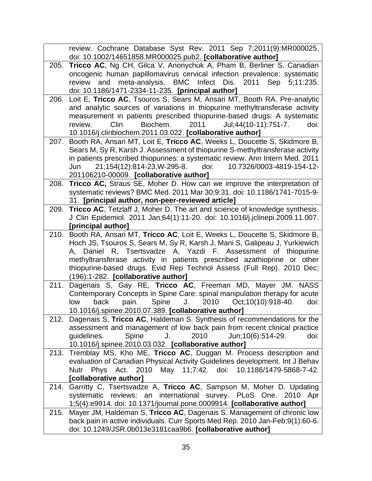|      | review. Cochrane Database Syst Rev. 2011 Sep 7;2011(9):MR000025.                                    |
|------|-----------------------------------------------------------------------------------------------------|
|      | doi: 10.1002/14651858.MR000025.pub2. [collaborative author]                                         |
| 205. | Tricco AC, Ng CH, Gilca V, Anonychuk A, Pham B, Berliner S. Canadian                                |
|      | oncogenic human papillomavirus cervical infection prevalence: systematic                            |
|      | and meta-analysis. BMC Infect Dis. 2011 Sep<br>review<br>$5:11:235$ .                               |
|      | doi: 10.1186/1471-2334-11-235. [principal author]                                                   |
| 206. | Loit E, Tricco AC, Tsouros S, Sears M, Ansari MT, Booth RA. Pre-analytic                            |
|      | and analytic sources of variations in thiopurine methyltransferase activity                         |
|      | measurement in patients prescribed thiopurine-based drugs: A systematic                             |
|      | Biochem.<br>2011<br>Jul;44(10-11):751-7.<br>Clin<br>doi:<br>review.                                 |
|      | 10.1016/j.clinbiochem.2011.03.022. [collaborative author]                                           |
| 207. | Booth RA, Ansari MT, Loit E, Tricco AC, Weeks L, Doucette S, Skidmore B,                            |
|      | Sears M, Sy R, Karsh J. Assessment of thiopurine S-methyltransferase activity                       |
|      | in patients prescribed thiopurines: a systematic review. Ann Intern Med. 2011                       |
|      | 21;154(12):814-23, W-295-8.<br>doi:<br>10.7326/0003-4819-154-12-<br>Jun                             |
|      | 201106210-00009. [collaborative author]                                                             |
| 208. | Tricco AC, Straus SE, Moher D. How can we improve the interpretation of                             |
|      | systematic reviews? BMC Med. 2011 Mar 30;9:31. doi: 10.1186/1741-7015-9-                            |
|      | 31. [principal author, non-peer-reviewed article]                                                   |
| 209. | Tricco AC, Tetzlaff J, Moher D. The art and science of knowledge synthesis.                         |
|      | J Clin Epidemiol. 2011 Jan;64(1):11-20. doi: 10.1016/j.jclinepi.2009.11.007.                        |
|      | [principal author]<br>210. Booth RA, Ansari MT, Tricco AC, Loit E, Weeks L, Doucette S, Skidmore B, |
|      | Hoch JS, Tsouros S, Sears M, Sy R, Karsh J, Mani S, Galipeau J, Yurkiewich                          |
|      | A, Daniel R, Tsertsvadze A, Yazdi F. Assessment of thiopurine                                       |
|      | methyltransferase activity in patients prescribed azathioprine or other                             |
|      | thiopurine-based drugs. Evid Rep Technol Assess (Full Rep). 2010 Dec;                               |
|      | (196):1-282. [collaborative author]                                                                 |
| 211. | Dagenais S, Gay RE, Tricco AC, Freeman MD, Mayer JM. NASS                                           |
|      | Contemporary Concepts in Spine Care: spinal manipulation therapy for acute                          |
|      | J. $2010$ Oct; $10(10)$ : $918-40$ .<br>back<br>pain.<br>Spine<br>doi:<br>low                       |
|      | 10.1016/j.spinee.2010.07.389. [collaborative author]                                                |
|      | 212. Dagenais S, Tricco AC, Haldeman S. Synthesis of recommendations for the                        |
|      | assessment and management of low back pain from recent clinical practice                            |
|      | Spine<br>2010<br>Jun:10(6):514-29.<br>guidelines.<br>J.<br>doi:                                     |
|      | 10.1016/j.spinee.2010.03.032. [collaborative author]                                                |
| 213. | Tremblay MS, Kho ME, Tricco AC, Duggan M. Process description and                                   |
|      | evaluation of Canadian Physical Activity Guidelines development. Int J Behav                        |
|      | Nutr Phys Act. 2010 May 11;7:42. doi:<br>10.1186/1479-5868-7-42.                                    |
|      | [collaborative author]                                                                              |
| 214. | Garritty C, Tsertsvadze A, Tricco AC, Sampson M, Moher D. Updating                                  |
|      | systematic reviews: an international survey. PLoS One.<br>2010 Apr                                  |
|      | 1;5(4):e9914. doi: 10.1371/journal.pone.0009914. [collaborative author]                             |
| 215. | Mayer JM, Haldeman S, Tricco AC, Dagenais S. Management of chronic low                              |
|      | back pain in active individuals. Curr Sports Med Rep. 2010 Jan-Feb;9(1):60-6.                       |
|      | doi: 10.1249/JSR.0b013e3181caa9b6. [collaborative author]                                           |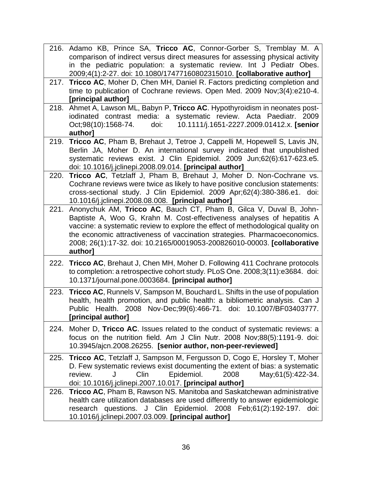|      | 216. Adamo KB, Prince SA, Tricco AC, Connor-Gorber S, Tremblay M. A<br>comparison of indirect versus direct measures for assessing physical activity<br>in the pediatric population: a systematic review. Int J Pediatr Obes.<br>2009;4(1):2-27. doi: 10.1080/17477160802315010. [collaborative author]                                                                                             |
|------|-----------------------------------------------------------------------------------------------------------------------------------------------------------------------------------------------------------------------------------------------------------------------------------------------------------------------------------------------------------------------------------------------------|
| 217. | Tricco AC, Moher D, Chen MH, Daniel R. Factors predicting completion and<br>time to publication of Cochrane reviews. Open Med. 2009 Nov;3(4):e210-4.<br>[principal author]                                                                                                                                                                                                                          |
| 218. | Ahmet A, Lawson ML, Babyn P, Tricco AC. Hypothyroidism in neonates post-<br>iodinated contrast media: a systematic review. Acta Paediatr. 2009<br>10.1111/j.1651-2227.2009.01412.x. [senior<br>Oct;98(10):1568-74.<br>doi:<br>author]                                                                                                                                                               |
| 219. | Tricco AC, Pham B, Brehaut J, Tetroe J, Cappelli M, Hopewell S, Lavis JN,<br>Berlin JA, Moher D. An international survey indicated that unpublished<br>systematic reviews exist. J Clin Epidemiol. 2009 Jun;62(6):617-623.e5.<br>doi: 10.1016/j.jclinepi.2008.09.014. [principal author]                                                                                                            |
| 220. | Tricco AC, Tetzlaff J, Pham B, Brehaut J, Moher D. Non-Cochrane vs.<br>Cochrane reviews were twice as likely to have positive conclusion statements:<br>cross-sectional study. J Clin Epidemiol. 2009 Apr;62(4):380-386.e1. doi:<br>10.1016/j.jclinepi.2008.08.008. [principal author]                                                                                                              |
| 221. | Anonychuk AM, Tricco AC, Bauch CT, Pham B, Gilca V, Duval B, John-<br>Baptiste A, Woo G, Krahn M. Cost-effectiveness analyses of hepatitis A<br>vaccine: a systematic review to explore the effect of methodological quality on<br>the economic attractiveness of vaccination strategies. Pharmacoeconomics.<br>2008; 26(1):17-32. doi: 10.2165/00019053-200826010-00003. [collaborative<br>authorl |
| 222. | Tricco AC, Brehaut J, Chen MH, Moher D. Following 411 Cochrane protocols<br>to completion: a retrospective cohort study. PLoS One. 2008;3(11):e3684. doi:<br>10.1371/journal.pone.0003684. [principal author]                                                                                                                                                                                       |
| 223. | <b>Tricco AC, Runnels V, Sampson M, Bouchard L. Shifts in the use of population</b><br>health, health promotion, and public health: a bibliometric analysis. Can J<br>Public Health. 2008 Nov-Dec;99(6):466-71. doi: 10.1007/BF03403777.<br>[principal author]                                                                                                                                      |
| 224. | Moher D, Tricco AC. Issues related to the conduct of systematic reviews: a<br>focus on the nutrition field. Am J Clin Nutr. 2008 Nov;88(5):1191-9. doi:<br>10.3945/ajcn.2008.26255. [senior author, non-peer-reviewed]                                                                                                                                                                              |
| 225. | Tricco AC, Tetzlaff J, Sampson M, Fergusson D, Cogo E, Horsley T, Moher<br>D. Few systematic reviews exist documenting the extent of bias: a systematic<br>Epidemiol.<br>Clin<br>May; 61(5): 422-34.<br>2008<br>review.<br>J<br>doi: 10.1016/j.jclinepi.2007.10.017. [principal author]                                                                                                             |
| 226. | Tricco AC, Pham B, Rawson NS. Manitoba and Saskatchewan administrative<br>health care utilization databases are used differently to answer epidemiologic<br>research questions. J Clin Epidemiol. 2008 Feb;61(2):192-197.<br>doi:<br>10.1016/j.jclinepi.2007.03.009. [principal author]                                                                                                             |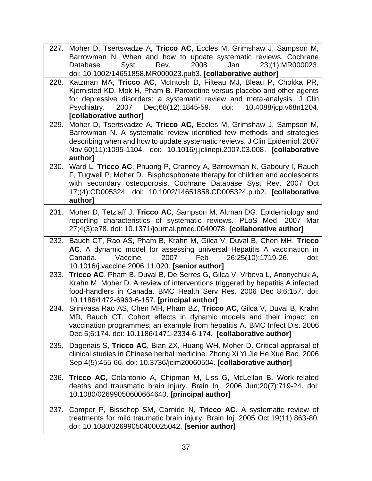|      | 227. Moher D, Tsertsvadze A, Tricco AC, Eccles M, Grimshaw J, Sampson M,<br>Barrowman N. When and how to update systematic reviews. Cochrane<br>2008<br>Syst<br>Rev.<br>Jan<br>23;(1):MR000023.<br>Database<br>doi: 10.1002/14651858.MR000023.pub3. [collaborative author]                                                   |
|------|------------------------------------------------------------------------------------------------------------------------------------------------------------------------------------------------------------------------------------------------------------------------------------------------------------------------------|
| 228. | Katzman MA, Tricco AC, McIntosh D, Filteau MJ, Bleau P, Chokka PR,<br>Kjernisted KD, Mok H, Pham B. Paroxetine versus placebo and other agents<br>for depressive disorders: a systematic review and meta-analysis. J Clin<br>2007 Dec;68(12):1845-59. doi:<br>Psychiatry.<br>10.4088/jcp.v68n1204.<br>[collaborative author] |
| 229. | Moher D, Tsertsvadze A, Tricco AC, Eccles M, Grimshaw J, Sampson M,<br>Barrowman N. A systematic review identified few methods and strategies<br>describing when and how to update systematic reviews. J Clin Epidemiol. 2007<br>Nov;60(11):1095-1104. doi: 10.1016/j.jclinepi.2007.03.008. [collaborative<br>author]        |
| 230. | Ward L, Tricco AC, Phuong P, Cranney A, Barrowman N, Gaboury I, Rauch<br>F, Tugwell P, Moher D. Bisphosphonate therapy for children and adolescents<br>with secondary osteoporosis. Cochrane Database Syst Rev. 2007 Oct<br>17;(4):CD005324. doi: 10.1002/14651858.CD005324.pub2. [collaborative<br>author]                  |
| 231. | Moher D, Tetzlaff J, Tricco AC, Sampson M, Altman DG. Epidemiology and<br>reporting characteristics of systematic reviews. PLoS Med. 2007 Mar<br>27;4(3):e78. doi: 10.1371/journal.pmed.0040078. [collaborative author]                                                                                                      |
| 232. | Bauch CT, Rao AS, Pham B, Krahn M, Gilca V, Duval B, Chen MH, Tricco<br>AC. A dynamic model for assessing universal Hepatitis A vaccination in<br>Canada.<br>Vaccine.<br>2007<br>Feb<br>26;25(10):1719-26.<br>doi:<br>10.1016/j.vaccine.2006.11.020. [senior author]                                                         |
| 233. | Tricco AC, Pham B, Duval B, De Serres G, Gilca V, Vrbova L, Anonychuk A,<br>Krahn M, Moher D. A review of interventions triggered by hepatitis A infected<br>food-handlers in Canada. BMC Health Serv Res. 2006 Dec 8;6:157. doi:<br>10.1186/1472-6963-6-157. [principal author]                                             |
| 234. | Srinivasa Rao AS, Chen MH, Pham BZ, Tricco AC, Gilca V, Duval B, Krahn<br>MD, Bauch CT. Cohort effects in dynamic models and their impact on<br>vaccination programmes: an example from hepatitis A. BMC Infect Dis. 2006<br>Dec 5;6:174. doi: 10.1186/1471-2334-6-174. [collaborative author]                               |
| 235. | Dagenais S, Tricco AC, Bian ZX, Huang WH, Moher D. Critical appraisal of<br>clinical studies in Chinese herbal medicine. Zhong Xi Yi Jie He Xue Bao. 2006<br>Sep;4(5):455-66. doi: 10.3736/jcim20060504. [collaborative author]                                                                                              |
| 236. | Tricco AC, Colantonio A, Chipman M, Liss G, McLellan B. Work-related<br>deaths and trausmatic brain injury. Brain Inj. 2006 Jun;20(7):719-24. doi:<br>10.1080/02699050600664640. [principal author]                                                                                                                          |
| 237. | Comper P, Bisschop SM, Carnide N, Tricco AC. A systematic review of<br>treatments for mild traumatic brain injury. Brain Inj. 2005 Oct;19(11):863-80.<br>doi: 10.1080/02699050400025042. [senior author]                                                                                                                     |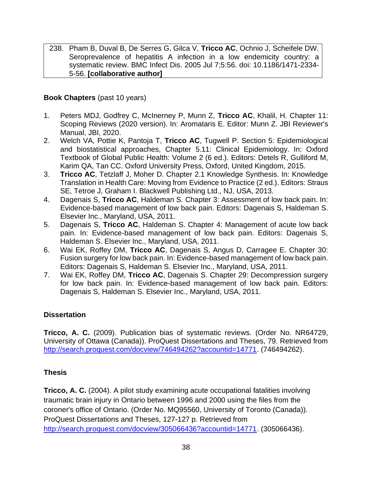238. Pham B, Duval B, De Serres G, Gilca V, **Tricco AC**, Ochnio J, Scheifele DW. Seroprevalence of hepatitis A infection in a low endemicity country: a systematic review. BMC Infect Dis. 2005 Jul 7;5:56. doi: 10.1186/1471-2334- 5-56. **[collaborative author]**

### **Book Chapters** (past 10 years)

- 1. Peters MDJ, Godfrey C, McInerney P, Munn Z, **Tricco AC**, Khalil, H. Chapter 11: Scoping Reviews (2020 version). In: Aromataris E. Editor: Munn Z. JBI Reviewer's Manual, JBI, 2020.
- 2. Welch VA, Pottie K, Pantoja T, **Tricco AC**, Tugwell P. Section 5: Epidemiological and biostatistical approaches, Chapter 5.11: Clinical Epidemiology. In: Oxford Textbook of Global Public Health: Volume 2 (6 ed.). Editors: Detels R, Gulliford M, Karim QA, Tan CC. Oxford University Press, Oxford, United Kingdom, 2015.
- 3. **Tricco AC**, Tetzlaff J, Moher D. Chapter 2.1 Knowledge Synthesis. In: Knowledge Translation in Health Care: Moving from Evidence to Practice (2 ed.). Editors: Straus SE, Tetroe J, Graham I. Blackwell Publishing Ltd., NJ, USA, 2013.
- 4. Dagenais S, **Tricco AC**, Haldeman S. Chapter 3: Assessment of low back pain. In: Evidence-based management of low back pain. Editors: Dagenais S, Haldeman S. Elsevier Inc., Maryland, USA, 2011.
- 5. Dagenais S, **Tricco AC**, Haldeman S. Chapter 4: Management of acute low back pain. In: Evidence-based management of low back pain. Editors: Dagenais S, Haldeman S. Elsevier Inc., Maryland, USA, 2011.
- 6. Wai EK, Roffey DM, **Tricco AC**, Dagenais S, Angus D, Carragee E. Chapter 30: Fusion surgery for low back pain. In: Evidence-based management of low back pain. Editors: Dagenais S, Haldeman S. Elsevier Inc., Maryland, USA, 2011.
- 7. Wai EK, Roffey DM, **Tricco AC**, Dagenais S. Chapter 29: Decompression surgery for low back pain. In: Evidence-based management of low back pain. Editors: Dagenais S, Haldeman S. Elsevier Inc., Maryland, USA, 2011.

### **Dissertation**

**Tricco, A. C.** (2009). Publication bias of systematic reviews. (Order No. NR64729, University of Ottawa (Canada)). ProQuest Dissertations and Theses, 79. Retrieved from http://search.proquest.com/docview/746494262?accountid=14771. (746494262).

### **Thesis**

**Tricco, A. C.** (2004). A pilot study examining acute occupational fatalities involving traumatic brain injury in Ontario between 1996 and 2000 using the files from the coroner's office of Ontario. (Order No. MQ95560, University of Toronto (Canada)). ProQuest Dissertations and Theses, 127-127 p. Retrieved from http://search.proquest.com/docview/305066436?accountid=14771. (305066436).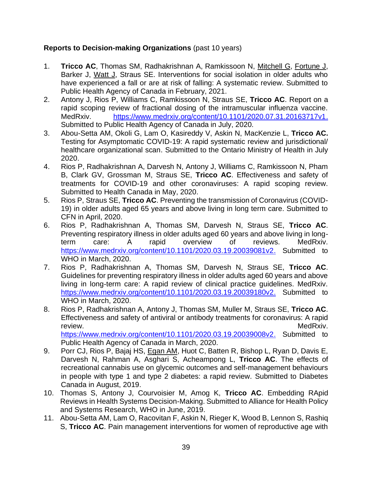### **Reports to Decision-making Organizations** (past 10 years)

- 1. **Tricco AC**, Thomas SM, Radhakrishnan A, Ramkissoon N, Mitchell G, Fortune J, Barker J, Watt J, Straus SE. Interventions for social isolation in older adults who have experienced a fall or are at risk of falling: A systematic review. Submitted to Public Health Agency of Canada in February, 2021.
- 2. Antony J, Rios P, Williams C, Ramkissoon N, Straus SE, **Tricco AC**. Report on a rapid scoping review of fractional dosing of the intramuscular influenza vaccine. MedRxiv. [https://www.medrxiv.org/content/10.1101/2020.07.31.20163717v1.](https://www.medrxiv.org/content/10.1101/2020.07.31.20163717v1) Submitted to Public Health Agency of Canada in July, 2020.
- 3. Abou-Setta AM, Okoli G, Lam O, Kasireddy V, Askin N, MacKenzie L, **Tricco AC.** Testing for Asymptomatic COVID-19: A rapid systematic review and jurisdictional/ healthcare organizational scan. Submitted to the Ontario Ministry of Health in July 2020.
- 4. Rios P, Radhakrishnan A, Darvesh N, Antony J, Williams C, Ramkissoon N, Pham B, Clark GV, Grossman M, Straus SE, **Tricco AC**. Effectiveness and safety of treatments for COVID-19 and other coronaviruses: A rapid scoping review. Submitted to Health Canada in May, 2020.
- 5. Rios P, Straus SE, **Tricco AC**. Preventing the transmission of Coronavirus (COVID-19) in older adults aged 65 years and above living in long term care. Submitted to CFN in April, 2020.
- 6. Rios P, Radhakrishnan A, Thomas SM, Darvesh N, Straus SE, **Tricco AC**. Preventing respiratory illness in older adults aged 60 years and above living in longterm care: A rapid overview of reviews. MedRxiv. [https://www.medrxiv.org/content/10.1101/2020.03.19.20039081v2.](https://www.medrxiv.org/content/10.1101/2020.03.19.20039081v2) Submitted to WHO in March, 2020.
- 7. Rios P, Radhakrishnan A, Thomas SM, Darvesh N, Straus SE, **Tricco AC**. Guidelines for preventing respiratory illness in older adults aged 60 years and above living in long-term care: A rapid review of clinical practice guidelines. MedRxiv. [https://www.medrxiv.org/content/10.1101/2020.03.19.20039180v2.](https://www.medrxiv.org/content/10.1101/2020.03.19.20039180v2) Submitted to WHO in March, 2020.
- 8. Rios P, Radhakrishnan A, Antony J, Thomas SM, Muller M, Straus SE, **Tricco AC**. Effectiveness and safety of antiviral or antibody treatments for coronavirus: A rapid review. MedRxiv. [https://www.medrxiv.org/content/10.1101/2020.03.19.20039008v2.](https://www.medrxiv.org/content/10.1101/2020.03.19.20039008v2) Submitted to

Public Health Agency of Canada in March, 2020. 9. Porr CJ, Rios P, Bajaj HS, Egan AM, Huot C, Batten R, Bishop L, Ryan D, Davis E, Darvesh N, Rahman A, Asghari S, Acheampong L, **Tricco AC**. The effects of recreational cannabis use on glycemic outcomes and self-management behaviours

- in people with type 1 and type 2 diabetes: a rapid review. Submitted to Diabetes Canada in August, 2019. 10. Thomas S, Antony J, Courvoisier M, Amog K, **Tricco AC**. Embedding RApid Reviews in Health Systems Decision-Making. Submitted to Alliance for Health Policy
- and Systems Research, WHO in June, 2019. 11. Abou-Setta AM, Lam O, Racovitan F, Askin N, Rieger K, Wood B, Lennon S, Rashiq S, **Tricco AC**. Pain management interventions for women of reproductive age with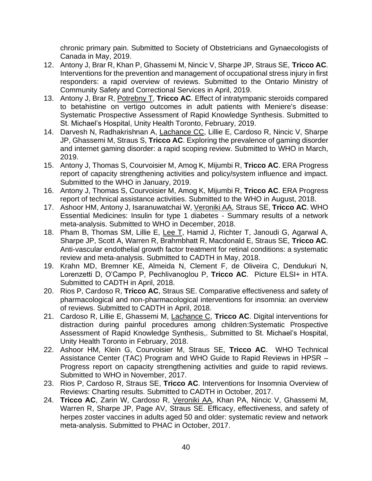chronic primary pain. Submitted to Society of Obstetricians and Gynaecologists of Canada in May, 2019.

- 12. Antony J, Brar R, Khan P, Ghassemi M, Nincic V, Sharpe JP, Straus SE, **Tricco AC**. Interventions for the prevention and management of occupational stress injury in first responders: a rapid overview of reviews. Submitted to the Ontario Ministry of Community Safety and Correctional Services in April, 2019.
- 13. Antony J, Brar R, Potrebny T, **Tricco AC**. Effect of intratympanic steroids compared to betahistine on vertigo outcomes in adult patients with Meniere's disease: Systematic Prospective Assessment of Rapid Knowledge Synthesis. Submitted to St. Michael's Hospital, Unity Health Toronto, February, 2019.
- 14. Darvesh N, Radhakrishnan A, Lachance CC, Lillie E, Cardoso R, Nincic V, Sharpe JP, Ghassemi M, Straus S, **Tricco AC**. Exploring the prevalence of gaming disorder and internet gaming disorder: a rapid scoping review. Submitted to WHO in March, 2019.
- 15. Antony J, Thomas S, Courvoisier M, Amog K, Mijumbi R, **Tricco AC**. ERA Progress report of capacity strengthening activities and policy/system influence and impact. Submitted to the WHO in January, 2019.
- 16. Antony J, Thomas S, Courvoisier M, Amog K, Mijumbi R, **Tricco AC**. ERA Progress report of technical assistance activities. Submitted to the WHO in August, 2018.
- 17. Ashoor HM, Antony J, Isaranuwatchai W, Veroniki AA, Straus SE, **Tricco AC**. WHO Essential Medicines: Insulin for type 1 diabetes - Summary results of a network meta-analysis. Submitted to WHO in December, 2018.
- 18. Pham B, Thomas SM, Lillie E, Lee T, Hamid J, Richter T, Janoudi G, Agarwal A, Sharpe JP, Scott A, Warren R, Brahmbhatt R, Macdonald E, Straus SE, **Tricco AC**. Anti-vascular endothelial growth factor treatment for retinal conditions: a systematic review and meta-analysis. Submitted to CADTH in May, 2018.
- 19. Krahn MD, Bremner KE, Almeida N, Clement F, de Oliveira C, Dendukuri N, Lorenzetti D, O'Campo P, Pechlivanoglou P, **Tricco AC**. Picture ELSI+ in HTA. Submitted to CADTH in April, 2018.
- 20. Rios P, Cardoso R, **Tricco AC**, Straus SE. Comparative effectiveness and safety of pharmacological and non-pharmacological interventions for insomnia: an overview of reviews. Submitted to CADTH in April, 2018.
- 21. Cardoso R, Lillie E, Ghassemi M, Lachance C, **Tricco AC**. Digital interventions for distraction during painful procedures among children:Systematic Prospective Assessment of Rapid Knowledge Synthesis,. Submitted to St. Michael's Hospital, Unity Health Toronto in February, 2018.
- 22. Ashoor HM, Klein G, Courvoisier M, Straus SE, **Tricco AC**. WHO Technical Assistance Center (TAC) Program and WHO Guide to Rapid Reviews in HPSR – Progress report on capacity strengthening activities and guide to rapid reviews. Submitted to WHO in November, 2017.
- 23. Rios P, Cardoso R, Straus SE, **Tricco AC**. Interventions for Insomnia Overview of Reviews: Charting results. Submitted to CADTH in October, 2017.
- 24. **Tricco AC**, Zarin W, Cardoso R, Veroniki AA, Khan PA, Nincic V, Ghassemi M, Warren R, Sharpe JP, Page AV, Straus SE. Efficacy, effectiveness, and safety of herpes zoster vaccines in adults aged 50 and older: systematic review and network meta-analysis. Submitted to PHAC in October, 2017.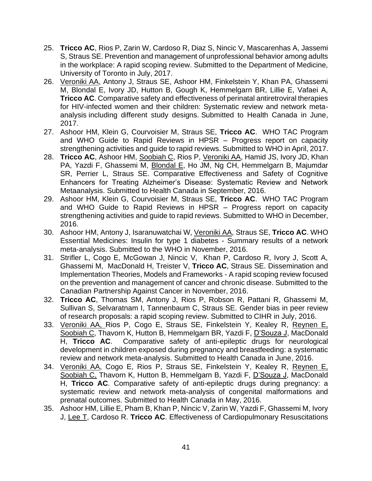- 25. **Tricco AC**, Rios P, Zarin W, Cardoso R, Diaz S, Nincic V, Mascarenhas A, Jassemi S, Straus SE. Prevention and management of unprofessional behavior among adults in the workplace: A rapid scoping review. Submitted to the Department of Medicine, University of Toronto in July, 2017.
- 26. Veroniki AA, Antony J, Straus SE, Ashoor HM, Finkelstein Y, Khan PA, Ghassemi M, Blondal E, Ivory JD, Hutton B, Gough K, Hemmelgarn BR, Lillie E, Vafaei A, **Tricco AC**. Comparative safety and effectiveness of perinatal antiretroviral therapies for HIV-infected women and their children: Systematic review and network metaanalysis including different study designs. Submitted to Health Canada in June, 2017.
- 27. Ashoor HM, Klein G, Courvoisier M, Straus SE, **Tricco AC**. WHO TAC Program and WHO Guide to Rapid Reviews in HPSR – Progress report on capacity strengthening activities and guide to rapid reviews. Submitted to WHO in April, 2017.
- 28. **Tricco AC**, Ashoor HM, Soobiah C, Rios P, Veroniki AA, Hamid JS, Ivory JD, Khan PA, Yazdi F, Ghassemi M, Blondal E, Ho JM, Ng CH, Hemmelgarn B, Majumdar SR, Perrier L, Straus SE. Comparative Effectiveness and Safety of Cognitive Enhancers for Treating Alzheimer's Disease: Systematic Review and Network Metaanalysis. Submitted to Health Canada in September, 2016.
- 29. Ashoor HM, Klein G, Courvoisier M, Straus SE, **Tricco AC**. WHO TAC Program and WHO Guide to Rapid Reviews in HPSR – Progress report on capacity strengthening activities and guide to rapid reviews. Submitted to WHO in December, 2016.
- 30. Ashoor HM, Antony J, Isaranuwatchai W, Veroniki AA, Straus SE, **Tricco AC**. WHO Essential Medicines: Insulin for type 1 diabetes - Summary results of a network meta-analysis. Submitted to the WHO in November, 2016.
- 31. Strifler L, Cogo E, McGowan J, Nincic V, Khan P, Cardoso R, Ivory J, Scott A, Ghassemi M, MacDonald H, Treister V, **Tricco AC**, Straus SE. Dissemination and Implementation Theories, Models and Frameworks - A rapid scoping review focused on the prevention and management of cancer and chronic disease. Submitted to the Canadian Partnership Against Cancer in November, 2016.
- 32. **Tricco AC**, Thomas SM, Antony J, Rios P, Robson R, Pattani R, Ghassemi M, Sullivan S, Selvaratnam I, Tannenbaum C, Straus SE. Gender bias in peer review of research proposals: a rapid scoping review. Submitted to CIHR in July, 2016.
- 33. Veroniki AA, Rios P, Cogo E, Straus SE, Finkelstein Y, Kealey R, Reynen E, Soobiah C, Thavorn K, Hutton B, Hemmelgarn BR, Yazdi F, D'Souza J, MacDonald H, **Tricco AC**. Comparative safety of anti-epileptic drugs for neurological development in children exposed during pregnancy and breastfeeding: a systematic review and network meta-analysis. Submitted to Health Canada in June, 2016.
- 34. Veroniki AA, Cogo E, Rios P, Straus SE, Finkelstein Y, Kealey R, Reynen E, Soobiah C, Thavorn K, Hutton B, Hemmelgarn B, Yazdi F, D'Souza J, MacDonald H, **Tricco AC**. Comparative safety of anti-epileptic drugs during pregnancy: a systematic review and network meta-analysis of congenital malformations and prenatal outcomes. Submitted to Health Canada in May, 2016.
- 35. Ashoor HM, Lillie E, Pham B, Khan P, Nincic V, Zarin W, Yazdi F, Ghassemi M, Ivory J, Lee T, Cardoso R. **Tricco AC**. Effectiveness of Cardiopulmonary Resuscitations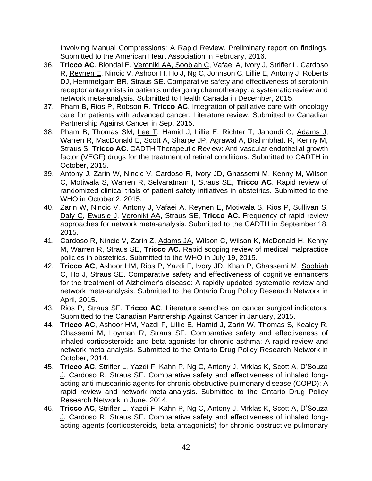Involving Manual Compressions: A Rapid Review. Preliminary report on findings. Submitted to the American Heart Association in February, 2016.

- 36. **Tricco AC**, Blondal E, Veroniki AA, Soobiah C, Vafaei A, Ivory J, Strifler L, Cardoso R, Reynen E, Nincic V, Ashoor H, Ho J, Ng C, Johnson C, Lillie E, Antony J, Roberts DJ, Hemmelgarn BR, Straus SE. Comparative safety and effectiveness of serotonin receptor antagonists in patients undergoing chemotherapy: a systematic review and network meta-analysis. Submitted to Health Canada in December, 2015.
- 37. Pham B, Rios P, Robson R. **Tricco AC**. Integration of palliative care with oncology care for patients with advanced cancer: Literature review. Submitted to Canadian Partnership Against Cancer in Sep, 2015.
- 38. Pham B, Thomas SM, Lee T, Hamid J, Lillie E, Richter T, Janoudi G, Adams J, Warren R, MacDonald E, Scott A, Sharpe JP, Agrawal A, Brahmbhatt R, Kenny M, Straus S, **Tricco AC.** CADTH Therapeutic Review: Anti-vascular endothelial growth factor (VEGF) drugs for the treatment of retinal conditions. Submitted to CADTH in October, 2015.
- 39. Antony J, Zarin W, Nincic V, Cardoso R, Ivory JD, Ghassemi M, Kenny M, Wilson C, Motiwala S, Warren R, Selvaratnam I, Straus SE, **Tricco AC**. Rapid review of randomized clinical trials of patient safety initiatives in obstetrics. Submitted to the WHO in October 2, 2015.
- 40. Zarin W, Nincic V, Antony J, Vafaei A, Reynen E, Motiwala S, Rios P, Sullivan S, Daly C, Ewusie J, Veroniki AA, Straus SE, **Tricco AC.** Frequency of rapid review approaches for network meta-analysis. Submitted to the CADTH in September 18, 2015.
- 41. Cardoso R, Nincic V, Zarin Z, Adams JA, Wilson C, Wilson K, McDonald H, Kenny M, Warren R, Straus SE, **Tricco AC.** Rapid scoping review of medical malpractice policies in obstetrics. Submitted to the WHO in July 19, 2015.
- 42. **Tricco AC**, Ashoor HM, Rios P, Yazdi F, Ivory JD, Khan P, Ghassemi M, Soobiah C, Ho J, Straus SE. Comparative safety and effectiveness of cognitive enhancers for the treatment of Alzheimer's disease: A rapidly updated systematic review and network meta-analysis. Submitted to the Ontario Drug Policy Research Network in April, 2015.
- 43. Rios P, Straus SE, **Tricco AC**. Literature searches on cancer surgical indicators. Submitted to the Canadian Partnership Against Cancer in January, 2015.
- 44. **Tricco AC**, Ashoor HM, Yazdi F, Lillie E, Hamid J, Zarin W, Thomas S, Kealey R, Ghassemi M, Loyman R, Straus SE. Comparative safety and effectiveness of inhaled corticosteroids and beta-agonists for chronic asthma: A rapid review and network meta-analysis. Submitted to the Ontario Drug Policy Research Network in October, 2014.
- 45. **Tricco AC**, Strifler L, Yazdi F, Kahn P, Ng C, Antony J, Mrklas K, Scott A, D'Souza J, Cardoso R, Straus SE. Comparative safety and effectiveness of inhaled longacting anti-muscarinic agents for chronic obstructive pulmonary disease (COPD): A rapid review and network meta-analysis. Submitted to the Ontario Drug Policy Research Network in June, 2014.
- 46. **Tricco AC**, Strifler L, Yazdi F, Kahn P, Ng C, Antony J, Mrklas K, Scott A, D'Souza J, Cardoso R, Straus SE. Comparative safety and effectiveness of inhaled longacting agents (corticosteroids, beta antagonists) for chronic obstructive pulmonary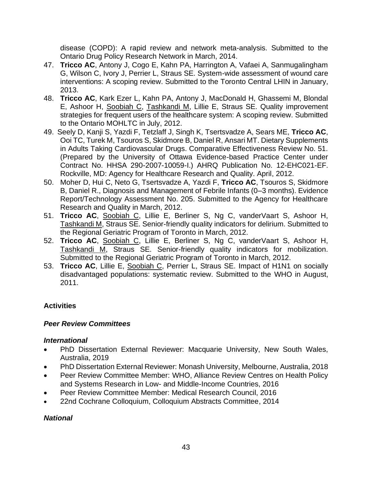disease (COPD): A rapid review and network meta-analysis. Submitted to the Ontario Drug Policy Research Network in March, 2014.

- 47. **Tricco AC**, Antony J, Cogo E, Kahn PA, Harrington A, Vafaei A, Sanmugalingham G, Wilson C, Ivory J, Perrier L, Straus SE. System-wide assessment of wound care interventions: A scoping review. Submitted to the Toronto Central LHIN in January, 2013.
- 48. **Tricco AC**, Kark Ezer L, Kahn PA, Antony J, MacDonald H, Ghassemi M, Blondal E, Ashoor H, Soobiah C, Tashkandi M, Lillie E, Straus SE. Quality improvement strategies for frequent users of the healthcare system: A scoping review. Submitted to the Ontario MOHLTC in July, 2012.
- 49. Seely D, Kanji S, Yazdi F, Tetzlaff J, Singh K, Tsertsvadze A, Sears ME, **Tricco AC**, Ooi TC, Turek M, Tsouros S, Skidmore B, Daniel R, Ansari MT. Dietary Supplements in Adults Taking Cardiovascular Drugs. Comparative Effectiveness Review No. 51. (Prepared by the University of Ottawa Evidence-based Practice Center under Contract No. HHSA 290-2007-10059-I.) AHRQ Publication No. 12-EHC021-EF. Rockville, MD: Agency for Healthcare Research and Quality. April, 2012.
- 50. Moher D, Hui C, Neto G, Tsertsvadze A, Yazdi F, **Tricco AC**, Tsouros S, Skidmore B, Daniel R., Diagnosis and Management of Febrile Infants (0–3 months). Evidence Report/Technology Assessment No. 205. Submitted to the Agency for Healthcare Research and Quality in March, 2012.
- 51. **Tricco AC**, Soobiah C, Lillie E, Berliner S, Ng C, vanderVaart S, Ashoor H, Tashkandi M, Straus SE. Senior-friendly quality indicators for delirium. Submitted to the Regional Geriatric Program of Toronto in March, 2012.
- 52. **Tricco AC**, Soobiah C, Lillie E, Berliner S, Ng C, vanderVaart S, Ashoor H, Tashkandi M, Straus SE. Senior-friendly quality indicators for mobilization. Submitted to the Regional Geriatric Program of Toronto in March, 2012.
- 53. **Tricco AC**, Lillie E, Soobiah C, Perrier L, Straus SE. Impact of H1N1 on socially disadvantaged populations: systematic review. Submitted to the WHO in August, 2011.

# **Activities**

### *Peer Review Committees*

#### *International*

- PhD Dissertation External Reviewer: Macquarie University, New South Wales, Australia, 2019
- PhD Dissertation External Reviewer: Monash University, Melbourne, Australia, 2018
- Peer Review Committee Member: WHO, Alliance Review Centres on Health Policy and Systems Research in Low- and Middle-Income Countries, 2016
- Peer Review Committee Member: Medical Research Council, 2016
- 22nd Cochrane Colloquium, Colloquium Abstracts Committee, 2014

### *National*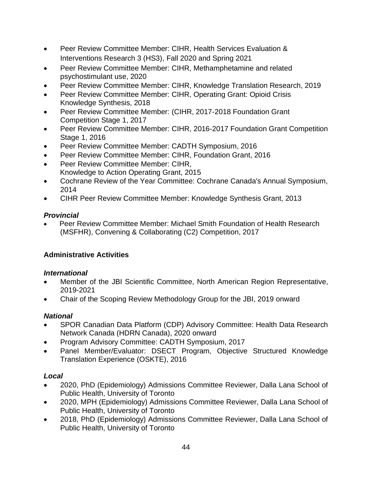- Peer Review Committee Member: CIHR, Health Services Evaluation & Interventions Research 3 (HS3), Fall 2020 and Spring 2021
- Peer Review Committee Member: CIHR, Methamphetamine and related psychostimulant use, 2020
- Peer Review Committee Member: CIHR, Knowledge Translation Research, 2019
- Peer Review Committee Member: CIHR, Operating Grant: Opioid Crisis Knowledge Synthesis, 2018
- Peer Review Committee Member: (CIHR, 2017-2018 Foundation Grant Competition Stage 1, 2017
- Peer Review Committee Member: CIHR, 2016-2017 Foundation Grant Competition Stage 1, 2016
- Peer Review Committee Member: CADTH Symposium, 2016
- Peer Review Committee Member: CIHR, Foundation Grant, 2016
- Peer Review Committee Member: CIHR, Knowledge to Action Operating Grant, 2015
- Cochrane Review of the Year Committee: Cochrane Canada's Annual Symposium, 2014
- CIHR Peer Review Committee Member: Knowledge Synthesis Grant, 2013

# *Provincial*

• Peer Review Committee Member: Michael Smith Foundation of Health Research (MSFHR), Convening & Collaborating (C2) Competition, 2017

# **Administrative Activities**

# *International*

- Member of the JBI Scientific Committee, North American Region Representative, 2019-2021
- Chair of the Scoping Review Methodology Group for the JBI, 2019 onward

# *National*

- SPOR Canadian Data Platform (CDP) Advisory Committee: Health Data Research Network Canada (HDRN Canada), 2020 onward
- Program Advisory Committee: CADTH Symposium, 2017
- Panel Member/Evaluator: DSECT Program, Objective Structured Knowledge Translation Experience (OSKTE), 2016

# *Local*

- 2020, PhD (Epidemiology) Admissions Committee Reviewer, Dalla Lana School of Public Health, University of Toronto
- 2020, MPH (Epidemiology) Admissions Committee Reviewer, Dalla Lana School of Public Health, University of Toronto
- 2018, PhD (Epidemiology) Admissions Committee Reviewer, Dalla Lana School of Public Health, University of Toronto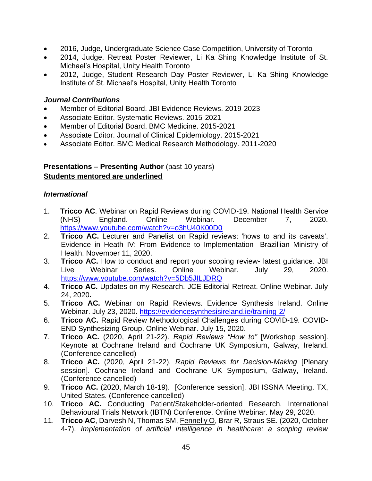- 2016, Judge, Undergraduate Science Case Competition, University of Toronto
- 2014, Judge, Retreat Poster Reviewer, Li Ka Shing Knowledge Institute of St. Michael's Hospital, Unity Health Toronto
- 2012, Judge, Student Research Day Poster Reviewer, Li Ka Shing Knowledge Institute of St. Michael's Hospital, Unity Health Toronto

#### *Journal Contributions*

- Member of Editorial Board. JBI Evidence Reviews. 2019-2023
- Associate Editor. Systematic Reviews. 2015-2021
- Member of Editorial Board. BMC Medicine. 2015-2021
- Associate Editor. Journal of Clinical Epidemiology. 2015-2021
- Associate Editor. BMC Medical Research Methodology. 2011-2020

### **Presentations – Presenting Author** (past 10 years) **Students mentored are underlined**

#### *International*

- 1. **Tricco AC**. Webinar on Rapid Reviews during COVID-19. National Health Service (NHS) England. Online Webinar. December 7, 2020. <https://www.youtube.com/watch?v=o3hU40K00D0>
- 2. **Tricco AC.** Lecturer and Panelist on Rapid reviews: 'hows to and its caveats'. Evidence in Heath IV: From Evidence to Implementation- Brazillian Ministry of Health. November 11, 2020.
- 3. **Tricco AC.** How to conduct and report your scoping review- latest guidance. JBI Live Webinar Series. Online Webinar. July 29, 2020. <https://www.youtube.com/watch?v=5Db5JILJDRQ>
- 4. **Tricco AC.** Updates on my Research. JCE Editorial Retreat. Online Webinar. July 24, 2020**.**
- 5. **Tricco AC.** Webinar on Rapid Reviews. Evidence Synthesis Ireland. Online Webinar. July 23, 2020. <https://evidencesynthesisireland.ie/training-2/>
- 6. **Tricco AC.** Rapid Review Methodological Challenges during COVID-19. COVID-END Synthesizing Group. Online Webinar. July 15, 2020.
- 7. **Tricco AC.** (2020, April 21-22). *Rapid Reviews "How to"* [Workshop session]. Keynote at Cochrane Ireland and Cochrane UK Symposium, Galway, Ireland. (Conference cancelled)
- 8. **Tricco AC.** (2020, April 21-22). *Rapid Reviews for Decision-Making* [Plenary session]. Cochrane Ireland and Cochrane UK Symposium, Galway, Ireland. (Conference cancelled)
- 9. **Tricco AC.** (2020, March 18-19). [Conference session]. JBI ISSNA Meeting. TX, United States. (Conference cancelled)
- 10. **Tricco AC.** Conducting Patient/Stakeholder-oriented Research. International Behavioural Trials Network (IBTN) Conference. Online Webinar. May 29, 2020.
- 11. **Tricco AC**, Darvesh N, Thomas SM, Fennelly O, Brar R, Straus SE. (2020, October 4-7). *Implementation of artificial intelligence in healthcare: a scoping review*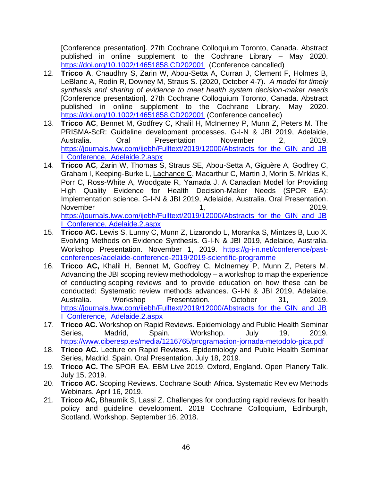[Conference presentation]. 27th Cochrane Colloquium Toronto, Canada. Abstract published in online supplement to the Cochrane Library – May 2020. <https://doi.org/10.1002/14651858.CD202001> (Conference cancelled)

- 12. **Tricco A**, Chaudhry S, Zarin W, Abou-Setta A, Curran J, Clement F, Holmes B, LeBlanc A, Rodin R, Downey M, Straus S. (2020, October 4-7). *A model for timely synthesis and sharing of evidence to meet health system decision-maker needs* [Conference presentation]. 27th Cochrane Colloquium Toronto, Canada. Abstract published in online supplement to the Cochrane Library. May 2020. <https://doi.org/10.1002/14651858.CD202001> (Conference cancelled)
- 13. **Tricco AC**, Bennet M, Godfrey C, Khalil H, McInerney P, Munn Z, Peters M. The PRISMA-ScR: Guideline development processes. G-I-N & JBI 2019, Adelaide, Australia. Oral Presentation November 2, 2019. [https://journals.lww.com/ijebh/Fulltext/2019/12000/Abstracts\\_for\\_the\\_GIN\\_and\\_JB](https://journals.lww.com/ijebh/Fulltext/2019/12000/Abstracts_for_the_GIN_and_JBI_Conference,_Adelaide.2.aspx)\_ [I\\_Conference,\\_Adelaide.2.aspx](https://journals.lww.com/ijebh/Fulltext/2019/12000/Abstracts_for_the_GIN_and_JBI_Conference,_Adelaide.2.aspx)
- 14. **Tricco AC**, Zarin W, Thomas S, Straus SE, Abou-Setta A, Giguère A, Godfrey C, Graham I, Keeping-Burke L, Lachance C, Macarthur C, Martin J, Morin S, Mrklas K, Porr C, Ross-White A, Woodgate R, Yamada J. A Canadian Model for Providing High Quality Evidence for Health Decision-Maker Needs (SPOR EA): Implementation science. G-I-N & JBI 2019, Adelaide, Australia. Oral Presentation. November 1, 2019. https://journals.lww.com/ijebh/Fulltext/2019/12000/Abstracts\_for\_the\_GIN\_and\_JB\_ I\_Conference, Adelaide.2.aspx
- 15. **Tricco AC.** Lewis S, Lunny C, Munn Z, Lizarondo L, Moranka S, Mintzes B, Luo X. Evolving Methods on Evidence Synthesis. G-I-N & JBI 2019, Adelaide, Australia. Workshop Presentation. November 1, 2019. [https://g-i-n.net/conference/past](https://g-i-n.net/conference/past-conferences/adelaide-conference-2019/2019-scientific-programme)[conferences/adelaide-conference-2019/2019-scientific-programme](https://g-i-n.net/conference/past-conferences/adelaide-conference-2019/2019-scientific-programme)
- 16. **Tricco AC,** Khalil H, Bennet M, Godfrey C, McInerney P, Munn Z, Peters M. Advancing the JBI scoping review methodology – a workshop to map the experience of conducting scoping reviews and to provide education on how these can be conducted: Systematic review methods advances. G-I-N & JBI 2019, Adelaide, Australia. Workshop Presentation. October 31, 2019. https://journals.lww.com/ijebh/Fulltext/2019/12000/Abstracts\_for\_the\_GIN\_and\_JB I\_Conference,\_Adelaide.2.aspx
- 17. **Tricco AC.** Workshop on Rapid Reviews. Epidemiology and Public Health Seminar Series, Madrid, Spain. Workshop. July 19, 2019. https://www.ciberesp.es/media/1216765/programacion-jornada-metodolo-gica.pdf
- 18. **Tricco AC.** Lecture on Rapid Reviews. Epidemiology and Public Health Seminar Series, Madrid, Spain. Oral Presentation. July 18, 2019.
- 19. **Tricco AC.** The SPOR EA. EBM Live 2019, Oxford, England. Open Planery Talk. July 15, 2019.
- 20. **Tricco AC.** Scoping Reviews. Cochrane South Africa. Systematic Review Methods Webinars. April 16, 2019.
- 21. **Tricco AC,** Bhaumik S, Lassi Z. Challenges for conducting rapid reviews for health policy and guideline development. 2018 Cochrane Colloquium, Edinburgh, Scotland. Workshop. September 16, 2018.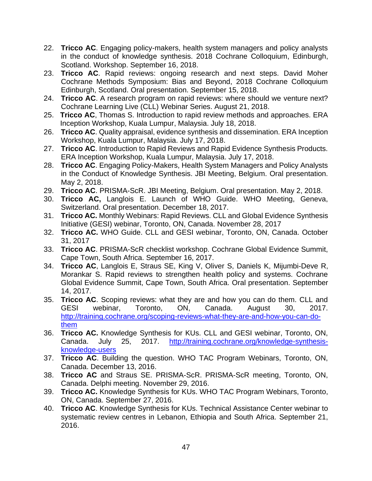- 22. **Tricco AC**. Engaging policy-makers, health system managers and policy analysts in the conduct of knowledge synthesis. 2018 Cochrane Colloquium, Edinburgh, Scotland. Workshop. September 16, 2018.
- 23. **Tricco AC**. Rapid reviews: ongoing research and next steps. David Moher Cochrane Methods Symposium: Bias and Beyond, 2018 Cochrane Colloquium Edinburgh, Scotland. Oral presentation. September 15, 2018.
- 24. **Tricco AC**. A research program on rapid reviews: where should we venture next? Cochrane Learning Live (CLL) Webinar Series. August 21, 2018.
- 25. **Tricco AC**, Thomas S. Introduction to rapid review methods and approaches. ERA Inception Workshop, Kuala Lumpur, Malaysia. July 18, 2018.
- 26. **Tricco AC**. Quality appraisal, evidence synthesis and dissemination. ERA Inception Workshop, Kuala Lumpur, Malaysia. July 17, 2018.
- 27. **Tricco AC**. Introduction to Rapid Reviews and Rapid Evidence Synthesis Products. ERA Inception Workshop, Kuala Lumpur, Malaysia. July 17, 2018.
- 28. **Tricco AC**. Engaging Policy-Makers, Health System Managers and Policy Analysts in the Conduct of Knowledge Synthesis. JBI Meeting, Belgium. Oral presentation. May 2, 2018.
- 29. **Tricco AC**. PRISMA-ScR. JBI Meeting, Belgium. Oral presentation. May 2, 2018.
- 30. **Tricco AC,** Langlois E. Launch of WHO Guide. WHO Meeting, Geneva, Switzerland. Oral presentation. December 18, 2017.
- 31. **Tricco AC.** Monthly Webinars: Rapid Reviews. CLL and Global Evidence Synthesis Initiative (GESI) webinar, Toronto, ON, Canada. November 28, 2017
- 32. **Tricco AC.** WHO Guide. CLL and GESI webinar, Toronto, ON, Canada. October 31, 2017
- 33. **Tricco AC**. PRISMA-ScR checklist workshop. Cochrane Global Evidence Summit, Cape Town, South Africa. September 16, 2017.
- 34. **Tricco AC**, Langlois E, Straus SE, King V, Oliver S, Daniels K, Mijumbi-Deve R, Morankar S. Rapid reviews to strengthen health policy and systems. Cochrane Global Evidence Summit, Cape Town, South Africa. Oral presentation. September 14, 2017.
- 35. **Tricco AC**. Scoping reviews: what they are and how you can do them. CLL and GESI webinar, Toronto, ON, Canada. August 30, 2017. [http://training.cochrane.org/scoping-reviews-what-they-are-and-how-you-can-do](http://training.cochrane.org/scoping-reviews-what-they-are-and-how-you-can-do-them)[them](http://training.cochrane.org/scoping-reviews-what-they-are-and-how-you-can-do-them)
- 36. **Tricco AC.** Knowledge Synthesis for KUs. CLL and GESI webinar, Toronto, ON, Canada. July 25, 2017. [http://training.cochrane.org/knowledge-synthesis](http://training.cochrane.org/knowledge-synthesis-knowledge-users)[knowledge-users](http://training.cochrane.org/knowledge-synthesis-knowledge-users)
- 37. **Tricco AC**. Building the question. WHO TAC Program Webinars, Toronto, ON, Canada. December 13, 2016.
- 38. **Tricco AC** and Straus SE. PRISMA-ScR. PRISMA-ScR meeting, Toronto, ON, Canada. Delphi meeting. November 29, 2016.
- 39. **Tricco AC.** Knowledge Synthesis for KUs. WHO TAC Program Webinars, Toronto, ON, Canada. September 27, 2016.
- 40. **Tricco AC**. Knowledge Synthesis for KUs. Technical Assistance Center webinar to systematic review centres in Lebanon, Ethiopia and South Africa. September 21, 2016.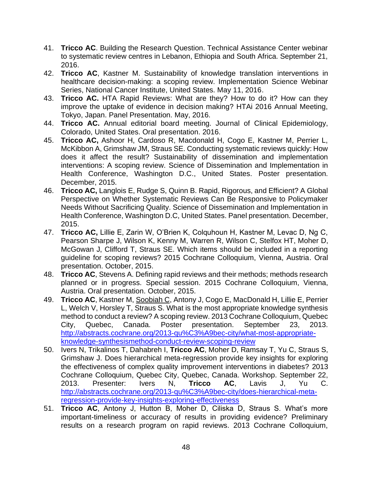- 41. **Tricco AC**. Building the Research Question. Technical Assistance Center webinar to systematic review centres in Lebanon, Ethiopia and South Africa. September 21, 2016.
- 42. **Tricco AC**, Kastner M. Sustainability of knowledge translation interventions in healthcare decision-making: a scoping review. Implementation Science Webinar Series, National Cancer Institute, United States. May 11, 2016.
- 43. **Tricco AC.** HTA Rapid Reviews: What are they? How to do it? How can they improve the uptake of evidence in decision making? HTAi 2016 Annual Meeting, Tokyo, Japan. Panel Presentation. May, 2016.
- 44. **Tricco AC.** Annual editorial board meeting. Journal of Clinical Epidemiology, Colorado, United States. Oral presentation. 2016.
- 45. **Tricco AC,** Ashoor H, Cardoso R, Macdonald H, Cogo E, Kastner M, Perrier L, McKibbon A, Grimshaw JM, Straus SE. Conducting systematic reviews quickly: How does it affect the result? Sustainability of dissemination and implementation interventions: A scoping review. Science of Dissemination and Implementation in Health Conference, Washington D.C., United States. Poster presentation. December, 2015.
- 46. **Tricco AC,** Langlois E, Rudge S, Quinn B. Rapid, Rigorous, and Efficient? A Global Perspective on Whether Systematic Reviews Can Be Responsive to Policymaker Needs Without Sacrificing Quality. Science of Dissemination and Implementation in Health Conference, Washington D.C, United States. Panel presentation. December, 2015.
- 47. **Tricco AC,** Lillie E, Zarin W, O'Brien K, Colquhoun H, Kastner M, Levac D, Ng C, Pearson Sharpe J, Wilson K, Kenny M, Warren R, Wilson C, Stelfox HT, Moher D, McGowan J, Clifford T, Straus SE. Which items should be included in a reporting guideline for scoping reviews? 2015 Cochrane Colloquium, Vienna, Austria. Oral presentation. October, 2015.
- 48. **Tricco AC**, Stevens A. Defining rapid reviews and their methods; methods research planned or in progress. Special session. 2015 Cochrane Colloquium, Vienna, Austria. Oral presentation. October, 2015.
- 49. **Tricco AC**, Kastner M, Soobiah C, Antony J, Cogo E, MacDonald H, Lillie E, Perrier L, Welch V, Horsley T, Straus S. What is the most appropriate knowledge synthesis method to conduct a review? A scoping review. 2013 Cochrane Colloquium, Quebec City, Quebec, Canada. Poster presentation. September 23, 2013. [http://abstracts.cochrane.org/2013-qu%C3%A9bec-city/what-most-appropriate](http://abstracts.cochrane.org/2013-qu%C3%A9bec-city/what-most-appropriate-knowledge-synthesismethod-conduct-review-scoping-review)[knowledge-synthesismethod-conduct-review-scoping-review](http://abstracts.cochrane.org/2013-qu%C3%A9bec-city/what-most-appropriate-knowledge-synthesismethod-conduct-review-scoping-review)
- 50. Ivers N, Trikalinos T, Dahabreh I, **Tricco AC**, Moher D, Ramsay T, Yu C, Straus S, Grimshaw J. Does hierarchical meta-regression provide key insights for exploring the effectiveness of complex quality improvement interventions in diabetes? 2013 Cochrane Colloquium, Quebec City, Quebec, Canada. Workshop. September 22, 2013. Presenter: Ivers N, **Tricco AC**, Lavis J, Yu C. [http://abstracts.cochrane.org/2013-qu%C3%A9bec-city/does-hierarchical-meta](http://abstracts.cochrane.org/2013-qu%C3%A9bec-city/does-hierarchical-meta-regression-provide-key-insights-exploring-effectiveness)[regression-provide-key-insights-exploring-effectiveness](http://abstracts.cochrane.org/2013-qu%C3%A9bec-city/does-hierarchical-meta-regression-provide-key-insights-exploring-effectiveness)
- 51. **Tricco AC**, Antony J, Hutton B, Moher D, Ciliska D, Straus S. What's more important-timeliness or accuracy of results in providing evidence? Preliminary results on a research program on rapid reviews. 2013 Cochrane Colloquium,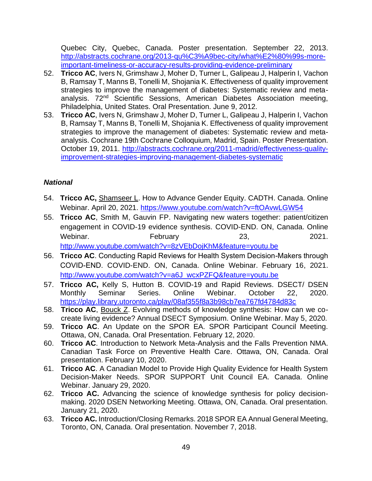Quebec City, Quebec, Canada. Poster presentation. September 22, 2013. [http://abstracts.cochrane.org/2013-qu%C3%A9bec-city/what%E2%80%99s-more](http://abstracts.cochrane.org/2013-qu%C3%A9bec-city/what%E2%80%99s-more-important-timeliness-or-accuracy-results-providing-evidence-preliminary)[important-timeliness-or-accuracy-results-providing-evidence-preliminary](http://abstracts.cochrane.org/2013-qu%C3%A9bec-city/what%E2%80%99s-more-important-timeliness-or-accuracy-results-providing-evidence-preliminary)

- 52. **Tricco AC**, Ivers N, Grimshaw J, Moher D, Turner L, Galipeau J, Halperin I, Vachon B, Ramsay T, Manns B, Tonelli M, Shojania K. Effectiveness of quality improvement strategies to improve the management of diabetes: Systematic review and metaanalysis. 72nd Scientific Sessions, American Diabetes Association meeting, Philadelphia, United States. Oral Presentation. June 9, 2012.
- 53. **Tricco AC**, Ivers N, Grimshaw J, Moher D, Turner L, Galipeau J, Halperin I, Vachon B, Ramsay T, Manns B, Tonelli M, Shojania K. Effectiveness of quality improvement strategies to improve the management of diabetes: Systematic review and metaanalysis. Cochrane 19th Cochrane Colloquium, Madrid, Spain. Poster Presentation. October 19, 2011. [http://abstracts.cochrane.org/2011-madrid/effectiveness-quality](http://abstracts.cochrane.org/2011-madrid/effectiveness-quality-improvement-strategies-improving-management-diabetes-systematic)[improvement-strategies-improving-management-diabetes-systematic](http://abstracts.cochrane.org/2011-madrid/effectiveness-quality-improvement-strategies-improving-management-diabetes-systematic)

# *National*

- 54. **Tricco AC,** Shamseer L. How to Advance Gender Equity. CADTH. Canada. Online Webinar. April 20, 2021.<https://www.youtube.com/watch?v=ftOAvwLGW54>
- 55. **Tricco AC**, Smith M, Gauvin FP. Navigating new waters together: patient/citizen engagement in COVID-19 evidence synthesis. COVID-END. ON, Canada. Online Webinar. February 23, 2021. <http://www.youtube.com/watch?v=8zVEbDojKhM&feature=youtu.be>
- 56. **Tricco AC**. Conducting Rapid Reviews for Health System Decision-Makers through COVID-END. COVID-END. ON, Canada. Online Webinar. February 16, 2021. [http://www.youtube.com/watch?v=a6J\\_wcxPZFQ&feature=youtu.be](http://www.youtube.com/watch?v=a6J_wcxPZFQ&feature=youtu.be)
- 57. **Tricco AC,** Kelly S, Hutton B. COVID-19 and Rapid Reviews. DSECT/ DSEN Monthly Seminar Series. Online Webinar. October 22, 2020. <https://play.library.utoronto.ca/play/08af355f8a3b98cb7ea767fd4784d83c>
- 58. **Tricco AC**, Bouck Z. Evolving methods of knowledge synthesis: How can we cocreate living evidence? Annual DSECT Symposium. Online Webinar. May 5, 2020.
- 59. **Tricco AC**. An Update on the SPOR EA. SPOR Participant Council Meeting. Ottawa, ON, Canada. Oral Presentation. February 12, 2020.
- 60. **Tricco AC**. Introduction to Network Meta-Analysis and the Falls Prevention NMA. Canadian Task Force on Preventive Health Care. Ottawa, ON, Canada. Oral presentation. February 10, 2020.
- 61. **Tricco AC**. A Canadian Model to Provide High Quality Evidence for Health System Decision-Maker Needs. SPOR SUPPORT Unit Council EA. Canada. Online Webinar. January 29, 2020.
- 62. **Tricco AC.** Advancing the science of knowledge synthesis for policy decisionmaking. 2020 DSEN Networking Meeting. Ottawa, ON, Canada. Oral presentation. January 21, 2020.
- 63. **Tricco AC.** Introduction/Closing Remarks. 2018 SPOR EA Annual General Meeting, Toronto, ON, Canada. Oral presentation. November 7, 2018.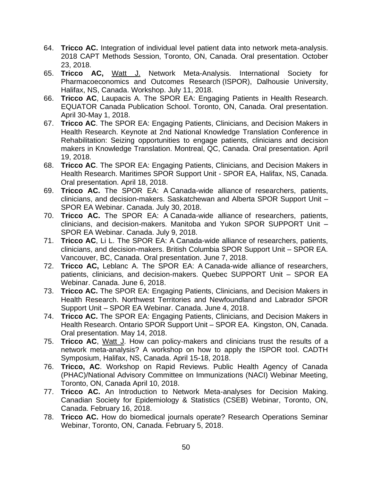- 64. **Tricco AC.** Integration of individual level patient data into network meta-analysis. 2018 CAPT Methods Session, Toronto, ON, Canada. Oral presentation. October 23, 2018.
- 65. **Tricco AC,** Watt J. Network Meta-Analysis. International Society for Pharmacoeconomics and Outcomes Research (ISPOR), Dalhousie University, Halifax, NS, Canada. Workshop. July 11, 2018.
- 66. **Tricco AC**, Laupacis A. The SPOR EA: Engaging Patients in Health Research. EQUATOR Canada Publication School. Toronto, ON, Canada. Oral presentation. April 30-May 1, 2018.
- 67. **Tricco AC**. The SPOR EA: Engaging Patients, Clinicians, and Decision Makers in Health Research. Keynote at 2nd National Knowledge Translation Conference in Rehabilitation: Seizing opportunities to engage patients, clinicians and decision makers in Knowledge Translation. Montreal, QC, Canada. Oral presentation. April 19, 2018.
- 68. **Tricco AC**. The SPOR EA: Engaging Patients, Clinicians, and Decision Makers in Health Research. Maritimes SPOR Support Unit - SPOR EA, Halifax, NS, Canada. Oral presentation. April 18, 2018.
- 69. **Tricco AC.** The SPOR EA: A Canada-wide alliance of researchers, patients, clinicians, and decision-makers. Saskatchewan and Alberta SPOR Support Unit – SPOR EA Webinar. Canada. July 30, 2018.
- 70. **Tricco AC.** The SPOR EA: A Canada-wide alliance of researchers, patients, clinicians, and decision-makers. Manitoba and Yukon SPOR SUPPORT Unit – SPOR EA Webinar. Canada. July 9, 2018.
- 71. **Tricco AC**, Li L. The SPOR EA: A Canada-wide alliance of researchers, patients, clinicians, and decision-makers. British Columbia SPOR Support Unit – SPOR EA. Vancouver, BC, Canada. Oral presentation. June 7, 2018.
- 72. **Tricco AC,** Leblanc A. The SPOR EA: A Canada-wide alliance of researchers, patients, clinicians, and decision-makers. Quebec SUPPORT Unit – SPOR EA Webinar. Canada. June 6, 2018.
- 73. **Tricco AC.** The SPOR EA: Engaging Patients, Clinicians, and Decision Makers in Health Research. Northwest Territories and Newfoundland and Labrador SPOR Support Unit – SPOR EA Webinar. Canada. June 4, 2018.
- 74. **Tricco AC.** The SPOR EA: Engaging Patients, Clinicians, and Decision Makers in Health Research. Ontario SPOR Support Unit – SPOR EA. Kingston, ON, Canada. Oral presentation. May 14, 2018.
- 75. **Tricco AC**, Watt J. How can policy-makers and clinicians trust the results of a network meta-analysis? A workshop on how to apply the ISPOR tool. CADTH Symposium, Halifax, NS, Canada. April 15-18, 2018.
- 76. **Tricco, AC**. Workshop on Rapid Reviews. Public Health Agency of Canada (PHAC)/National Advisory Committee on Immunizations (NACI) Webinar Meeting, Toronto, ON, Canada April 10, 2018.
- 77. **Tricco AC.** An Introduction to Network Meta-analyses for Decision Making. Canadian Society for Epidemiology & Statistics (CSEB) Webinar, Toronto, ON, Canada. February 16, 2018.
- 78. **Tricco AC.** How do biomedical journals operate? Research Operations Seminar Webinar, Toronto, ON, Canada. February 5, 2018.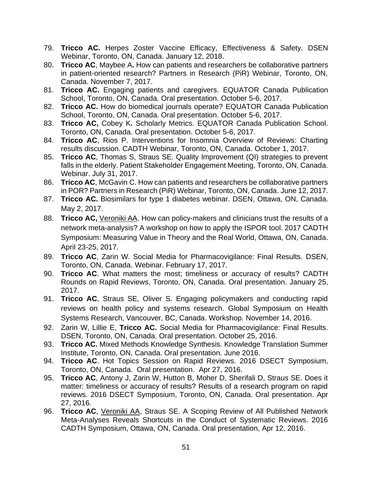- 79. **Tricco AC.** Herpes Zoster Vaccine Efficacy, Effectiveness & Safety. DSEN Webinar, Toronto, ON, Canada. January 12, 2018.
- 80. **Tricco AC**, Maybee A**.** How can patients and researchers be collaborative partners in patient-oriented research? Partners in Research (PiR) Webinar, Toronto, ON, Canada. November 7, 2017.
- 81. **Tricco AC.** Engaging patients and caregivers. EQUATOR Canada Publication School, Toronto, ON, Canada. Oral presentation. October 5-6, 2017.
- 82. **Tricco AC.** How do biomedical journals operate? EQUATOR Canada Publication School, Toronto, ON, Canada. Oral presentation. October 5-6, 2017.
- 83. **Tricco AC,** Cobey K**.** Scholarly Metrics. EQUATOR Canada Publication School. Toronto, ON, Canada. Oral presentation. October 5-6, 2017.
- 84. **Tricco AC**, Rios P. Interventions for Insomnia Overview of Reviews: Charting results discussion. CADTH Webinar, Toronto, ON, Canada. October 1, 2017.
- 85. **Tricco AC**, Thomas S, Straus SE. Quality Improvement (QI) strategies to prevent falls in the elderly. Patient Stakeholder Engagement Meeting, Toronto, ON, Canada. Webinar. July 31, 2017.
- 86. **Tricco AC**, McGavin C. How can patients and researchers be collaborative partners in POR? Partners in Research (PiR) Webinar, Toronto, ON, Canada. June 12, 2017.
- 87. **Tricco AC.** Biosimilars for type 1 diabetes webinar. DSEN, Ottawa, ON, Canada. May 2, 2017.
- 88. **Tricco AC,** Veroniki AA. How can policy-makers and clinicians trust the results of a network meta-analysis? A workshop on how to apply the ISPOR tool. 2017 CADTH Symposium: Measuring Value in Theory and the Real World, Ottawa, ON, Canada. April 23-25, 2017.
- 89. **Tricco AC**, Zarin W. Social Media for Pharmacovigilance: Final Results. DSEN, Toronto, ON, Canada. Webinar. February 17, 2017.
- 90. **Tricco AC**. What matters the most; timeliness or accuracy of results? CADTH Rounds on Rapid Reviews, Toronto, ON, Canada. Oral presentation. January 25, 2017.
- 91. **Tricco AC**, Straus SE, Oliver S. Engaging policymakers and conducting rapid reviews on health policy and systems research. Global Symposium on Health Systems Research, Vancouver, BC, Canada. Workshop. November 14, 2016.
- 92. Zarin W, Lillie E, **Tricco AC.** Social Media for Pharmacovigilance: Final Results. DSEN, Toronto, ON, Canada. Oral presentation. October 25, 2016.
- 93. **Tricco AC.** Mixed Methods Knowledge Synthesis. Knowledge Translation Summer Institute, Toronto, ON, Canada. Oral presentation. June 2016.
- 94. **Tricco AC**. Hot Topics Session on Rapid Reviews. 2016 DSECT Symposium, Toronto, ON, Canada. Oral presentation. Apr 27, 2016.
- 95. **Tricco AC**, Antony J, Zarin W, Hutton B, Moher D, Sherifali D, Straus SE. Does it matter: timeliness or accuracy of results? Results of a research program on rapid reviews. 2016 DSECT Symposium, Toronto, ON, Canada. Oral presentation. Apr 27, 2016.
- 96. **Tricco AC**, Veroniki AA, Straus SE. A Scoping Review of All Published Network Meta-Analyses Reveals Shortcuts in the Conduct of Systematic Reviews. 2016 CADTH Symposium, Ottawa, ON, Canada. Oral presentation, Apr 12, 2016.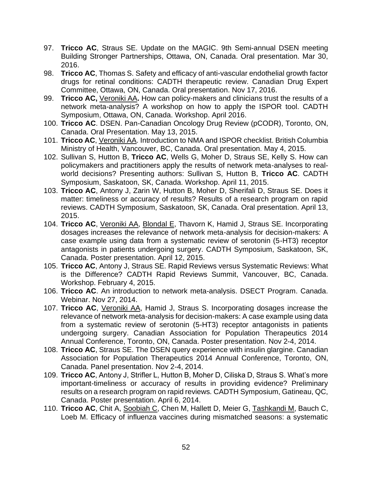- 97. **Tricco AC**, Straus SE. Update on the MAGIC. 9th Semi-annual DSEN meeting Building Stronger Partnerships, Ottawa, ON, Canada. Oral presentation. Mar 30, 2016.
- 98. **Tricco AC**, Thomas S. Safety and efficacy of anti-vascular endothelial growth factor drugs for retinal conditions: CADTH therapeutic review. Canadian Drug Expert Committee, Ottawa, ON, Canada. Oral presentation. Nov 17, 2016.
- 99. **Tricco AC,** Veroniki AA**.** How can policy-makers and clinicians trust the results of a network meta-analysis? A workshop on how to apply the ISPOR tool. CADTH Symposium, Ottawa, ON, Canada. Workshop. April 2016.
- 100. **Tricco AC**. DSEN. Pan-Canadian Oncology Drug Review (pCODR), Toronto, ON, Canada. Oral Presentation. May 13, 2015.
- 101. **Tricco AC**, Veroniki AA. Introduction to NMA and ISPOR checklist. British Columbia Ministry of Health, Vancouver, BC, Canada. Oral presentation. May 4, 2015.
- 102. Sullivan S, Hutton B, **Tricco AC**, Wells G, Moher D, Straus SE, Kelly S. How can policymakers and practitioners apply the results of network meta-analyses to realworld decisions? Presenting authors: Sullivan S, Hutton B, **Tricco AC**. CADTH Symposium, Saskatoon, SK, Canada. Workshop. April 11, 2015.
- 103. **Tricco AC**, Antony J, Zarin W, Hutton B, Moher D, Sherifali D, Straus SE. Does it matter: timeliness or accuracy of results? Results of a research program on rapid reviews. CADTH Symposium, Saskatoon, SK, Canada. Oral presentation. April 13, 2015.
- 104. **Tricco AC**, Veroniki AA, Blondal E, Thavorn K, Hamid J, Straus SE. Incorporating dosages increases the relevance of network meta-analysis for decision-makers: A case example using data from a systematic review of serotonin (5-HT3) receptor antagonists in patients undergoing surgery. CADTH Symposium, Saskatoon, SK, Canada. Poster presentation. April 12, 2015.
- 105. **Tricco AC**, Antony J, Straus SE. Rapid Reviews versus Systematic Reviews: What is the Difference? CADTH Rapid Reviews Summit, Vancouver, BC, Canada. Workshop. February 4, 2015.
- 106. **Tricco AC**. An introduction to network meta-analysis. DSECT Program. Canada. Webinar. Nov 27, 2014.
- 107. **Tricco AC**, Veroniki AA, Hamid J, Straus S. Incorporating dosages increase the relevance of network meta-analysis for decision-makers: A case example using data from a systematic review of serotonin (5-HT3) receptor antagonists in patients undergoing surgery. Canadian Association for Population Therapeutics 2014 Annual Conference, Toronto, ON, Canada. Poster presentation. Nov 2-4, 2014.
- 108. **Tricco AC**, Straus SE. The DSEN query experience with insulin glargine. Canadian Association for Population Therapeutics 2014 Annual Conference, Toronto, ON, Canada. Panel presentation. Nov 2-4, 2014.
- 109. **Tricco AC**, Antony J, Strifler L, Hutton B, Moher D, Ciliska D, Straus S. What's more important-timeliness or accuracy of results in providing evidence? Preliminary results on a research program on rapid reviews. CADTH Symposium, Gatineau, QC, Canada. Poster presentation. April 6, 2014.
- 110. **Tricco AC**, Chit A, Soobiah C, Chen M, Hallett D, Meier G, Tashkandi M, Bauch C, Loeb M. Efficacy of influenza vaccines during mismatched seasons: a systematic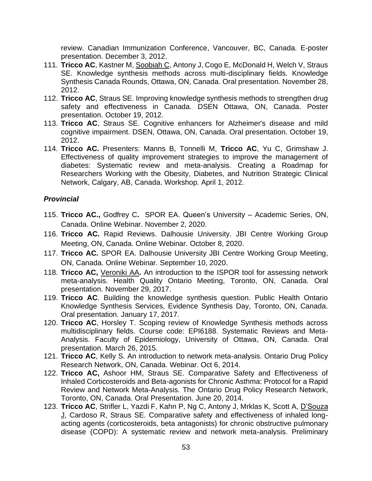review. Canadian Immunization Conference, Vancouver, BC, Canada. E-poster presentation. December 3, 2012.

- 111. **Tricco AC**, Kastner M, Soobiah C, Antony J, Cogo E, McDonald H, Welch V, Straus SE. Knowledge synthesis methods across multi-disciplinary fields. Knowledge Synthesis Canada Rounds, Ottawa, ON, Canada. Oral presentation. November 28, 2012.
- 112. **Tricco AC**, Straus SE. Improving knowledge synthesis methods to strengthen drug safety and effectiveness in Canada. DSEN Ottawa, ON, Canada. Poster presentation. October 19, 2012.
- 113. **Tricco AC**, Straus SE. Cognitive enhancers for Alzheimer's disease and mild cognitive impairment. DSEN, Ottawa, ON, Canada. Oral presentation. October 19, 2012.
- 114. **Tricco AC.** Presenters: Manns B, Tonnelli M, **Tricco AC**, Yu C, Grimshaw J. Effectiveness of quality improvement strategies to improve the management of diabetes: Systematic review and meta-analysis. Creating a Roadmap for Researchers Working with the Obesity, Diabetes, and Nutrition Strategic Clinical Network, Calgary, AB, Canada. Workshop. April 1, 2012.

### *Provincial*

- 115. **Tricco AC.,** Godfrey C**.** SPOR EA. Queen's University Academic Series, ON, Canada. Online Webinar. November 2, 2020.
- 116. **Tricco AC.** Rapid Reviews. Dalhousie University. JBI Centre Working Group Meeting, ON, Canada. Online Webinar. October 8, 2020.
- 117. **Tricco AC.** SPOR EA. Dalhousie University JBI Centre Working Group Meeting, ON, Canada. Online Webinar. September 10, 2020.
- 118. **Tricco AC,** Veroniki AA**.** An introduction to the ISPOR tool for assessing network meta-analysis. Health Quality Ontario Meeting, Toronto, ON, Canada. Oral presentation. November 29, 2017.
- 119. **Tricco AC**. Building the knowledge synthesis question. Public Health Ontario Knowledge Synthesis Services, Evidence Synthesis Day, Toronto, ON, Canada. Oral presentation. January 17, 2017.
- 120. **Tricco AC**, Horsley T. Scoping review of Knowledge Synthesis methods across multidisciplinary fields. Course code: EPI6188. Systematic Reviews and Meta-Analysis. Faculty of Epidemiology, University of Ottawa, ON, Canada. Oral presentation. March 26, 2015.
- 121. **Tricco AC**, Kelly S. An introduction to network meta-analysis. Ontario Drug Policy Research Network, ON, Canada. Webinar. Oct 6, 2014.
- 122. **Tricco AC,** Ashoor HM, Straus SE. Comparative Safety and Effectiveness of Inhaled Corticosteroids and Beta-agonists for Chronic Asthma: Protocol for a Rapid Review and Network Meta-Analysis. The Ontario Drug Policy Research Network, Toronto, ON, Canada. Oral Presentation. June 20, 2014.
- 123. **Tricco AC**, Strifler L, Yazdi F, Kahn P, Ng C, Antony J, Mrklas K, Scott A, D'Souza J, Cardoso R, Straus SE. Comparative safety and effectiveness of inhaled longacting agents (corticosteroids, beta antagonists) for chronic obstructive pulmonary disease (COPD): A systematic review and network meta-analysis. Preliminary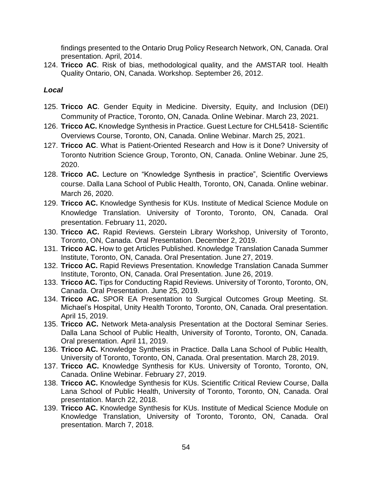findings presented to the Ontario Drug Policy Research Network, ON, Canada. Oral presentation. April, 2014.

124. **Tricco AC**. Risk of bias, methodological quality, and the AMSTAR tool. Health Quality Ontario, ON, Canada. Workshop. September 26, 2012.

# *Local*

- 125. **Tricco AC**. Gender Equity in Medicine. Diversity, Equity, and Inclusion (DEI) Community of Practice, Toronto, ON, Canada. Online Webinar. March 23, 2021.
- 126. **Tricco AC.** Knowledge Synthesis in Practice. Guest Lecture for CHL5418- Scientific Overviews Course, Toronto, ON, Canada. Online Webinar. March 25, 2021.
- 127. **Tricco AC**. What is Patient-Oriented Research and How is it Done? University of Toronto Nutrition Science Group, Toronto, ON, Canada. Online Webinar. June 25, 2020.
- 128. **Tricco AC.** Lecture on "Knowledge Synthesis in practice", Scientific Overviews course. Dalla Lana School of Public Health, Toronto, ON, Canada. Online webinar. March 26, 2020.
- 129. **Tricco AC.** Knowledge Synthesis for KUs. Institute of Medical Science Module on Knowledge Translation. University of Toronto, Toronto, ON, Canada. Oral presentation. February 11, 2020**.**
- 130. **Tricco AC.** Rapid Reviews. Gerstein Library Workshop, University of Toronto, Toronto, ON, Canada. Oral Presentation. December 2, 2019.
- 131. **Tricco AC.** How to get Articles Published. Knowledge Translation Canada Summer Institute, Toronto, ON, Canada. Oral Presentation. June 27, 2019.
- 132. **Tricco AC.** Rapid Reviews Presentation. Knowledge Translation Canada Summer Institute, Toronto, ON, Canada. Oral Presentation. June 26, 2019.
- 133. **Tricco AC.** Tips for Conducting Rapid Reviews. University of Toronto, Toronto, ON, Canada. Oral Presentation. June 25, 2019.
- 134. **Tricco AC.** SPOR EA Presentation to Surgical Outcomes Group Meeting. St. Michael's Hospital, Unity Health Toronto, Toronto, ON, Canada. Oral presentation. April 15, 2019.
- 135. **Tricco AC.** Network Meta-analysis Presentation at the Doctoral Seminar Series. Dalla Lana School of Public Health, University of Toronto, Toronto, ON, Canada. Oral presentation. April 11, 2019.
- 136. **Tricco AC.** Knowledge Synthesis in Practice. Dalla Lana School of Public Health, University of Toronto, Toronto, ON, Canada. Oral presentation. March 28, 2019.
- 137. **Tricco AC.** Knowledge Synthesis for KUs. University of Toronto, Toronto, ON, Canada. Online Webinar. February 27, 2019.
- 138. **Tricco AC.** Knowledge Synthesis for KUs. Scientific Critical Review Course, Dalla Lana School of Public Health, University of Toronto, Toronto, ON, Canada. Oral presentation. March 22, 2018.
- 139. **Tricco AC.** Knowledge Synthesis for KUs. Institute of Medical Science Module on Knowledge Translation, University of Toronto, Toronto, ON, Canada. Oral presentation. March 7, 2018.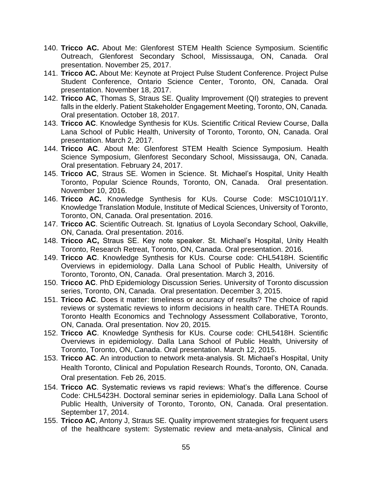- 140. **Tricco AC.** About Me: Glenforest STEM Health Science Symposium. Scientific Outreach, Glenforest Secondary School, Mississauga, ON, Canada. Oral presentation. November 25, 2017.
- 141. **Tricco AC.** About Me: Keynote at Project Pulse Student Conference. Project Pulse Student Conference, Ontario Science Center, Toronto, ON, Canada. Oral presentation. November 18, 2017.
- 142. **Tricco AC**, Thomas S, Straus SE. Quality Improvement (QI) strategies to prevent falls in the elderly. Patient Stakeholder Engagement Meeting, Toronto, ON, Canada. Oral presentation. October 18, 2017.
- 143. **Tricco AC**. Knowledge Synthesis for KUs. Scientific Critical Review Course, Dalla Lana School of Public Health, University of Toronto, Toronto, ON, Canada. Oral presentation. March 2, 2017.
- 144. **Tricco AC**. About Me: Glenforest STEM Health Science Symposium. Health Science Symposium, Glenforest Secondary School, Mississauga, ON, Canada. Oral presentation. February 24, 2017.
- 145. **Tricco AC**, Straus SE. Women in Science. St. Michael's Hospital, Unity Health Toronto, Popular Science Rounds, Toronto, ON, Canada. Oral presentation. November 10, 2016.
- 146. **Tricco AC.** Knowledge Synthesis for KUs. Course Code: MSC1010/11Y. Knowledge Translation Module, Institute of Medical Sciences, University of Toronto, Toronto, ON, Canada. Oral presentation. 2016.
- 147. **Tricco AC**. Scientific Outreach. St. Ignatius of Loyola Secondary School, Oakville, ON, Canada. Oral presentation. 2016.
- 148. **Tricco AC,** Straus SE. Key note speaker. St. Michael's Hospital, Unity Health Toronto, Research Retreat, Toronto, ON, Canada. Oral presentation. 2016.
- 149. **Tricco AC**. Knowledge Synthesis for KUs. Course code: CHL5418H. Scientific Overviews in epidemiology. Dalla Lana School of Public Health, University of Toronto, Toronto, ON, Canada. Oral presentation. March 3, 2016.
- 150. **Tricco AC**. PhD Epidemiology Discussion Series. University of Toronto discussion series, Toronto, ON, Canada. Oral presentation. December 3, 2015.
- 151. **Tricco AC**. Does it matter: timeliness or accuracy of results? The choice of rapid reviews or systematic reviews to inform decisions in health care. THETA Rounds. Toronto Health Economics and Technology Assessment Collaborative, Toronto, ON, Canada. Oral presentation. Nov 20, 2015.
- 152. **Tricco AC**. Knowledge Synthesis for KUs. Course code: CHL5418H. Scientific Overviews in epidemiology. Dalla Lana School of Public Health, University of Toronto, Toronto, ON, Canada. Oral presentation. March 12, 2015.
- 153. **Tricco AC**. An introduction to network meta-analysis. St. Michael's Hospital, Unity Health Toronto, Clinical and Population Research Rounds, Toronto, ON, Canada. Oral presentation. Feb 26, 2015.
- 154. **Tricco AC**. Systematic reviews vs rapid reviews: What's the difference. Course Code: CHL5423H. Doctoral seminar series in epidemiology. Dalla Lana School of Public Health, University of Toronto, Toronto, ON, Canada. Oral presentation. September 17, 2014.
- 155. **Tricco AC**, Antony J, Straus SE. Quality improvement strategies for frequent users of the healthcare system: Systematic review and meta-analysis, Clinical and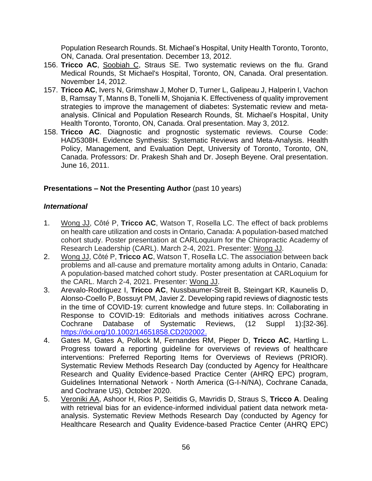Population Research Rounds. St. Michael's Hospital, Unity Health Toronto, Toronto, ON, Canada. Oral presentation. December 13, 2012.

- 156. **Tricco AC**, Soobiah C, Straus SE. Two systematic reviews on the flu. Grand Medical Rounds, St Michael's Hospital, Toronto, ON, Canada. Oral presentation. November 14, 2012.
- 157. **Tricco AC**, Ivers N, Grimshaw J, Moher D, Turner L, Galipeau J, Halperin I, Vachon B, Ramsay T, Manns B, Tonelli M, Shojania K. Effectiveness of quality improvement strategies to improve the management of diabetes: Systematic review and metaanalysis. Clinical and Population Research Rounds, St. Michael's Hospital, Unity Health Toronto, Toronto, ON, Canada. Oral presentation. May 3, 2012.
- 158. **Tricco AC**. Diagnostic and prognostic systematic reviews. Course Code: HAD5308H. Evidence Synthesis: Systematic Reviews and Meta-Analysis. Health Policy, Management, and Evaluation Dept, University of Toronto, Toronto, ON, Canada. Professors: Dr. Prakesh Shah and Dr. Joseph Beyene. Oral presentation. June 16, 2011.

### **Presentations – Not the Presenting Author (past 10 years)**

### *International*

- 1. Wong JJ, Côté P, **Tricco AC**, Watson T, Rosella LC. The effect of back problems on health care utilization and costs in Ontario, Canada: A population-based matched cohort study. Poster presentation at CARLoquium for the Chiropractic Academy of Research Leadership (CARL). March 2-4, 2021. Presenter: Wong JJ.
- 2. Wong JJ, Côté P, **Tricco AC**, Watson T, Rosella LC. The association between back problems and all-cause and premature mortality among adults in Ontario, Canada: A population-based matched cohort study. Poster presentation at CARLoquium for the CARL. March 2-4, 2021. Presenter: Wong JJ.
- 3. Arevalo-Rodriguez I, **Tricco AC**, Nussbaumer-Streit B, Steingart KR, Kaunelis D, Alonso-Coello P, Bossuyt PM, Javier Z. Developing rapid reviews of diagnostic tests in the time of COVID-19: current knowledge and future steps. In: Collaborating in Response to COVID-19: Editorials and methods initiatives across Cochrane. Cochrane Database of Systematic Reviews, (12 Suppl 1):[32-36]. [https://doi.org/10.1002/14651858.CD202002.](https://doi.org/10.1002/14651858.CD202002)
- 4. Gates M, Gates A, Pollock M, Fernandes RM, Pieper D, **Tricco AC**, Hartling L. Progress toward a reporting guideline for overviews of reviews of healthcare interventions: Preferred Reporting Items for Overviews of Reviews (PRIOR). Systematic Review Methods Research Day (conducted by Agency for Healthcare Research and Quality Evidence-based Practice Center (AHRQ EPC) program, Guidelines International Network - North America (G-I-N/NA), Cochrane Canada, and Cochrane US), October 2020.
- 5. Veroniki AA, Ashoor H, Rios P, Seitidis G, Mavridis D, Straus S, **Tricco A**. Dealing with retrieval bias for an evidence-informed individual patient data network metaanalysis. Systematic Review Methods Research Day (conducted by Agency for Healthcare Research and Quality Evidence-based Practice Center (AHRQ EPC)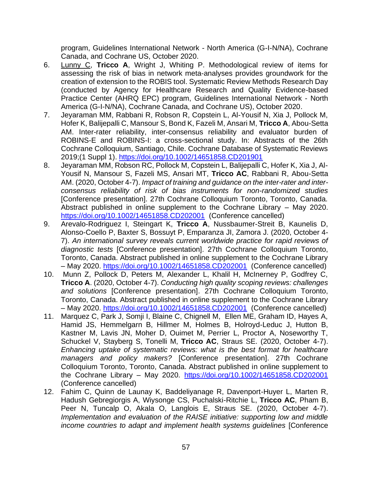program, Guidelines International Network - North America (G-I-N/NA), Cochrane Canada, and Cochrane US, October 2020.

- 6. Lunny C, **Tricco A**, Wright J, Whiting P. Methodological review of items for assessing the risk of bias in network meta-analyses provides groundwork for the creation of extension to the ROBIS tool. Systematic Review Methods Research Day (conducted by Agency for Healthcare Research and Quality Evidence-based Practice Center (AHRQ EPC) program, Guidelines International Network - North America (G-I-N/NA), Cochrane Canada, and Cochrane US), October 2020.
- 7. Jeyaraman MM, Rabbani R, Robson R, Copstein L, Al-Yousif N, Xia J, Pollock M, Hofer K, Balijepalli C, Mansour S, Bond K, Fazeli M, Ansari M, **Tricco A**, Abou-Setta AM. Inter-rater reliability, inter-consensus reliability and evaluator burden of ROBINS-E and ROBINS-I: a cross-sectional study. In: Abstracts of the 26th Cochrane Colloquium, Santiago, Chile. Cochrane Database of Systematic Reviews 2019;(1 Suppl 1). <https://doi.org/10.1002/14651858.CD201901>
- 8. Jeyaraman MM, Robson RC, Pollock M, Copstein L, Balijepalli C, Hofer K, Xia J, Al-Yousif N, Mansour S, Fazeli MS, Ansari MT, **Tricco AC**, Rabbani R, Abou-Setta AM. (2020, October 4-7). *Impact of training and guidance on the inter-rater and interconsensus reliability of risk of bias instruments for non-randomized studies* [Conference presentation]. 27th Cochrane Colloquium Toronto, Toronto, Canada. Abstract published in online supplement to the Cochrane Library – May 2020. <https://doi.org/10.1002/14651858.CD202001> (Conference cancelled)
- 9. Arevalo-Rodriguez I, Steingart K, **Tricco A**, Nussbaumer-Streit B, Kaunelis D, Alonso-Coello P, Baxter S, Bossuyt P, Emparanza JI, Zamora J. (2020, October 4- 7). *An international survey reveals current worldwide practice for rapid reviews of diagnostic tests* [Conference presentation]. 27th Cochrane Colloquium Toronto, Toronto, Canada. Abstract published in online supplement to the Cochrane Library – May 2020.<https://doi.org/10.1002/14651858.CD202001> (Conference cancelled)
- 10. Munn Z, Pollock D, Peters M, Alexander L, Khalil H, McInerney P, Godfrey C, **Tricco A**. (2020, October 4-7). *Conducting high quality scoping reviews: challenges and solutions* [Conference presentation]. 27th Cochrane Colloquium Toronto, Toronto, Canada. Abstract published in online supplement to the Cochrane Library – May 2020.<https://doi.org/10.1002/14651858.CD202001> (Conference cancelled)
- 11. Marquez C, Park J, Somji I, Blaine C, Chignell M, Ellen ME, Graham ID, Hayes A, Hamid JS, Hemmelgarn B, Hillmer M, Holmes B, Holroyd-Leduc J, Hutton B, Kastner M, Lavis JN, Moher D, Ouimet M, Perrier L, Proctor A, Noseworthy T, Schuckel V, Stayberg S, Tonelli M, **Tricco AC**, Straus SE. (2020, October 4-7). *Enhancing uptake of systematic reviews: what is the best format for healthcare managers and policy makers?* [Conference presentation]. 27th Cochrane Colloquium Toronto, Toronto, Canada. Abstract published in online supplement to the Cochrane Library – May 2020. <https://doi.org/10.1002/14651858.CD202001> (Conference cancelled)
- 12. Fahim C, Quinn de Launay K, Baddeliyanage R, Davenport-Huyer L, Marten R, Hadush Gebregiorgis A, Wiysonge CS, Puchalski-Ritchie L, **Tricco AC**, Pham B, Peer N, Tuncalp O, Akala O, Langlois E, Straus SE. (2020, October 4-7). *Implementation and evaluation of the RAISE initiative: supporting low and middle income countries to adapt and implement health systems guidelines* [Conference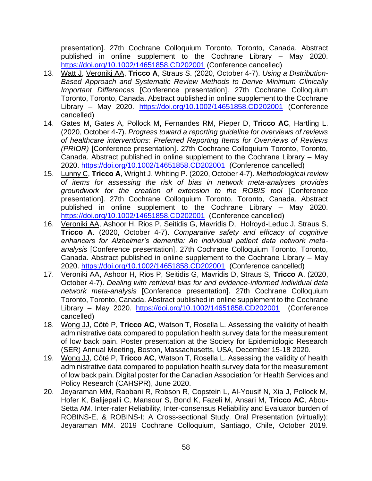presentation]. 27th Cochrane Colloquium Toronto, Toronto, Canada. Abstract published in online supplement to the Cochrane Library – May 2020. <https://doi.org/10.1002/14651858.CD202001> (Conference cancelled)

- 13. Watt J, Veroniki AA, **Tricco A**, Straus S. (2020, October 4-7). *Using a Distribution-Based Approach and Systematic Review Methods to Derive Minimum Clinically Important Differences* [Conference presentation]. 27th Cochrane Colloquium Toronto, Toronto, Canada. Abstract published in online supplement to the Cochrane Library – May 2020. <https://doi.org/10.1002/14651858.CD202001> (Conference cancelled)
- 14. Gates M, Gates A, Pollock M, Fernandes RM, Pieper D, **Tricco AC**, Hartling L. (2020, October 4-7). *Progress toward a reporting guideline for overviews of reviews of healthcare interventions: Preferred Reporting Items for Overviews of Reviews (PRIOR)* [Conference presentation]. 27th Cochrane Colloquium Toronto, Toronto, Canada. Abstract published in online supplement to the Cochrane Library – May 2020.<https://doi.org/10.1002/14651858.CD202001> (Conference cancelled)
- 15. Lunny C, **Tricco A**, Wright J, Whiting P. (2020, October 4-7). *Methodological review of items for assessing the risk of bias in network meta-analyses provides groundwork for the creation of extension to the ROBIS tool* [Conference presentation]. 27th Cochrane Colloquium Toronto, Toronto, Canada. Abstract published in online supplement to the Cochrane Library – May 2020. <https://doi.org/10.1002/14651858.CD202001> (Conference cancelled)
- 16. Veroniki AA, Ashoor H, Rios P, Seitidis G, Mavridis D, Holroyd-Leduc J, Straus S, **Tricco A**. (2020, October 4-7). *Comparative safety and efficacy of cognitive enhancers for Alzheimer's dementia: An individual patient data network metaanalysis* [Conference presentation]. 27th Cochrane Colloquium Toronto, Toronto, Canada. Abstract published in online supplement to the Cochrane Library – May 2020.<https://doi.org/10.1002/14651858.CD202001> (Conference cancelled)
- 17. Veroniki AA, Ashoor H, Rios P, Seitidis G, Mavridis D, Straus S, **Tricco A**. (2020, October 4-7). *Dealing with retrieval bias for and evidence-informed individual data network meta-analysis* [Conference presentation]. 27th Cochrane Colloquium Toronto, Toronto, Canada. Abstract published in online supplement to the Cochrane Library – May 2020. <https://doi.org/10.1002/14651858.CD202001> (Conference cancelled)
- 18. Wong JJ, Côté P, **Tricco AC**, Watson T, Rosella L. Assessing the validity of health administrative data compared to population health survey data for the measurement of low back pain. Poster presentation at the Society for Epidemiologic Research (SER) Annual Meeting, Boston, Massachusetts, USA, December 15-18 2020.
- 19. Wong JJ, Côté P, **Tricco AC**, Watson T, Rosella L. Assessing the validity of health administrative data compared to population health survey data for the measurement of low back pain. Digital poster for the Canadian Association for Health Services and Policy Research (CAHSPR), June 2020.
- 20. Jeyaraman MM, Rabbani R, Robson R, Copstein L, Al-Yousif N, Xia J, Pollock M, Hofer K, Balijepalli C, Mansour S, Bond K, Fazeli M, Ansari M, **Tricco AC**, Abou-Setta AM. Inter-rater Reliability, Inter-consensus Reliability and Evaluator burden of ROBINS-E, & ROBINS-I: A Cross-sectional Study. Oral Presentation (virtually): Jeyaraman MM. 2019 Cochrane Colloquium, Santiago, Chile, October 2019.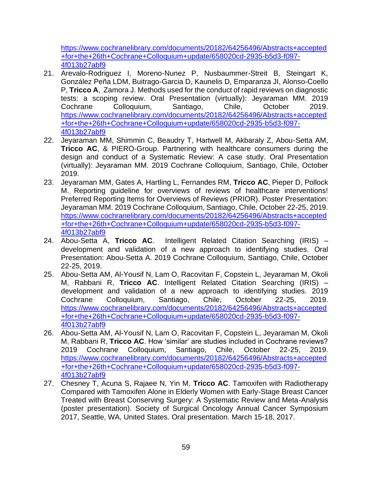[https://www.cochranelibrary.com/documents/20182/64256496/Abstracts+accepted](https://www.cochranelibrary.com/documents/20182/64256496/Abstracts+accepted+for+the+26th+Cochrane+Colloquium+update/658020cd-2935-b5d3-f097-4f013b27abf9) [+for+the+26th+Cochrane+Colloquium+update/658020cd-2935-b5d3-f097-](https://www.cochranelibrary.com/documents/20182/64256496/Abstracts+accepted+for+the+26th+Cochrane+Colloquium+update/658020cd-2935-b5d3-f097-4f013b27abf9) [4f013b27abf9](https://www.cochranelibrary.com/documents/20182/64256496/Abstracts+accepted+for+the+26th+Cochrane+Colloquium+update/658020cd-2935-b5d3-f097-4f013b27abf9)

- 21. Arevalo-Rodriguez I, Moreno-Nunez P, Nusbaummer-Streit B, Steingart K, González Peña LDM, Buitrago-Garcia D, Kaunelis D, Emparanza JI, Alonso-Coello P, **Tricco A**, Zamora J. Methods used for the conduct of rapid reviews on diagnostic tests: a scoping review. Oral Presentation (virtually): Jeyaraman MM. 2019 Cochrane Colloquium, Santiago, Chile, October 2019. [https://www.cochranelibrary.com/documents/20182/64256496/Abstracts+accepted](https://www.cochranelibrary.com/documents/20182/64256496/Abstracts+accepted+for+the+26th+Cochrane+Colloquium+update/658020cd-2935-b5d3-f097-4f013b27abf9) [+for+the+26th+Cochrane+Colloquium+update/658020cd-2935-b5d3-f097-](https://www.cochranelibrary.com/documents/20182/64256496/Abstracts+accepted+for+the+26th+Cochrane+Colloquium+update/658020cd-2935-b5d3-f097-4f013b27abf9) [4f013b27abf9](https://www.cochranelibrary.com/documents/20182/64256496/Abstracts+accepted+for+the+26th+Cochrane+Colloquium+update/658020cd-2935-b5d3-f097-4f013b27abf9)
- 22. Jeyaraman MM, Shimmin C, Beaudry T, Hartwell M, Akbaraly Z, Abou-Setta AM, **Tricco AC**, & PIERO-Group. Partnering with healthcare consumers during the design and conduct of a Systematic Review: A case study. Oral Presentation (virtually): Jeyaraman MM. 2019 Cochrane Colloquium, Santiago, Chile, October 2019.
- 23. Jeyaraman MM, Gates A, Hartling L, Fernandes RM, **Tricco AC**, Pieper D, Pollock M. Reporting guideline for overviews of reviews of healthcare interventions! Preferred Reporting Items for Overviews of Reviews (PRIOR). Poster Presentation: Jeyaraman MM. 2019 Cochrane Colloquium, Santiago, Chile, October 22-25, 2019. [https://www.cochranelibrary.com/documents/20182/64256496/Abstracts+accepted](https://www.cochranelibrary.com/documents/20182/64256496/Abstracts+accepted+for+the+26th+Cochrane+Colloquium+update/658020cd-2935-b5d3-f097-4f013b27abf9) [+for+the+26th+Cochrane+Colloquium+update/658020cd-2935-b5d3-f097-](https://www.cochranelibrary.com/documents/20182/64256496/Abstracts+accepted+for+the+26th+Cochrane+Colloquium+update/658020cd-2935-b5d3-f097-4f013b27abf9) [4f013b27abf9](https://www.cochranelibrary.com/documents/20182/64256496/Abstracts+accepted+for+the+26th+Cochrane+Colloquium+update/658020cd-2935-b5d3-f097-4f013b27abf9)
- 24. Abou-Setta A, **Tricco AC**. Intelligent Related Citation Searching (IRIS) development and validation of a new approach to identifying studies. Oral Presentation: Abou-Setta A. 2019 Cochrane Colloquium, Santiago, Chile, October 22-25, 2019.
- 25. Abou-Setta AM, Al-Yousif N, Lam O, Racovitan F, Copstein L, Jeyaraman M, Okoli M, Rabbani R, **Tricco AC**. Intelligent Related Citation Searching (IRIS) – development and validation of a new approach to identifying studies. 2019 Cochrane Colloquium, Santiago, Chile, October 22-25, 2019. https://www.cochranelibrary.com/documents/20182/64256496/Abstracts+accepted +for+the+26th+Cochrane+Colloquium+update/658020cd-2935-b5d3-f097- 4f013b27abf9
- 26. Abou-Setta AM, Al-Yousif N, Lam O, Racovitan F, Copstein L, Jeyaraman M, Okoli M, Rabbani R, **Tricco AC**. How 'similar' are studies included in Cochrane reviews? 2019 Cochrane Colloquium, Santiago, Chile, October 22-25, 2019. [https://www.cochranelibrary.com/documents/20182/64256496/Abstracts+accepted](https://www.cochranelibrary.com/documents/20182/64256496/Abstracts+accepted+for+the+26th+Cochrane+Colloquium+update/658020cd-2935-b5d3-f097-4f013b27abf9) [+for+the+26th+Cochrane+Colloquium+update/658020cd-2935-b5d3-f097-](https://www.cochranelibrary.com/documents/20182/64256496/Abstracts+accepted+for+the+26th+Cochrane+Colloquium+update/658020cd-2935-b5d3-f097-4f013b27abf9) [4f013b27abf9](https://www.cochranelibrary.com/documents/20182/64256496/Abstracts+accepted+for+the+26th+Cochrane+Colloquium+update/658020cd-2935-b5d3-f097-4f013b27abf9)
- 27. Chesney T, Acuna S, Rajaee N, Yin M, **Tricco AC**. Tamoxifen with Radiotherapy Compared with Tamoxifen Alone in Elderly Women with Early-Stage Breast Cancer Treated with Breast Conserving Surgery: A Systematic Review and Meta-Analysis (poster presentation). Society of Surgical Oncology Annual Cancer Symposium 2017, Seattle, WA, United States. Oral presentation. March 15-18, 2017.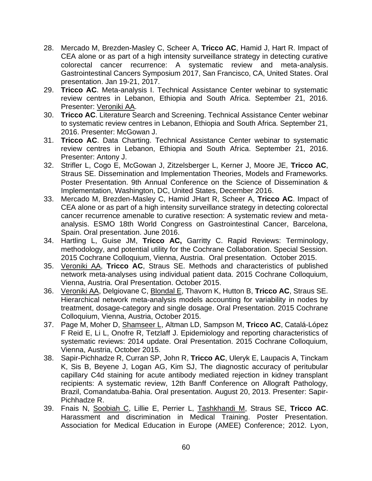- 28. Mercado M, Brezden-Masley C, Scheer A, **Tricco AC**, Hamid J, Hart R. Impact of CEA alone or as part of a high intensity surveillance strategy in detecting curative colorectal cancer recurrence: A systematic review and meta-analysis. Gastrointestinal Cancers Symposium 2017, San Francisco, CA, United States. Oral presentation. Jan 19-21, 2017.
- 29. **Tricco AC**. Meta-analysis I. Technical Assistance Center webinar to systematic review centres in Lebanon, Ethiopia and South Africa. September 21, 2016. Presenter: Veroniki AA.
- 30. **Tricco AC**. Literature Search and Screening. Technical Assistance Center webinar to systematic review centres in Lebanon, Ethiopia and South Africa. September 21, 2016. Presenter: McGowan J.
- 31. **Tricco AC**. Data Charting. Technical Assistance Center webinar to systematic review centres in Lebanon, Ethiopia and South Africa. September 21, 2016. Presenter: Antony J.
- 32. Strifler L, Cogo E, McGowan J, Zitzelsberger L, Kerner J, Moore JE, **Tricco AC**, Straus SE. Dissemination and Implementation Theories, Models and Frameworks. Poster Presentation. 9th Annual Conference on the Science of Dissemination & Implementation, Washington, DC, United States, December 2016.
- 33. Mercado M, Brezden-Masley C, Hamid JHart R, Scheer A, **Tricco AC**. Impact of CEA alone or as part of a high intensity surveillance strategy in detecting colorectal cancer recurrence amenable to curative resection: A systematic review and metaanalysis. ESMO 18th World Congress on Gastrointestinal Cancer, Barcelona, Spain. Oral presentation. June 2016.
- 34. Hartling L, Guise JM, **Tricco AC,** Garritty C. Rapid Reviews: Terminology, methodology, and potential utility for the Cochrane Collaboration. Special Session. 2015 Cochrane Colloquium, Vienna, Austria. Oral presentation. October 2015.
- 35. Veroniki AA, **Tricco AC**, Straus SE. Methods and characteristics of published network meta-analyses using individual patient data. 2015 Cochrane Colloquium, Vienna, Austria. Oral Presentation. October 2015.
- 36. Veroniki AA, Delgiovane C, Blondal E, Thavorn K, Hutton B, **Tricco AC**, Straus SE. Hierarchical network meta-analysis models accounting for variability in nodes by treatment, dosage-category and single dosage. Oral Presentation. 2015 Cochrane Colloquium, Vienna, Austria, October 2015.
- 37. Page M, Moher D, Shamseer L, Altman LD, Sampson M, **Tricco AC**, Catalá-López F Reid E, Li L, Onofre R, Tetzlaff J. Epidemiology and reporting characteristics of systematic reviews: 2014 update. Oral Presentation. 2015 Cochrane Colloquium, Vienna, Austria, October 2015.
- 38. Sapir-Pichhadze R, Curran SP, John R, **Tricco AC**, Uleryk E, Laupacis A, Tinckam K, Sis B, Beyene J, Logan AG, Kim SJ, The diagnostic accuracy of peritubular capillary C4d staining for acute antibody mediated rejection in kidney transplant recipients: A systematic review, 12th Banff Conference on Allograft Pathology, Brazil, Comandatuba-Bahia. Oral presentation. August 20, 2013. Presenter: Sapir-Pichhadze R.
- 39. Fnais N, Soobiah C, Lillie E, Perrier L, Tashkhandi M, Straus SE, **Tricco AC**. Harassment and discrimination in Medical Training. Poster Presentation. Association for Medical Education in Europe (AMEE) Conference; 2012. Lyon,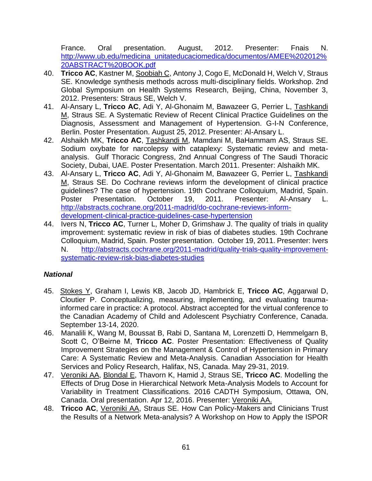France. Oral presentation. August, 2012. Presenter: Fnais N. [http://www.ub.edu/medicina\\_unitateducaciomedica/documentos/AMEE%202012%](http://www.ub.edu/medicina_unitateducaciomedica/documentos/AMEE%202012%20ABSTRACT%20BOOK.pdf) [20ABSTRACT%20BOOK.pdf](http://www.ub.edu/medicina_unitateducaciomedica/documentos/AMEE%202012%20ABSTRACT%20BOOK.pdf)

- 40. **Tricco AC**, Kastner M, Soobiah C, Antony J, Cogo E, McDonald H, Welch V, Straus SE. Knowledge synthesis methods across multi-disciplinary fields. Workshop. 2nd Global Symposium on Health Systems Research, Beijing, China, November 3, 2012. Presenters: Straus SE, Welch V.
- 41. Al-Ansary L, **Tricco AC**, Adi Y, Al-Ghonaim M, Bawazeer G, Perrier L, Tashkandi M, Straus SE. A Systematic Review of Recent Clinical Practice Guidelines on the Diagnosis, Assessment and Management of Hypertension. G-I-N Conference, Berlin. Poster Presentation. August 25, 2012. Presenter: Al-Ansary L.
- 42. Alshaikh MK, **Tricco AC**, Tashkandi M, Mamdani M, BaHammam AS, Straus SE. Sodium oxybate for narcolepsy with cataplexy: Systematic review and metaanalysis. Gulf Thoracic Congress, 2nd Annual Congress of The Saudi Thoracic Society, Dubai, UAE. Poster Presentation. March 2011. Presenter: Alshaikh MK.
- 43. Al-Ansary L, **Tricco AC**, Adi Y, Al-Ghonaim M, Bawazeer G, Perrier L, Tashkandi M, Straus SE. Do Cochrane reviews inform the development of clinical practice guidelines? The case of hypertension. 19th Cochrane Colloquium, Madrid, Spain. Poster Presentation. October 19, 2011. Presenter: Al-Ansary L. [http://abstracts.cochrane.org/2011-madrid/do-cochrane-reviews-inform](http://abstracts.cochrane.org/2011-madrid/do-cochrane-reviews-inform-development-clinical-practice-guidelines-case-hypertension)[development-clinical-practice-guidelines-case-hypertension](http://abstracts.cochrane.org/2011-madrid/do-cochrane-reviews-inform-development-clinical-practice-guidelines-case-hypertension)
- 44. Ivers N, **Tricco AC**, Turner L, Moher D, Grimshaw J. The quality of trials in quality improvement: systematic review in risk of bias of diabetes studies. 19th Cochrane Colloquium, Madrid, Spain. Poster presentation. October 19, 2011. Presenter: Ivers N. [http://abstracts.cochrane.org/2011-madrid/quality-trials-quality-improvement](http://abstracts.cochrane.org/2011-madrid/quality-trials-quality-improvement-systematic-review-risk-bias-diabetes-studies)[systematic-review-risk-bias-diabetes-studies](http://abstracts.cochrane.org/2011-madrid/quality-trials-quality-improvement-systematic-review-risk-bias-diabetes-studies)

# *National*

- 45. Stokes Y, Graham I, Lewis KB, Jacob JD, Hambrick E, **Tricco AC**, Aggarwal D, Cloutier P. Conceptualizing, measuring, implementing, and evaluating traumainformed care in practice: A protocol. Abstract accepted for the virtual conference to the Canadian Academy of Child and Adolescent Psychiatry Conference, Canada. September 13-14, 2020.
- 46. Manalili K, Wang M, Boussat B, Rabi D, Santana M, Lorenzetti D, Hemmelgarn B, Scott C, O'Beirne M, **Tricco AC**. Poster Presentation: Effectiveness of Quality Improvement Strategies on the Management & Control of Hypertension in Primary Care: A Systematic Review and Meta-Analysis. Canadian Association for Health Services and Policy Research, Halifax, NS, Canada. May 29-31, 2019.
- 47. Veroniki AA, Blondal E, Thavorn K, Hamid J, Straus SE, **Tricco AC**. Modelling the Effects of Drug Dose in Hierarchical Network Meta-Analysis Models to Account for Variability in Treatment Classifications. 2016 CADTH Symposium, Ottawa, ON, Canada. Oral presentation. Apr 12, 2016. Presenter: Veroniki AA.
- 48. **Tricco AC**, Veroniki AA, Straus SE. How Can Policy-Makers and Clinicians Trust the Results of a Network Meta-analysis? A Workshop on How to Apply the ISPOR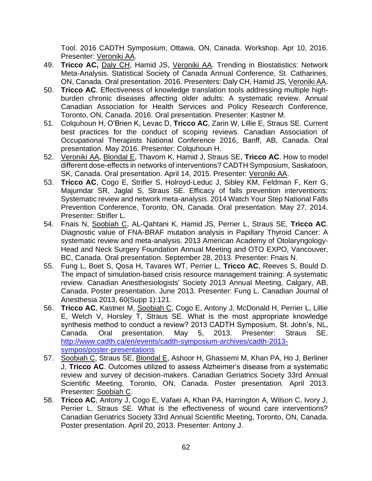Tool. 2016 CADTH Symposium, Ottawa, ON, Canada. Workshop. Apr 10, 2016. Presenter: Veroniki AA.

- 49. **Tricco AC,** Daly CH, Hamid JS, Veroniki AA. Trending in Biostatistics: Network Meta-Analysis. Statistical Society of Canada Annual Conference, St. Catharines, ON, Canada. Oral presentation. 2016. Presenters: Daly CH, Hamid JS, Veroniki AA.
- 50. **Tricco AC**. Effectiveness of knowledge translation tools addressing multiple highburden chronic diseases affecting older adults: A systematic review. Annual Canadian Association for Health Services and Policy Research Conference, Toronto, ON, Canada. 2016. Oral presentation. Presenter: Kastner M.
- 51. Colquhoun H, O'Brien K, Levac D, **Tricco AC**, Zarin W, Lillie E, Straus SE. Current best practices for the conduct of scoping reviews. Canadian Association of Occupational Therapists National Conference 2016, Banff, AB, Canada. Oral presentation. May 2016. Presenter: Colquhoun H.
- 52. Veroniki AA, Blondal E, Thavorn K, Hamid J, Straus SE, **Tricco AC**. How to model different dose-effects in networks of interventions? CADTH Symposium, Saskatoon, SK, Canada. Oral presentation. April 14, 2015. Presenter: Veroniki AA.
- 53. **Tricco AC**, Cogo E, Strifler S, Holroyd-Leduc J, Sibley KM, Feldman F, Kerr G, Majumdar SR, Jaglal S, Straus SE. Efficacy of falls prevention interventions: Systematic review and network meta-analysis. 2014 Watch Your Step National Falls Prevention Conference, Toronto, ON, Canada. Oral presentation. May 27, 2014. Presenter: Strifler L.
- 54. Fnais N, Soobiah C, AL-Qahtani K, Hamid JS, Perrier L, Straus SE, **Tricco AC**. Diagnostic value of FNA-BRAF mutation analysis in Papillary Thyroid Cancer: A systematic review and meta-analysis. 2013 American Academy of Otolaryngology-Head and Neck Surgery Foundation Annual Meeting and OTO EXPO, Vancouver, BC, Canada. Oral presentation. September 28, 2013. Presenter: Fnais N.
- 55. Fung L, Boet S, Qosa H, Tavares WT, Perrier L, **Tricco AC**, Reeves S, Bould D. The impact of simulation-based crisis resource management training: A systematic review. Canadian Anesthesiologists' Society 2013 Annual Meeting, Calgary, AB, Canada. Poster presentation. June 2013. Presenter: Fung L. Canadian Journal of Anesthesia 2013, 60(Supp 1):121.
- 56. **Tricco AC**, Kastner M, Soobiah C, Cogo E, Antony J, McDonald H, Perrier L, Lillie E, Welch V, Horsley T, Straus SE. What is the most appropriate knowledge synthesis method to conduct a review? 2013 CADTH Symposium, St. John's, NL, Canada. Oral presentation. May 5, 2013. Presenter: Straus SE. [http://www.cadth.ca/en/events/cadth-symposium-archives/cadth-2013](http://www.cadth.ca/en/events/cadth-symposium-archives/cadth-2013-sympos/poster-presentations) [sympos/poster-presentations](http://www.cadth.ca/en/events/cadth-symposium-archives/cadth-2013-sympos/poster-presentations)
- 57. Soobiah C, Straus SE, Blondal E, Ashoor H, Ghassemi M, Khan PA, Ho J, Berliner J, **Tricco AC**. Outcomes utilized to assess Alzheimer's disease from a systematic review and survey of decision-makers. Canadian Geriatrics Society 33rd Annual Scientific Meeting, Toronto, ON, Canada. Poster presentation. April 2013. Presenter: Soobiah C.
- 58. **Tricco AC**, Antony J, Cogo E, Vafaei A, Khan PA, Harrington A, Wilson C, Ivory J, Perrier L, Straus SE. What is the effectiveness of wound care interventions? Canadian Geriatrics Society 33rd Annual Scientific Meeting, Toronto, ON, Canada. Poster presentation. April 20, 2013. Presenter: Antony J.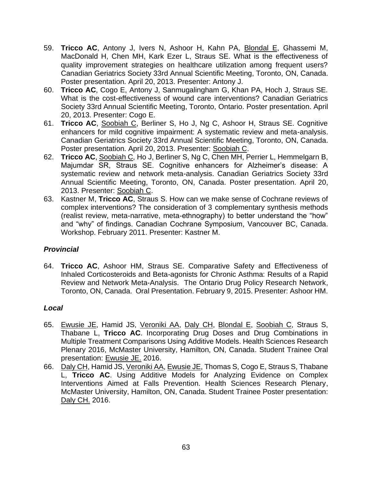- 59. **Tricco AC**, Antony J, Ivers N, Ashoor H, Kahn PA, Blondal E, Ghassemi M, MacDonald H, Chen MH, Kark Ezer L, Straus SE. What is the effectiveness of quality improvement strategies on healthcare utilization among frequent users? Canadian Geriatrics Society 33rd Annual Scientific Meeting, Toronto, ON, Canada. Poster presentation. April 20, 2013. Presenter: Antony J.
- 60. **Tricco AC**, Cogo E, Antony J, Sanmugalingham G, Khan PA, Hoch J, Straus SE. What is the cost-effectiveness of wound care interventions? Canadian Geriatrics Society 33rd Annual Scientific Meeting, Toronto, Ontario. Poster presentation. April 20, 2013. Presenter: Cogo E.
- 61. **Tricco AC**, Soobiah C, Berliner S, Ho J, Ng C, Ashoor H, Straus SE. Cognitive enhancers for mild cognitive impairment: A systematic review and meta-analysis. Canadian Geriatrics Society 33rd Annual Scientific Meeting, Toronto, ON, Canada. Poster presentation. April 20, 2013. Presenter: Soobiah C.
- 62. **Tricco AC**, Soobiah C, Ho J, Berliner S, Ng C, Chen MH, Perrier L, Hemmelgarn B, Majumdar SR, Straus SE. Cognitive enhancers for Alzheimer's disease: A systematic review and network meta-analysis. Canadian Geriatrics Society 33rd Annual Scientific Meeting, Toronto, ON, Canada. Poster presentation. April 20, 2013. Presenter: Soobiah C.
- 63. Kastner M, **Tricco AC**, Straus S. How can we make sense of Cochrane reviews of complex interventions? The consideration of 3 complementary synthesis methods (realist review, meta-narrative, meta-ethnography) to better understand the "how" and "why" of findings. Canadian Cochrane Symposium, Vancouver BC, Canada. Workshop. February 2011. Presenter: Kastner M.

### *Provincial*

64. **Tricco AC**, Ashoor HM, Straus SE. Comparative Safety and Effectiveness of Inhaled Corticosteroids and Beta-agonists for Chronic Asthma: Results of a Rapid Review and Network Meta-Analysis. The Ontario Drug Policy Research Network, Toronto, ON, Canada. Oral Presentation. February 9, 2015. Presenter: Ashoor HM.

### *Local*

- 65. Ewusie JE, Hamid JS, Veroniki AA, Daly CH, Blondal E, Soobiah C, Straus S, Thabane L, **Tricco AC**. Incorporating Drug Doses and Drug Combinations in Multiple Treatment Comparisons Using Additive Models. Health Sciences Research Plenary 2016, McMaster University, Hamilton, ON, Canada. Student Trainee Oral presentation: Ewusie JE. 2016.
- 66. Daly CH, Hamid JS, Veroniki AA, Ewusie JE, Thomas S, Cogo E, Straus S, Thabane L, **Tricco AC**. Using Additive Models for Analyzing Evidence on Complex Interventions Aimed at Falls Prevention. Health Sciences Research Plenary, McMaster University, Hamilton, ON, Canada. Student Trainee Poster presentation: Daly CH. 2016.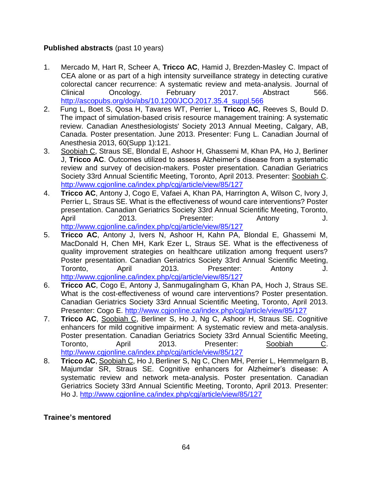### **Published abstracts** (past 10 years)

- 1. Mercado M, Hart R, Scheer A, **Tricco AC**, Hamid J, Brezden-Masley C. Impact of CEA alone or as part of a high intensity surveillance strategy in detecting curative colorectal cancer recurrence: A systematic review and meta-analysis. Journal of Clinical Oncology. February 2017. Abstract 566. [http://ascopubs.org/doi/abs/10.1200/JCO.2017.35.4\\_suppl.566](http://ascopubs.org/doi/abs/10.1200/JCO.2017.35.4_suppl.566)
- 2. Fung L, Boet S, Qosa H, Tavares WT, Perrier L, **Tricco AC**, Reeves S, Bould D. The impact of simulation-based crisis resource management training: A systematic review. Canadian Anesthesiologists' Society 2013 Annual Meeting, Calgary, AB, Canada. Poster presentation. June 2013. Presenter: Fung L. Canadian Journal of Anesthesia 2013, 60(Supp 1):121.
- 3. Soobiah C, Straus SE, Blondal E, Ashoor H, Ghassemi M, Khan PA, Ho J, Berliner J, **Tricco AC**. Outcomes utilized to assess Alzheimer's disease from a systematic review and survey of decision-makers. Poster presentation. Canadian Geriatrics Society 33rd Annual Scientific Meeting, Toronto, April 2013. Presenter: Soobiah C. <http://www.cgjonline.ca/index.php/cgj/article/view/85/127>
- 4. **Tricco AC**, Antony J, Cogo E, Vafaei A, Khan PA, Harrington A, Wilson C, Ivory J, Perrier L, Straus SE. What is the effectiveness of wound care interventions? Poster presentation. Canadian Geriatrics Society 33rd Annual Scientific Meeting, Toronto, April 2013. Presenter: Antony J. <http://www.cgjonline.ca/index.php/cgj/article/view/85/127>
- 5. **Tricco AC**, Antony J, Ivers N, Ashoor H, Kahn PA, Blondal E, Ghassemi M, MacDonald H, Chen MH, Kark Ezer L, Straus SE. What is the effectiveness of quality improvement strategies on healthcare utilization among frequent users? Poster presentation. Canadian Geriatrics Society 33rd Annual Scientific Meeting, Toronto, April 2013. Presenter: Antony J. <http://www.cgjonline.ca/index.php/cgj/article/view/85/127>
- 6. **Tricco AC**, Cogo E, Antony J, Sanmugalingham G, Khan PA, Hoch J, Straus SE. What is the cost-effectiveness of wound care interventions? Poster presentation. Canadian Geriatrics Society 33rd Annual Scientific Meeting, Toronto, April 2013. Presenter: Cogo E.<http://www.cgjonline.ca/index.php/cgj/article/view/85/127>
- 7. **Tricco AC**, Soobiah C, Berliner S, Ho J, Ng C, Ashoor H, Straus SE. Cognitive enhancers for mild cognitive impairment: A systematic review and meta-analysis. Poster presentation. Canadian Geriatrics Society 33rd Annual Scientific Meeting, Toronto, April 2013. Presenter: Soobiah C. <http://www.cgjonline.ca/index.php/cgj/article/view/85/127>
- 8. **Tricco AC**, Soobiah C, Ho J, Berliner S, Ng C, Chen MH, Perrier L, Hemmelgarn B, Majumdar SR, Straus SE. Cognitive enhancers for Alzheimer's disease: A systematic review and network meta-analysis. Poster presentation. Canadian Geriatrics Society 33rd Annual Scientific Meeting, Toronto, April 2013. Presenter: Ho J.<http://www.cgjonline.ca/index.php/cgj/article/view/85/127>

### **Trainee's mentored**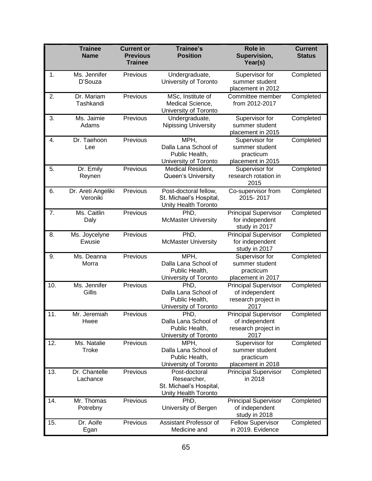|     | <b>Trainee</b><br><b>Name</b>  | <b>Current or</b><br><b>Previous</b><br><b>Trainee</b> | <b>Trainee's</b><br><b>Position</b>                                             | Role in<br>Supervision,<br>Year(s)                                           | <b>Current</b><br><b>Status</b> |
|-----|--------------------------------|--------------------------------------------------------|---------------------------------------------------------------------------------|------------------------------------------------------------------------------|---------------------------------|
| 1.  | Ms. Jennifer<br>D'Souza        | Previous                                               | Undergraduate,<br>University of Toronto                                         | Supervisor for<br>summer student<br>placement in 2012                        | Completed                       |
| 2.  | Dr. Mariam<br>Tashkandi        | Previous                                               | MSc, Institute of<br>Medical Science,<br>University of Toronto                  | Committee member<br>from 2012-2017                                           | Completed                       |
| 3.  | Ms. Jaimie<br>Adams            | Previous                                               | Undergraduate,<br>Nipissing University                                          | Supervisor for<br>summer student<br>placement in 2015                        | Completed                       |
| 4.  | Dr. Taehoon<br>Lee             | Previous                                               | MPH,<br>Dalla Lana School of<br>Public Health,<br>University of Toronto         | Supervisor for<br>summer student<br>practicum<br>placement in 2015           | Completed                       |
| 5.  | Dr. Emily<br>Reynen            | Previous                                               | Medical Resident,<br>Queen's University                                         | Supervisor for<br>research rotation in<br>2015                               | Completed                       |
| 6.  | Dr. Areti Angeliki<br>Veroniki | Previous                                               | Post-doctoral fellow,<br>St. Michael's Hospital,<br>Unity Health Toronto        | Co-supervisor from<br>2015-2017                                              | Completed                       |
| 7.  | Ms. Caitlin<br>Daly            | Previous                                               | PhD,<br><b>McMaster University</b>                                              | <b>Principal Supervisor</b><br>for independent<br>study in 2017              | Completed                       |
| 8.  | Ms. Joycelyne<br>Ewusie        | Previous                                               | PhD,<br><b>McMaster University</b>                                              | <b>Principal Supervisor</b><br>for independent<br>study in 2017              | Completed                       |
| 9.  | Ms. Deanna<br>Morra            | Previous                                               | MPH,<br>Dalla Lana School of<br>Public Health,<br>University of Toronto         | Supervisor for<br>summer student<br>practicum<br>placement in 2017           | Completed                       |
| 10. | Ms. Jennifer<br>Gillis         | Previous                                               | PhD.<br>Dalla Lana School of<br>Public Health,<br>University of Toronto         | <b>Principal Supervisor</b><br>of independent<br>research project in<br>2017 | Completed                       |
| 11. | Mr. Jeremiah<br>Hwee           | Previous                                               | PhD,<br>Dalla Lana School of<br>Public Health,<br>University of Toronto         | <b>Principal Supervisor</b><br>of independent<br>research project in<br>2017 | Completed                       |
| 12. | Ms. Natalie<br>Troke           | Previous                                               | MPH,<br>Dalla Lana School of<br>Public Health,<br>University of Toronto         | Supervisor for<br>summer student<br>practicum<br>placement in 2018           | Completed                       |
| 13. | Dr. Chantelle<br>Lachance      | Previous                                               | Post-doctoral<br>Researcher,<br>St. Michael's Hospital,<br>Unity Health Toronto | <b>Principal Supervisor</b><br>in 2018                                       | Completed                       |
| 14. | Mr. Thomas<br>Potrebny         | Previous                                               | PhD,<br>University of Bergen                                                    | <b>Principal Supervisor</b><br>of independent<br>study in 2018               | Completed                       |
| 15. | Dr. Aoife<br>Egan              | Previous                                               | Assistant Professor of<br>Medicine and                                          | <b>Fellow Supervisor</b><br>in 2019. Evidence                                | Completed                       |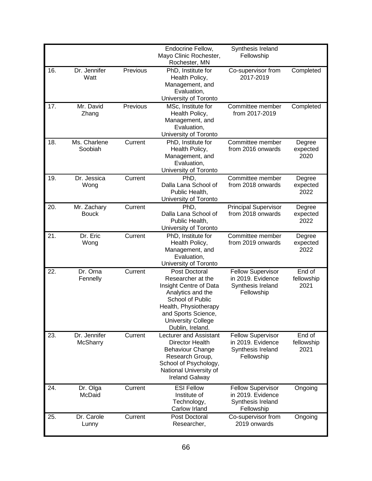|     |                                 |          | Endocrine Fellow,<br>Mayo Clinic Rochester,<br>Rochester, MN                                                                                                                                           | Synthesis Ireland<br>Fellowship                                                  |                              |
|-----|---------------------------------|----------|--------------------------------------------------------------------------------------------------------------------------------------------------------------------------------------------------------|----------------------------------------------------------------------------------|------------------------------|
| 16. | Dr. Jennifer<br>Watt            | Previous | PhD, Institute for<br>Health Policy,<br>Management, and<br>Evaluation,<br>University of Toronto                                                                                                        | Co-supervisor from<br>2017-2019                                                  | Completed                    |
| 17. | Mr. David<br>Zhang              | Previous | MSc, Institute for<br>Health Policy,<br>Management, and<br>Evaluation,<br>University of Toronto                                                                                                        | Committee member<br>from 2017-2019                                               | Completed                    |
| 18. | Ms. Charlene<br>Soobiah         | Current  | PhD, Institute for<br>Health Policy,<br>Management, and<br>Evaluation,<br>University of Toronto                                                                                                        | Committee member<br>from 2016 onwards                                            | Degree<br>expected<br>2020   |
| 19. | Dr. Jessica<br>Wong             | Current  | PhD,<br>Dalla Lana School of<br>Public Health,<br>University of Toronto                                                                                                                                | Committee member<br>from 2018 onwards                                            | Degree<br>expected<br>2022   |
| 20. | Mr. Zachary<br><b>Bouck</b>     | Current  | PhD,<br>Dalla Lana School of<br>Public Health,<br>University of Toronto                                                                                                                                | <b>Principal Supervisor</b><br>from 2018 onwards                                 | Degree<br>expected<br>2022   |
| 21. | Dr. Eric<br>Wong                | Current  | PhD, Institute for<br>Health Policy,<br>Management, and<br>Evaluation,<br>University of Toronto                                                                                                        | Committee member<br>from 2019 onwards                                            | Degree<br>expected<br>2022   |
| 22. | Dr. Orna<br>Fennelly            | Current  | Post Doctoral<br>Researcher at the<br>Insight Centre of Data<br>Analytics and the<br>School of Public<br>Health, Physiotherapy<br>and Sports Science,<br><b>University College</b><br>Dublin, Ireland. | <b>Fellow Supervisor</b><br>in 2019. Evidence<br>Synthesis Ireland<br>Fellowship | End of<br>fellowship<br>2021 |
| 23. | Dr. Jennifer<br><b>McSharry</b> | Current  | Lecturer and Assistant<br><b>Director Health</b><br><b>Behaviour Change</b><br>Research Group,<br>School of Psychology,<br>National University of<br><b>Ireland Galway</b>                             | <b>Fellow Supervisor</b><br>in 2019. Evidence<br>Synthesis Ireland<br>Fellowship | End of<br>fellowship<br>2021 |
| 24. | Dr. Olga<br>McDaid              | Current  | <b>ESI Fellow</b><br>Institute of<br>Technology,<br>Carlow Irland                                                                                                                                      | <b>Fellow Supervisor</b><br>in 2019. Evidence<br>Synthesis Ireland<br>Fellowship | Ongoing                      |
| 25. | Dr. Carole<br>Lunny             | Current  | Post Doctoral<br>Researcher,                                                                                                                                                                           | Co-supervisor from<br>2019 onwards                                               | Ongoing                      |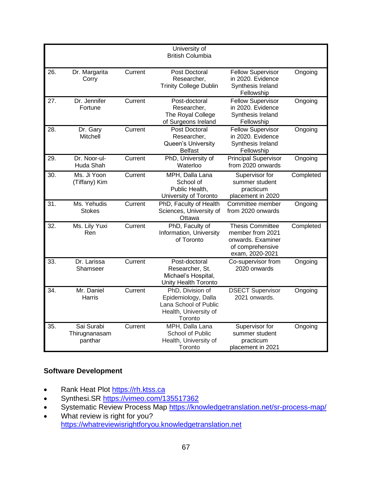|     |               |         | University of                            |                                          |           |
|-----|---------------|---------|------------------------------------------|------------------------------------------|-----------|
|     |               |         | <b>British Columbia</b>                  |                                          |           |
|     |               |         |                                          |                                          |           |
| 26. | Dr. Margarita | Current | Post Doctoral                            | <b>Fellow Supervisor</b>                 | Ongoing   |
|     | Corry         |         | Researcher,                              | in 2020. Evidence                        |           |
|     |               |         | <b>Trinity College Dublin</b>            | Synthesis Ireland                        |           |
|     |               |         |                                          | Fellowship                               |           |
| 27. | Dr. Jennifer  | Current | Post-doctoral                            | <b>Fellow Supervisor</b>                 | Ongoing   |
|     | Fortune       |         | Researcher,                              | in 2020. Evidence                        |           |
|     |               |         | The Royal College                        | Synthesis Ireland                        |           |
|     |               |         | of Surgeons Ireland                      | Fellowship                               |           |
| 28. | Dr. Gary      | Current | Post Doctoral                            | <b>Fellow Supervisor</b>                 | Ongoing   |
|     | Mitchell      |         | Researcher,                              | in 2020. Evidence                        |           |
|     |               |         | Queen's University                       | Synthesis Ireland                        |           |
|     |               |         | <b>Belfast</b>                           | Fellowship                               |           |
| 29. | Dr. Noor-ul-  | Current | PhD, University of                       | <b>Principal Supervisor</b>              | Ongoing   |
|     | Huda Shah     |         | Waterloo                                 | from 2020 onwards                        |           |
| 30. | Ms. Ji Yoon   | Current | MPH, Dalla Lana                          | Supervisor for                           | Completed |
|     | (Tiffany) Kim |         | School of                                | summer student                           |           |
|     |               |         | Public Health,                           | practicum                                |           |
|     |               |         | University of Toronto                    | placement in 2020                        |           |
| 31. | Ms. Yehudis   | Current | PhD, Faculty of Health                   | Committee member                         | Ongoing   |
|     | <b>Stokes</b> |         | Sciences, University of                  | from 2020 onwards                        |           |
|     |               |         | Ottawa                                   |                                          |           |
| 32. | Ms. Lily Yuxi | Current | PhD, Faculty of                          | <b>Thesis Committee</b>                  | Completed |
|     | Ren           |         | Information, University                  | member from 2021                         |           |
|     |               |         | of Toronto                               | onwards. Examiner                        |           |
|     |               |         |                                          | of comprehensive                         |           |
|     |               |         |                                          | exam, 2020-2021                          |           |
| 33. | Dr. Larissa   | Current | Post-doctoral                            | Co-supervisor from                       | Ongoing   |
|     | Shamseer      |         | Researcher, St.                          | 2020 onwards                             |           |
|     |               |         | Michael's Hospital,                      |                                          |           |
|     | Mr. Daniel    | Current | Unity Health Toronto<br>PhD, Division of |                                          |           |
| 34. |               |         | Epidemiology, Dalla                      | <b>DSECT Supervisor</b><br>2021 onwards. | Ongoing   |
|     | Harris        |         | Lana School of Public                    |                                          |           |
|     |               |         | Health, University of                    |                                          |           |
|     |               |         |                                          |                                          |           |
| 35. | Sai Surabi    | Current | Toronto<br>MPH. Dalla Lana               | Supervisor for                           | Ongoing   |
|     | Thirugnanasam |         | School of Public                         | summer student                           |           |
|     | panthar       |         | Health, University of                    | practicum                                |           |
|     |               |         | Toronto                                  | placement in 2021                        |           |
|     |               |         |                                          |                                          |           |

### **Software Development**

- Rank Heat Plot https://rh.ktss.ca
- Synthesi.SR <https://vimeo.com/135517362>
- Systematic Review Process Map https://knowledgetranslation.net/sr-process-map/
- What review is right for you? https://whatreviewisrightforyou.knowledgetranslation.net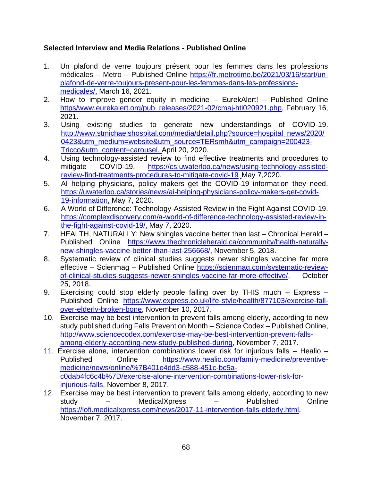### **Selected Interview and Media Relations - Published Online**

- 1. Un plafond de verre toujours présent pour les femmes dans les professions médicales – Metro – Published Online [https://fr.metrotime.be/2021/03/16/start/un](https://fr.metrotime.be/2021/03/16/start/un-plafond-de-verre-toujours-present-pour-les-femmes-dans-les-professions-medicales/,)[plafond-de-verre-toujours-present-pour-les-femmes-dans-les-professions](https://fr.metrotime.be/2021/03/16/start/un-plafond-de-verre-toujours-present-pour-les-femmes-dans-les-professions-medicales/,)[medicales/,](https://fr.metrotime.be/2021/03/16/start/un-plafond-de-verre-toujours-present-pour-les-femmes-dans-les-professions-medicales/,) March 16, 2021.
- 2. How to improve gender equity in medicine EurekAlert! Published Online [https/www.eurekalert.org/pub\\_releases/2021-02/cmaj-hti020921.php,](https://fortiportal.unityhealth.to/proxy/3e63877f/https/www.eurekalert.org/pub_releases/2021-02/cmaj-hti020921.php) February 16, 2021.
- 3. Using existing studies to generate new understandings of COVID-19. [http://www.stmichaelshospital.com/media/detail.php?source=hospital\\_news/2020/](http://www.stmichaelshospital.com/media/detail.php?source=hospital_news/2020/0423&utm_medium=website&utm_source=TERsmh&utm_campaign=200423-Tricco&utm_content=carousel) [0423&utm\\_medium=website&utm\\_source=TERsmh&utm\\_campaign=200423-](http://www.stmichaelshospital.com/media/detail.php?source=hospital_news/2020/0423&utm_medium=website&utm_source=TERsmh&utm_campaign=200423-Tricco&utm_content=carousel) [Tricco&utm\\_content=carousel,](http://www.stmichaelshospital.com/media/detail.php?source=hospital_news/2020/0423&utm_medium=website&utm_source=TERsmh&utm_campaign=200423-Tricco&utm_content=carousel) April 20, 2020.
- 4. Using technology-assisted review to find effective treatments and procedures to mitigate COVID-19. [https://cs.uwaterloo.ca/news/using-technology-assisted](https://cs.uwaterloo.ca/news/using-technology-assisted-review-find-treatments-procedures-to-mitigate-covid-19)[review-find-treatments-procedures-to-mitigate-covid-19](https://cs.uwaterloo.ca/news/using-technology-assisted-review-find-treatments-procedures-to-mitigate-covid-19), May 7,2020.
- 5. AI helping physicians, policy makers get the COVID-19 information they need. [https://uwaterloo.ca/stories/news/ai-helping-physicians-policy-makers-get-covid-](https://uwaterloo.ca/stories/news/ai-helping-physicians-policy-makers-get-covid-19-information)[19-information,](https://uwaterloo.ca/stories/news/ai-helping-physicians-policy-makers-get-covid-19-information) May 7, 2020.
- 6. A World of Difference: Technology-Assisted Review in the Fight Against COVID-19. [https://complexdiscovery.com/a-world-of-difference-technology-assisted-review-in](https://complexdiscovery.com/a-world-of-difference-technology-assisted-review-in-the-fight-against-covid-19/)[the-fight-against-covid-19/,](https://complexdiscovery.com/a-world-of-difference-technology-assisted-review-in-the-fight-against-covid-19/) May 7, 2020.
- 7. HEALTH, NATURALLY: New shingles vaccine better than last Chronical Herald Published Online [https://www.thechronicleherald.ca/community/health-naturally](https://www.thechronicleherald.ca/community/health-naturally-new-shingles-vaccine-better-than-last-256668/)[new-shingles-vaccine-better-than-last-256668/,](https://www.thechronicleherald.ca/community/health-naturally-new-shingles-vaccine-better-than-last-256668/) November 5, 2018.
- 8. Systematic review of clinical studies suggests newer shingles vaccine far more effective – Scienmag – Published Online [https://scienmag.com/systematic-review](https://scienmag.com/systematic-review-of-clinical-studies-suggests-newer-shingles-vaccine-far-more-effective/)[of-clinical-studies-suggests-newer-shingles-vaccine-far-more-effective/,](https://scienmag.com/systematic-review-of-clinical-studies-suggests-newer-shingles-vaccine-far-more-effective/) October 25, 2018.
- 9. Exercising could stop elderly people falling over by THIS much Express Published Online [https://www.express.co.uk/life-style/health/877103/exercise-fall](https://www.express.co.uk/life-style/health/877103/exercise-fall-over-elderly-broken-bone)[over-elderly-broken-bone,](https://www.express.co.uk/life-style/health/877103/exercise-fall-over-elderly-broken-bone) November 10, 2017.
- 10. Exercise may be best intervention to prevent falls among elderly, according to new study published during Falls Prevention Month – Science Codex – Published Online, [http://www.sciencecodex.com/exercise-may-be-best-intervention-prevent-falls](http://www.sciencecodex.com/exercise-may-be-best-intervention-prevent-falls-among-elderly-according-new-study-published-during)[among-elderly-according-new-study-published-during,](http://www.sciencecodex.com/exercise-may-be-best-intervention-prevent-falls-among-elderly-according-new-study-published-during) November 7, 2017.
- 11. Exercise alone, intervention combinations lower risk for injurious falls Healio Published Online [https://www.healio.com/family-medicine/preventive](https://www.healio.com/family-medicine/preventive-medicine/news/online/%7B401e4dd3-c588-451c-bc5a-c0dab4fc6c4b%7D/exercise-alone-intervention-combinations-lower-risk-for-injurious-falls)[medicine/news/online/%7B401e4dd3-c588-451c-bc5a](https://www.healio.com/family-medicine/preventive-medicine/news/online/%7B401e4dd3-c588-451c-bc5a-c0dab4fc6c4b%7D/exercise-alone-intervention-combinations-lower-risk-for-injurious-falls)[c0dab4fc6c4b%7D/exercise-alone-intervention-combinations-lower-risk-for](https://www.healio.com/family-medicine/preventive-medicine/news/online/%7B401e4dd3-c588-451c-bc5a-c0dab4fc6c4b%7D/exercise-alone-intervention-combinations-lower-risk-for-injurious-falls)[injurious-falls,](https://www.healio.com/family-medicine/preventive-medicine/news/online/%7B401e4dd3-c588-451c-bc5a-c0dab4fc6c4b%7D/exercise-alone-intervention-combinations-lower-risk-for-injurious-falls) November 8, 2017.
- 12. Exercise may be best intervention to prevent falls among elderly, according to new study – MedicalXpress – Published Online [https://lofi.medicalxpress.com/news/2017-11-intervention-falls-elderly.html,](https://lofi.medicalxpress.com/news/2017-11-intervention-falls-elderly.html) November 7, 2017.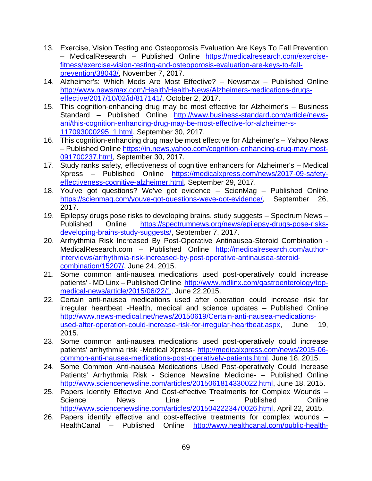- 13. Exercise, Vision Testing and Osteoporosis Evaluation Are Keys To Fall Prevention – MedicalResearch – Published Online [https://medicalresearch.com/exercise](https://medicalresearch.com/exercise-fitness/exercise-vision-testing-and-osteoporosis-evaluation-are-keys-to-fall-prevention/38043/)[fitness/exercise-vision-testing-and-osteoporosis-evaluation-are-keys-to-fall](https://medicalresearch.com/exercise-fitness/exercise-vision-testing-and-osteoporosis-evaluation-are-keys-to-fall-prevention/38043/)[prevention/38043/,](https://medicalresearch.com/exercise-fitness/exercise-vision-testing-and-osteoporosis-evaluation-are-keys-to-fall-prevention/38043/) November 7, 2017.
- 14. Alzheimer's: Which Meds Are Most Effective? Newsmax Published Online [http://www.newsmax.com/Health/Health-News/Alzheimers-medications-drugs](http://www.newsmax.com/Health/Health-News/Alzheimers-medications-drugs-effective/2017/10/02/id/817141/)[effective/2017/10/02/id/817141/,](http://www.newsmax.com/Health/Health-News/Alzheimers-medications-drugs-effective/2017/10/02/id/817141/) October 2, 2017.
- 15. This cognition-enhancing drug may be most effective for Alzheimer's Business Standard – Published Online [http://www.business-standard.com/article/news](http://www.business-standard.com/article/news-ani/this-cognition-enhancing-drug-may-be-most-effective-for-alzheimer-s-117093000295_1.html)[ani/this-cognition-enhancing-drug-may-be-most-effective-for-alzheimer-s-](http://www.business-standard.com/article/news-ani/this-cognition-enhancing-drug-may-be-most-effective-for-alzheimer-s-117093000295_1.html)[117093000295\\_1.html,](http://www.business-standard.com/article/news-ani/this-cognition-enhancing-drug-may-be-most-effective-for-alzheimer-s-117093000295_1.html) September 30, 2017.
- 16. This cognition-enhancing drug may be most effective for Alzheimer's Yahoo News – Published Online [https://in.news.yahoo.com/cognition-enhancing-drug-may-most-](https://in.news.yahoo.com/cognition-enhancing-drug-may-most-091700237.html)[091700237.html,](https://in.news.yahoo.com/cognition-enhancing-drug-may-most-091700237.html) September 30, 2017.
- 17. Study ranks safety, effectiveness of cognitive enhancers for Alzheimer's Medical Xpress – Published Online [https://medicalxpress.com/news/2017-09-safety](https://medicalxpress.com/news/2017-09-safety-effectiveness-cognitive-alzheimer.html)[effectiveness-cognitive-alzheimer.html,](https://medicalxpress.com/news/2017-09-safety-effectiveness-cognitive-alzheimer.html) September 29, 2017.
- 18. You've got questions? We've got evidence ScienMag Published Online [https://scienmag.com/youve-got-questions-weve-got-evidence/,](https://scienmag.com/youve-got-questions-weve-got-evidence/) September 26, 2017.
- 19. Epilepsy drugs pose risks to developing brains, study suggests Spectrum News Published Online [https://spectrumnews.org/news/epilepsy-drugs-pose-risks](https://spectrumnews.org/news/epilepsy-drugs-pose-risks-developing-brains-study-suggests/)[developing-brains-study-suggests/,](https://spectrumnews.org/news/epilepsy-drugs-pose-risks-developing-brains-study-suggests/) September 7, 2017.
- 20. Arrhythmia Risk Increased By Post-Operative Antinausea-Steroid Combination MedicalResearch.com – Published Online [http://medicalresearch.com/author](http://medicalresearch.com/author-interviews/arrhythmia-risk-increased-by-post-operative-antinausea-steroid-combination/15207/)[interviews/arrhythmia-risk-increased-by-post-operative-antinausea-steroid](http://medicalresearch.com/author-interviews/arrhythmia-risk-increased-by-post-operative-antinausea-steroid-combination/15207/)[combination/15207/,](http://medicalresearch.com/author-interviews/arrhythmia-risk-increased-by-post-operative-antinausea-steroid-combination/15207/) June 24, 2015.
- 21. Some common anti-nausea medications used post-operatively could increase patients' - MD Linx – Published Online [http://www.mdlinx.com/gastroenterology/top](http://www.mdlinx.com/gastroenterology/top-medical-news/article/2015/06/22/1)[medical-news/article/2015/06/22/1,](http://www.mdlinx.com/gastroenterology/top-medical-news/article/2015/06/22/1) June 22,2015.
- 22. Certain anti-nausea medications used after operation could increase risk for irregular heartbeat -Health, medical and science updates – Published Online [http://www.news-medical.net/news/20150619/Certain-anti-nausea-medications](http://www.news-medical.net/news/20150619/Certain-anti-nausea-medications-used-after-operation-could-increase-risk-for-irregular-heartbeat.aspx)[used-after-operation-could-increase-risk-for-irregular-heartbeat.aspx,](http://www.news-medical.net/news/20150619/Certain-anti-nausea-medications-used-after-operation-could-increase-risk-for-irregular-heartbeat.aspx) June 19, 2015.
- 23. Some common anti-nausea medications used post-operatively could increase patients' arrhythmia risk -Medical Xpress- [http://medicalxpress.com/news/2015-06](http://medicalxpress.com/news/2015-06-common-anti-nausea-medications-post-operatively-patients.html) [common-anti-nausea-medications-post-operatively-patients.html,](http://medicalxpress.com/news/2015-06-common-anti-nausea-medications-post-operatively-patients.html) June 18, 2015.
- 24. Some Common Anti-nausea Medications Used Post-operatively Could Increase Patients' Arrhythmia Risk - Science Newsline Medicine- – Published Online [http://www.sciencenewsline.com/articles/2015061814330022.html,](http://www.sciencenewsline.com/articles/2015061814330022.html) June 18, 2015.
- 25. Papers Identify Effective And Cost-effective Treatments for Complex Wounds Science News Line – Published Online [http://www.sciencenewsline.com/articles/2015042223470026.html,](http://www.sciencenewsline.com/articles/2015042223470026.html) April 22, 2015.
- 26. Papers identify effective and cost-effective treatments for complex wounds HealthCanal – Published Online [http://www.healthcanal.com/public-health-](http://www.healthcanal.com/public-health-safety/62687-papers-identify-effective-and-cost-effective-treatments-for-complex-wounds.html)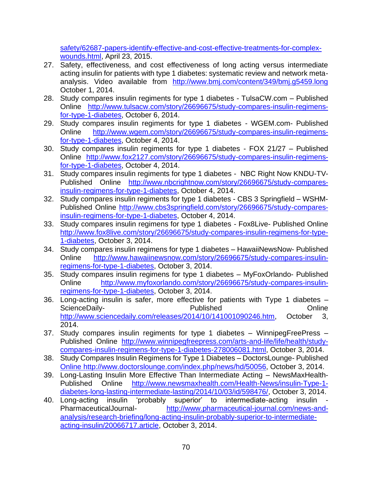[safety/62687-papers-identify-effective-and-cost-effective-treatments-for-complex](http://www.healthcanal.com/public-health-safety/62687-papers-identify-effective-and-cost-effective-treatments-for-complex-wounds.html)[wounds.html,](http://www.healthcanal.com/public-health-safety/62687-papers-identify-effective-and-cost-effective-treatments-for-complex-wounds.html) April 23, 2015.

- 27. Safety, effectiveness, and cost effectiveness of long acting versus intermediate acting insulin for patients with type 1 diabetes: systematic review and network metaanalysis. Video available from <http://www.bmj.com/content/349/bmj.g5459.long> October 1, 2014.
- 28. Study compares insulin regiments for type 1 diabetes TulsaCW.com Published Online [http://www.tulsacw.com/story/26696675/study-compares-insulin-regimens](http://www.tulsacw.com/story/26696675/study-compares-insulin-regimens-for-type-1-diabetes)[for-type-1-diabetes,](http://www.tulsacw.com/story/26696675/study-compares-insulin-regimens-for-type-1-diabetes) October 6, 2014.
- 29. Study compares insulin regiments for type 1 diabetes WGEM.com- Published Online [http://www.wgem.com/story/26696675/study-compares-insulin-regimens](http://www.wgem.com/story/26696675/study-compares-insulin-regimens-for-type-1-diabetes)[for-type-1-diabetes,](http://www.wgem.com/story/26696675/study-compares-insulin-regimens-for-type-1-diabetes) October 4, 2014.
- 30. Study compares insulin regiments for type 1 diabetes FOX 21/27 Published Online [http://www.fox2127.com/story/26696675/study-compares-insulin-regimens](http://www.fox2127.com/story/26696675/study-compares-insulin-regimens-for-type-1-diabetes)[for-type-1-diabetes,](http://www.fox2127.com/story/26696675/study-compares-insulin-regimens-for-type-1-diabetes) October 4, 2014.
- 31. Study compares insulin regiments for type 1 diabetes NBC Right Now KNDU-TV-Published Online [http://www.nbcrightnow.com/story/26696675/study-compares](http://www.nbcrightnow.com/story/26696675/study-compares-insulin-regimens-for-type-1-diabetes)[insulin-regimens-for-type-1-diabetes,](http://www.nbcrightnow.com/story/26696675/study-compares-insulin-regimens-for-type-1-diabetes) October 4, 2014.
- 32. Study compares insulin regiments for type 1 diabetes CBS 3 Springfield WSHM-Published Online [http://www.cbs3springfield.com/story/26696675/study-compares](http://www.cbs3springfield.com/story/26696675/study-compares-insulin-regimens-for-type-1-diabetes)[insulin-regimens-for-type-1-diabetes,](http://www.cbs3springfield.com/story/26696675/study-compares-insulin-regimens-for-type-1-diabetes) October 4, 2014.
- 33. Study compares insulin regimens for type 1 diabetes Fox8Live- Published Online [http://www.fox8live.com/story/26696675/study-compares-insulin-regimens-for-type-](http://www.fox8live.com/story/26696675/study-compares-insulin-regimens-for-type-1-diabetes)[1-diabetes,](http://www.fox8live.com/story/26696675/study-compares-insulin-regimens-for-type-1-diabetes) October 3, 2014.
- 34. Study compares insulin regimens for type 1 diabetes HawaiiNewsNow- Published Online [http://www.hawaiinewsnow.com/story/26696675/study-compares-insulin](http://www.hawaiinewsnow.com/story/26696675/study-compares-insulin-regimens-for-type-1-diabetes)[regimens-for-type-1-diabetes,](http://www.hawaiinewsnow.com/story/26696675/study-compares-insulin-regimens-for-type-1-diabetes) October 3, 2014.
- 35. Study compares insulin regimens for type 1 diabetes MyFoxOrlando- Published Online [http://www.myfoxorlando.com/story/26696675/study-compares-insulin](http://www.myfoxorlando.com/story/26696675/study-compares-insulin-regimens-for-type-1-diabetes)[regimens-for-type-1-diabetes,](http://www.myfoxorlando.com/story/26696675/study-compares-insulin-regimens-for-type-1-diabetes) October 3, 2014.
- 36. Long-acting insulin is safer, more effective for patients with Type 1 diabetes ScienceDaily- **Conserversity** Published **Conserversity** Online [http://www.sciencedaily.com/releases/2014/10/141001090246.htm,](http://www.sciencedaily.com/releases/2014/10/141001090246.htm) October 3, 2014.
- 37. Study compares insulin regiments for type 1 diabetes WinnipegFreePress Published Online [http://www.winnipegfreepress.com/arts-and-life/life/health/study](http://www.winnipegfreepress.com/arts-and-life/life/health/study-compares-insulin-regimens-for-type-1-diabetes-278006081.html)[compares-insulin-regimens-for-type-1-diabetes-278006081.html,](http://www.winnipegfreepress.com/arts-and-life/life/health/study-compares-insulin-regimens-for-type-1-diabetes-278006081.html) October 3, 2014.
- 38. Study Compares Insulin Regimens for Type 1 Diabetes DoctorsLounge- Published Online [http://www.doctorslounge.com/index.php/news/hd/50056,](http://www.doctorslounge.com/index.php/news/hd/50056) October 3, 2014.
- 39. Long-Lasting Insulin More Effective Than Intermediate Acting NewsMaxHealth-Published Online [http://www.newsmaxhealth.com/Health-News/insulin-Type-1](http://www.newsmaxhealth.com/Health-News/insulin-Type-1-diabetes-long-lasting-intermediate-lasting/2014/10/03/id/598476/) [diabetes-long-lasting-intermediate-lasting/2014/10/03/id/598476/,](http://www.newsmaxhealth.com/Health-News/insulin-Type-1-diabetes-long-lasting-intermediate-lasting/2014/10/03/id/598476/) October 3, 2014.
- 40. Long-acting insulin 'probably superior' to intermediate-acting insulin<br>PharmaceuticalJournal- http://www.pharmaceutical-iournal.com/news-are [http://www.pharmaceutical-journal.com/news-and](http://www.pharmaceutical-journal.com/news-and-analysis/research-briefing/long-acting-insulin-probably-superior-to-intermediate-acting-insulin/20066717.article)[analysis/research-briefing/long-acting-insulin-probably-superior-to-intermediate](http://www.pharmaceutical-journal.com/news-and-analysis/research-briefing/long-acting-insulin-probably-superior-to-intermediate-acting-insulin/20066717.article)[acting-insulin/20066717.article,](http://www.pharmaceutical-journal.com/news-and-analysis/research-briefing/long-acting-insulin-probably-superior-to-intermediate-acting-insulin/20066717.article) October 3, 2014.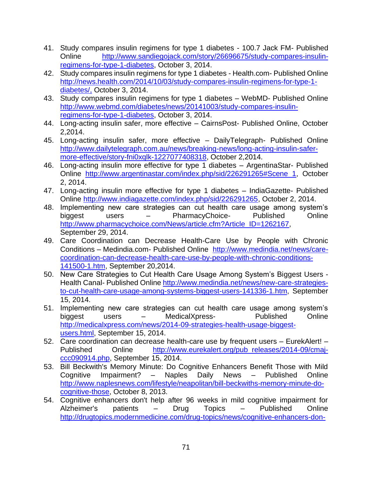- 41. Study compares insulin regimens for type 1 diabetes 100.7 Jack FM- Published Online [http://www.sandiegojack.com/story/26696675/study-compares-insulin](http://www.sandiegojack.com/story/26696675/study-compares-insulin-regimens-for-type-1-diabetes)[regimens-for-type-1-diabetes,](http://www.sandiegojack.com/story/26696675/study-compares-insulin-regimens-for-type-1-diabetes) October 3, 2014.
- 42. Study compares insulin regimens for type 1 diabetes Health.com- Published Online [http://news.health.com/2014/10/03/study-compares-insulin-regimens-for-type-1](http://news.health.com/2014/10/03/study-compares-insulin-regimens-for-type-1-diabetes/) [diabetes/,](http://news.health.com/2014/10/03/study-compares-insulin-regimens-for-type-1-diabetes/) October 3, 2014.
- 43. Study compares insulin regimens for type 1 diabetes WebMD- Published Online [http://www.webmd.com/diabetes/news/20141003/study-compares-insulin](http://www.webmd.com/diabetes/news/20141003/study-compares-insulin-regimens-for-type-1-diabetes)[regimens-for-type-1-diabetes,](http://www.webmd.com/diabetes/news/20141003/study-compares-insulin-regimens-for-type-1-diabetes) October 3, 2014.
- 44. Long-acting insulin safer, more effective CairnsPost- Published Online, October 2,2014.
- 45. Long-acting insulin safer, more effective DailyTelegraph- Published Online [http://www.dailytelegraph.com.au/news/breaking-news/long-acting-insulin-safer](http://www.dailytelegraph.com.au/news/breaking-news/long-acting-insulin-safer-more-effective/story-fni0xqlk-1227077408318)[more-effective/story-fni0xqlk-1227077408318,](http://www.dailytelegraph.com.au/news/breaking-news/long-acting-insulin-safer-more-effective/story-fni0xqlk-1227077408318) October 2,2014.
- 46. Long-acting insulin more effective for type 1 diabetes ArgentinaStar- Published Online [http://www.argentinastar.com/index.php/sid/226291265#Scene\\_1,](http://www.argentinastar.com/index.php/sid/226291265#Scene_1) October 2, 2014.
- 47. Long-acting insulin more effective for type 1 diabetes IndiaGazette- Published Online [http://www.indiagazette.com/index.php/sid/226291265,](http://www.indiagazette.com/index.php/sid/226291265) October 2, 2014.
- 48. Implementing new care strategies can cut health care usage among system's biggest users – PharmacyChoice- Published Online [http://www.pharmacychoice.com/News/article.cfm?Article\\_ID=1262167,](http://www.pharmacychoice.com/News/article.cfm?Article_ID=1262167) September 29, 2014.
- 49. Care Coordination can Decrease Health-Care Use by People with Chronic Conditions – Medindia.com- Published Online [http://www.medindia.net/news/care](http://www.medindia.net/news/care-coordination-can-decrease-health-care-use-by-people-with-chronic-conditions-141500-1.htm)[coordination-can-decrease-health-care-use-by-people-with-chronic-conditions-](http://www.medindia.net/news/care-coordination-can-decrease-health-care-use-by-people-with-chronic-conditions-141500-1.htm)[141500-1.htm,](http://www.medindia.net/news/care-coordination-can-decrease-health-care-use-by-people-with-chronic-conditions-141500-1.htm) September 20,2014.
- 50. New Care Strategies to Cut Health Care Usage Among System's Biggest Users Health Canal- Published Online [http://www.medindia.net/news/new-care-strategies](http://www.medindia.net/news/new-care-strategies-to-cut-health-care-usage-among-systems-biggest-users-141336-1.htm)[to-cut-health-care-usage-among-systems-biggest-users-141336-1.htm,](http://www.medindia.net/news/new-care-strategies-to-cut-health-care-usage-among-systems-biggest-users-141336-1.htm) September 15, 2014.
- 51. Implementing new care strategies can cut health care usage among system's biggest users – MedicalXpress- Published Online [http://medicalxpress.com/news/2014-09-strategies-health-usage-biggest](http://medicalxpress.com/news/2014-09-strategies-health-usage-biggest-users.html)[users.html,](http://medicalxpress.com/news/2014-09-strategies-health-usage-biggest-users.html) September 15, 2014.
- 52. Care coordination can decrease health-care use by frequent users EurekAlert! Published Online [http://www.eurekalert.org/pub\\_releases/2014-09/cmaj](http://www.eurekalert.org/pub_releases/2014-09/cmaj-ccc090914.php)[ccc090914.php,](http://www.eurekalert.org/pub_releases/2014-09/cmaj-ccc090914.php) September 15, 2014.
- 53. Bill Beckwith's Memory Minute: Do Cognitive Enhancers Benefit Those with Mild Cognitive Impairment? – Naples Daily News – Published Online [http://www.naplesnews.com/lifestyle/neapolitan/bill-beckwiths-memory-minute-do](http://www.naplesnews.com/lifestyle/neapolitan/bill-beckwiths-memory-minute-do-cognitive-those)[cognitive-those,](http://www.naplesnews.com/lifestyle/neapolitan/bill-beckwiths-memory-minute-do-cognitive-those) October 8, 2013.
- 54. Cognitive enhancers don't help after 96 weeks in mild cognitive impairment for Alzheimer's patients – Drug Topics – Published Online [http://drugtopics.modernmedicine.com/drug-topics/news/cognitive-enhancers-don-](http://drugtopics.modernmedicine.com/drug-topics/news/cognitive-enhancers-don-t-help-after-96-weeks-mild-cognitive-impairment-alzheimer-s?page=full)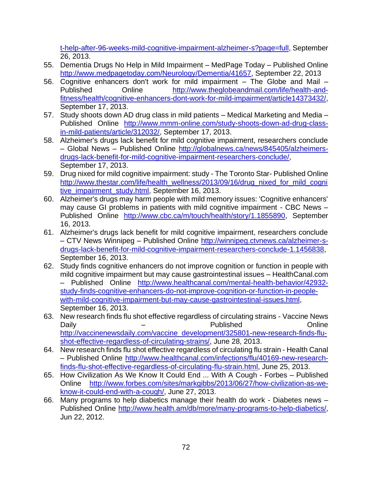[t-help-after-96-weeks-mild-cognitive-impairment-alzheimer-s?page=full,](http://drugtopics.modernmedicine.com/drug-topics/news/cognitive-enhancers-don-t-help-after-96-weeks-mild-cognitive-impairment-alzheimer-s?page=full) September 26, 2013.

- 55. Dementia Drugs No Help in Mild Impairment MedPage Today Published Online [http://www.medpagetoday.com/Neurology/Dementia/41657,](http://www.medpagetoday.com/Neurology/Dementia/41657) September 22, 2013
- 56. Cognitive enhancers don't work for mild impairment The Globe and Mail Published Online [http://www.theglobeandmail.com/life/health-and](http://www.theglobeandmail.com/life/health-and-fitness/health/cognitive-enhancers-dont-work-for-mild-impairment/article14373432/)[fitness/health/cognitive-enhancers-dont-work-for-mild-impairment/article14373432/,](http://www.theglobeandmail.com/life/health-and-fitness/health/cognitive-enhancers-dont-work-for-mild-impairment/article14373432/) September 17, 2013.
- 57. Study shoots down AD drug class in mild patients Medical Marketing and Media Published Online [http://www.mmm-online.com/study-shoots-down-ad-drug-class](http://www.mmm-online.com/study-shoots-down-ad-drug-class-in-mild-patients/article/312032/)[in-mild-patients/article/312032/,](http://www.mmm-online.com/study-shoots-down-ad-drug-class-in-mild-patients/article/312032/) September 17, 2013.
- 58. Alzheimer's drugs lack benefit for mild cognitive impairment, researchers conclude – Global News – Published Online [http://globalnews.ca/news/845405/alzheimers](http://globalnews.ca/news/845405/alzheimers-drugs-lack-benefit-for-mild-cognitive-impairment-researchers-conclude/)[drugs-lack-benefit-for-mild-cognitive-impairment-researchers-conclude/,](http://globalnews.ca/news/845405/alzheimers-drugs-lack-benefit-for-mild-cognitive-impairment-researchers-conclude/) September 17, 2013.
- 59. Drug nixed for mild cognitive impairment: study The Toronto Star- Published Online [http://www.thestar.com/life/health\\_wellness/2013/09/16/drug\\_nixed\\_for\\_mild\\_cogni](http://www.thestar.com/life/health_wellness/2013/09/16/drug_nixed_for_mild_cognitive_impairment_study.html) [tive\\_impairment\\_study.html,](http://www.thestar.com/life/health_wellness/2013/09/16/drug_nixed_for_mild_cognitive_impairment_study.html) September 16, 2013.
- 60. Alzheimer's drugs may harm people with mild memory issues: 'Cognitive enhancers' may cause GI problems in patients with mild cognitive impairment - CBC News – Published Online [http://www.cbc.ca/m/touch/health/story/1.1855890,](http://www.cbc.ca/m/touch/health/story/1.1855890) September 16, 2013.
- 61. Alzheimer's drugs lack benefit for mild cognitive impairment, researchers conclude – CTV News Winnipeg – Published Online [http://winnipeg.ctvnews.ca/alzheimer-s](http://winnipeg.ctvnews.ca/alzheimer-s-drugs-lack-benefit-for-mild-cognitive-impairment-researchers-conclude-1.1456838)[drugs-lack-benefit-for-mild-cognitive-impairment-researchers-conclude-1.1456838,](http://winnipeg.ctvnews.ca/alzheimer-s-drugs-lack-benefit-for-mild-cognitive-impairment-researchers-conclude-1.1456838) September 16, 2013.
- 62. Study finds cognitive enhancers do not improve cognition or function in people with mild cognitive impairment but may cause gastrointestinal issues – HealthCanal.com – Published Online [http://www.healthcanal.com/mental-health-behavior/42932](http://www.healthcanal.com/mental-health-behavior/42932-study-finds-cognitive-enhancers-do-not-improve-cognition-or-function-in-people-with-mild-cognitive-impairment-but-may-cause-gastrointestinal-issues.html) [study-finds-cognitive-enhancers-do-not-improve-cognition-or-function-in-people](http://www.healthcanal.com/mental-health-behavior/42932-study-finds-cognitive-enhancers-do-not-improve-cognition-or-function-in-people-with-mild-cognitive-impairment-but-may-cause-gastrointestinal-issues.html)[with-mild-cognitive-impairment-but-may-cause-gastrointestinal-issues.html,](http://www.healthcanal.com/mental-health-behavior/42932-study-finds-cognitive-enhancers-do-not-improve-cognition-or-function-in-people-with-mild-cognitive-impairment-but-may-cause-gastrointestinal-issues.html) September 16, 2013.
- 63. New research finds flu shot effective regardless of circulating strains Vaccine News Daily – Published Online [http://vaccinenewsdaily.com/vaccine\\_development/325801-new-research-finds-flu](http://vaccinenewsdaily.com/vaccine_development/325801-new-research-finds-flu-shot-effective-regardless-of-circulating-strains/)[shot-effective-regardless-of-circulating-strains/,](http://vaccinenewsdaily.com/vaccine_development/325801-new-research-finds-flu-shot-effective-regardless-of-circulating-strains/) June 28, 2013.
- 64. New research finds flu shot effective regardless of circulating flu strain Health Canal – Published Online [http://www.healthcanal.com/infections/flu/40169-new-research](http://www.healthcanal.com/infections/flu/40169-new-research-finds-flu-shot-effective-regardless-of-circulating-flu-strain.htm)[finds-flu-shot-effective-regardless-of-circulating-flu-strain.html](http://www.healthcanal.com/infections/flu/40169-new-research-finds-flu-shot-effective-regardless-of-circulating-flu-strain.htm), June 25, 2013.
- 65. How Civilization As We Know It Could End ... With A Cough Forbes Published Online [http://www.forbes.com/sites/markgibbs/2013/06/27/how-civilization-as-we](http://www.forbes.com/sites/markgibbs/2013/06/27/how-civilization-as-we-know-it-could-end-with-a-cough/)[know-it-could-end-with-a-cough/,](http://www.forbes.com/sites/markgibbs/2013/06/27/how-civilization-as-we-know-it-could-end-with-a-cough/) June 27, 2013.
- 66. Many programs to help diabetics manage their health do work Diabetes news Published Online [http://www.health.am/db/more/many-programs-to-help-diabetics/,](http://www.health.am/db/more/many-programs-to-help-diabetics/) Jun 22, 2012.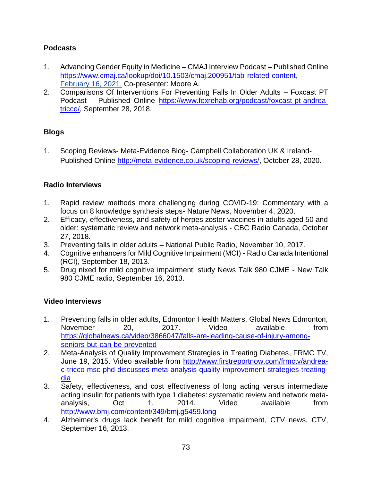## **Podcasts**

- 1. Advancing Gender Equity in Medicine CMAJ Interview Podcast Published Online [https://www.cmaj.ca/lookup/doi/10.1503/cmaj.200951/tab-related-content,](https://www.cmaj.ca/lookup/doi/10.1503/cmaj.200951/tab-related-content) February 16, 2021. Co-presenter: Moore A.
- 2. Comparisons Of Interventions For Preventing Falls In Older Adults Foxcast PT Podcast – Published Online [https://www.foxrehab.org/podcast/foxcast-pt-andrea](https://www.foxrehab.org/podcast/foxcast-pt-andrea-tricco/)[tricco/,](https://www.foxrehab.org/podcast/foxcast-pt-andrea-tricco/) September 28, 2018.

## **Blogs**

1. Scoping Reviews- Meta-Evidence Blog- Campbell Collaboration UK & Ireland-Published Online [http://meta-evidence.co.uk/scoping-reviews/,](http://meta-evidence.co.uk/scoping-reviews/) October 28, 2020.

## **Radio Interviews**

- 1. Rapid review methods more challenging during COVID-19: Commentary with a focus on 8 knowledge synthesis steps- Nature News, November 4, 2020.
- 2. Efficacy, effectiveness, and safety of herpes zoster vaccines in adults aged 50 and older: systematic review and network meta-analysis - CBC Radio Canada, October 27, 2018.
- 3. Preventing falls in older adults National Public Radio, November 10, 2017.
- 4. Cognitive enhancers for Mild Cognitive Impairment (MCI) Radio Canada Intentional (RCI), September 18, 2013.
- 5. Drug nixed for mild cognitive impairment: study News Talk 980 CJME New Talk 980 CJME radio, September 16, 2013.

## **Video Interviews**

- 1. Preventing falls in older adults, Edmonton Health Matters, Global News Edmonton, November 20, 2017. Video available from [https://globalnews.ca/video/3866047/falls-are-leading-cause-of-injury-among](https://globalnews.ca/video/3866047/falls-are-leading-cause-of-injury-among-seniors-but-can-be-prevented)[seniors-but-can-be-prevented](https://globalnews.ca/video/3866047/falls-are-leading-cause-of-injury-among-seniors-but-can-be-prevented)
- 2. Meta-Analysis of Quality Improvement Strategies in Treating Diabetes, FRMC TV, June 19, 2015. Video available from [http://www.firstreportnow.com/frmctv/andrea](http://www.firstreportnow.com/frmctv/andrea-c-tricco-msc-phd-discusses-meta-analysis-quality-improvement-strategies-treating-dia)[c-tricco-msc-phd-discusses-meta-analysis-quality-improvement-strategies-treating](http://www.firstreportnow.com/frmctv/andrea-c-tricco-msc-phd-discusses-meta-analysis-quality-improvement-strategies-treating-dia)[dia](http://www.firstreportnow.com/frmctv/andrea-c-tricco-msc-phd-discusses-meta-analysis-quality-improvement-strategies-treating-dia)
- 3. Safety, effectiveness, and cost effectiveness of long acting versus intermediate acting insulin for patients with type 1 diabetes: systematic review and network metaanalysis, Oct 1, 2014. Video available from <http://www.bmj.com/content/349/bmj.g5459.long>
- 4. Alzheimer's drugs lack benefit for mild cognitive impairment, CTV news, CTV, September 16, 2013.